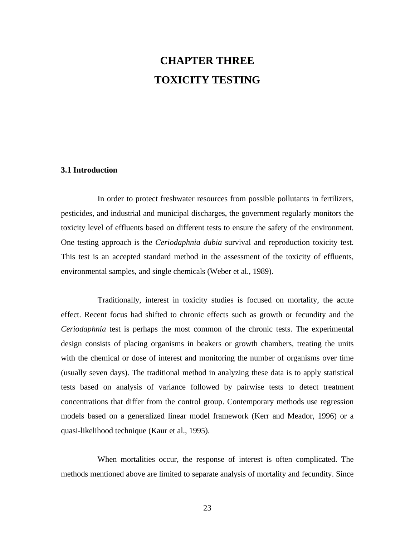# **CHAPTER THREE TOXICITY TESTING**

#### **3.1 Introduction**

In order to protect freshwater resources from possible pollutants in fertilizers, pesticides, and industrial and municipal discharges, the government regularly monitors the toxicity level of effluents based on different tests to ensure the safety of the environment. One testing approach is the *Ceriodaphnia dubia* survival and reproduction toxicity test. This test is an accepted standard method in the assessment of the toxicity of effluents, environmental samples, and single chemicals (Weber et al., 1989).

Traditionally, interest in toxicity studies is focused on mortality, the acute effect. Recent focus had shifted to chronic effects such as growth or fecundity and the *Ceriodaphnia* test is perhaps the most common of the chronic tests. The experimental design consists of placing organisms in beakers or growth chambers, treating the units with the chemical or dose of interest and monitoring the number of organisms over time (usually seven days). The traditional method in analyzing these data is to apply statistical tests based on analysis of variance followed by pairwise tests to detect treatment concentrations that differ from the control group. Contemporary methods use regression models based on a generalized linear model framework (Kerr and Meador, 1996) or a quasi-likelihood technique (Kaur et al., 1995).

When mortalities occur, the response of interest is often complicated. The methods mentioned above are limited to separate analysis of mortality and fecundity. Since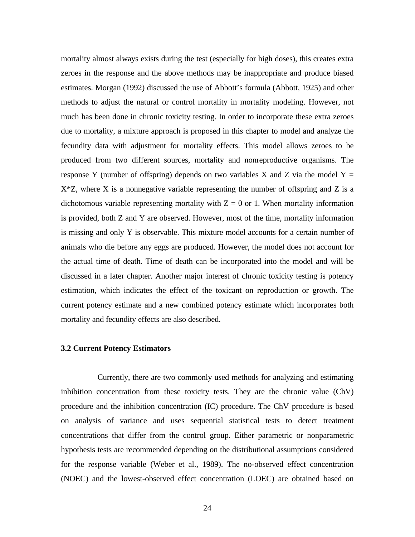mortality almost always exists during the test (especially for high doses), this creates extra zeroes in the response and the above methods may be inappropriate and produce biased estimates. Morgan (1992) discussed the use of Abbott's formula (Abbott, 1925) and other methods to adjust the natural or control mortality in mortality modeling. However, not much has been done in chronic toxicity testing. In order to incorporate these extra zeroes due to mortality, a mixture approach is proposed in this chapter to model and analyze the fecundity data with adjustment for mortality effects. This model allows zeroes to be produced from two different sources, mortality and nonreproductive organisms. The response Y (number of offspring) depends on two variables X and Z via the model  $Y =$  $X^*Z$ , where X is a nonnegative variable representing the number of offspring and Z is a dichotomous variable representing mortality with  $Z = 0$  or 1. When mortality information is provided, both Z and Y are observed. However, most of the time, mortality information is missing and only Y is observable. This mixture model accounts for a certain number of animals who die before any eggs are produced. However, the model does not account for the actual time of death. Time of death can be incorporated into the model and will be discussed in a later chapter. Another major interest of chronic toxicity testing is potency estimation, which indicates the effect of the toxicant on reproduction or growth. The current potency estimate and a new combined potency estimate which incorporates both mortality and fecundity effects are also described.

#### **3.2 Current Potency Estimators**

Currently, there are two commonly used methods for analyzing and estimating inhibition concentration from these toxicity tests. They are the chronic value (ChV) procedure and the inhibition concentration (IC) procedure. The ChV procedure is based on analysis of variance and uses sequential statistical tests to detect treatment concentrations that differ from the control group. Either parametric or nonparametric hypothesis tests are recommended depending on the distributional assumptions considered for the response variable (Weber et al., 1989). The no-observed effect concentration (NOEC) and the lowest-observed effect concentration (LOEC) are obtained based on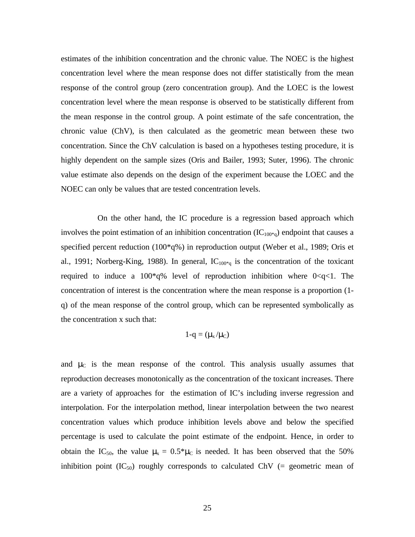estimates of the inhibition concentration and the chronic value. The NOEC is the highest concentration level where the mean response does not differ statistically from the mean response of the control group (zero concentration group). And the LOEC is the lowest concentration level where the mean response is observed to be statistically different from the mean response in the control group. A point estimate of the safe concentration, the chronic value (ChV), is then calculated as the geometric mean between these two concentration. Since the ChV calculation is based on a hypotheses testing procedure, it is highly dependent on the sample sizes (Oris and Bailer, 1993; Suter, 1996). The chronic value estimate also depends on the design of the experiment because the LOEC and the NOEC can only be values that are tested concentration levels.

On the other hand, the IC procedure is a regression based approach which involves the point estimation of an inhibition concentration  $(IC_{100^*q})$  endpoint that causes a specified percent reduction (100\*q%) in reproduction output (Weber et al., 1989; Oris et al., 1991; Norberg-King, 1988). In general,  $IC_{100*q}$  is the concentration of the toxicant required to induce a  $100*q\%$  level of reproduction inhibition where  $0. The$ concentration of interest is the concentration where the mean response is a proportion (1 q) of the mean response of the control group, which can be represented symbolically as the concentration x such that:

$$
1\text{-}q=(\mu_x/\mu_C)
$$

and  $\mu_c$  is the mean response of the control. This analysis usually assumes that reproduction decreases monotonically as the concentration of the toxicant increases. There are a variety of approaches for the estimation of IC's including inverse regression and interpolation. For the interpolation method, linear interpolation between the two nearest concentration values which produce inhibition levels above and below the specified percentage is used to calculate the point estimate of the endpoint. Hence, in order to obtain the IC<sub>50</sub>, the value  $\mu_x = 0.5^* \mu_c$  is needed. It has been observed that the 50% inhibition point  $(IC_{50})$  roughly corresponds to calculated ChV (= geometric mean of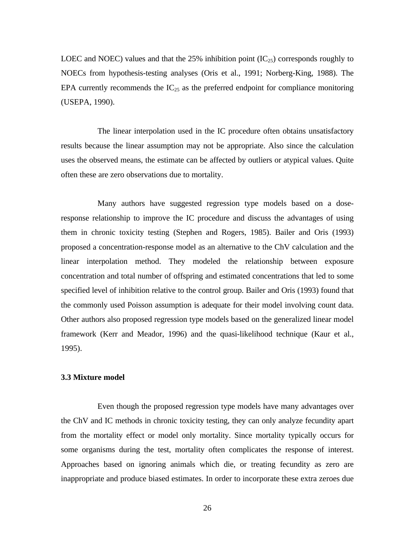LOEC and NOEC) values and that the 25% inhibition point  $(IC_{25})$  corresponds roughly to NOECs from hypothesis-testing analyses (Oris et al., 1991; Norberg-King, 1988). The EPA currently recommends the  $IC_{25}$  as the preferred endpoint for compliance monitoring (USEPA, 1990).

The linear interpolation used in the IC procedure often obtains unsatisfactory results because the linear assumption may not be appropriate. Also since the calculation uses the observed means, the estimate can be affected by outliers or atypical values. Quite often these are zero observations due to mortality.

Many authors have suggested regression type models based on a doseresponse relationship to improve the IC procedure and discuss the advantages of using them in chronic toxicity testing (Stephen and Rogers, 1985). Bailer and Oris (1993) proposed a concentration-response model as an alternative to the ChV calculation and the linear interpolation method. They modeled the relationship between exposure concentration and total number of offspring and estimated concentrations that led to some specified level of inhibition relative to the control group. Bailer and Oris (1993) found that the commonly used Poisson assumption is adequate for their model involving count data. Other authors also proposed regression type models based on the generalized linear model framework (Kerr and Meador, 1996) and the quasi-likelihood technique (Kaur et al., 1995).

#### **3.3 Mixture model**

Even though the proposed regression type models have many advantages over the ChV and IC methods in chronic toxicity testing, they can only analyze fecundity apart from the mortality effect or model only mortality. Since mortality typically occurs for some organisms during the test, mortality often complicates the response of interest. Approaches based on ignoring animals which die, or treating fecundity as zero are inappropriate and produce biased estimates. In order to incorporate these extra zeroes due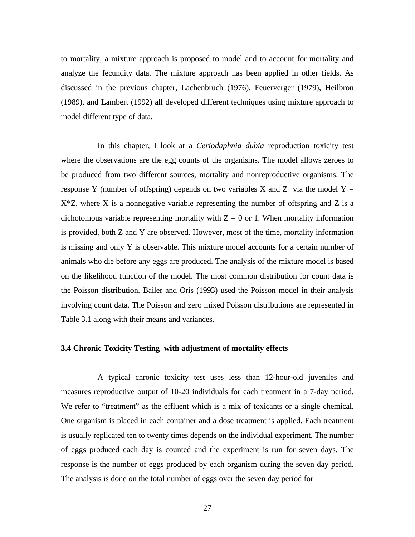to mortality, a mixture approach is proposed to model and to account for mortality and analyze the fecundity data. The mixture approach has been applied in other fields. As discussed in the previous chapter, Lachenbruch (1976), Feuerverger (1979), Heilbron (1989), and Lambert (1992) all developed different techniques using mixture approach to model different type of data.

In this chapter, I look at a *Ceriodaphnia dubia* reproduction toxicity test where the observations are the egg counts of the organisms. The model allows zeroes to be produced from two different sources, mortality and nonreproductive organisms. The response Y (number of offspring) depends on two variables X and Z via the model  $Y =$  $X^*Z$ , where X is a nonnegative variable representing the number of offspring and Z is a dichotomous variable representing mortality with  $Z = 0$  or 1. When mortality information is provided, both Z and Y are observed. However, most of the time, mortality information is missing and only Y is observable. This mixture model accounts for a certain number of animals who die before any eggs are produced. The analysis of the mixture model is based on the likelihood function of the model. The most common distribution for count data is the Poisson distribution. Bailer and Oris (1993) used the Poisson model in their analysis involving count data. The Poisson and zero mixed Poisson distributions are represented in Table 3.1 along with their means and variances.

#### **3.4 Chronic Toxicity Testing with adjustment of mortality effects**

A typical chronic toxicity test uses less than 12-hour-old juveniles and measures reproductive output of 10-20 individuals for each treatment in a 7-day period. We refer to "treatment" as the effluent which is a mix of toxicants or a single chemical. One organism is placed in each container and a dose treatment is applied. Each treatment is usually replicated ten to twenty times depends on the individual experiment. The number of eggs produced each day is counted and the experiment is run for seven days. The response is the number of eggs produced by each organism during the seven day period. The analysis is done on the total number of eggs over the seven day period for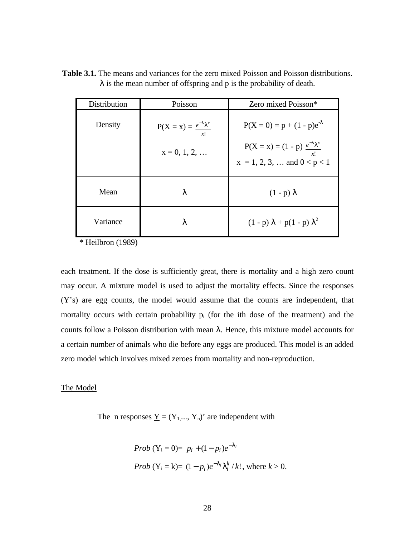| Distribution | Poisson                                                    | Zero mixed Poisson*                                                                                         |
|--------------|------------------------------------------------------------|-------------------------------------------------------------------------------------------------------------|
| Density      | $P(X = x) = \frac{e^{-1} + x}{x}$<br>x!<br>$x = 0, 1, 2, $ | $P(X = 0) = p + (1 - p)e^{-\lambda}$<br>$P(X = x) = (1 - p) e^{-1}1^{x}$<br>$x = 1, 2, 3, $ and $0 < p < 1$ |
| Mean         | λ                                                          | $(1 - p) \lambda$                                                                                           |
| Variance     | λ                                                          | $(1 - p) \lambda + p(1 - p) \lambda^2$                                                                      |

**Table 3.1.** The means and variances for the zero mixed Poisson and Poisson distributions.  $\lambda$  is the mean number of offspring and p is the probability of death.

\* Heilbron (1989)

each treatment. If the dose is sufficiently great, there is mortality and a high zero count may occur. A mixture model is used to adjust the mortality effects. Since the responses (Y's) are egg counts, the model would assume that the counts are independent, that mortality occurs with certain probability  $p_i$  (for the ith dose of the treatment) and the counts follow a Poisson distribution with mean λ. Hence, this mixture model accounts for a certain number of animals who die before any eggs are produced. This model is an added zero model which involves mixed zeroes from mortality and non-reproduction.

#### The Model

The n responses  $\underline{Y} = (Y_1,..., Y_n)$  are independent with

*Prob* (
$$
Y_i = 0
$$
) =  $p_i + (1 - p_i)e^{-1}i$   
\n*Prob* ( $Y_i = k$ ) =  $(1 - p_i)e^{-1}i|\frac{k}{i}/k!$ , where  $k > 0$ .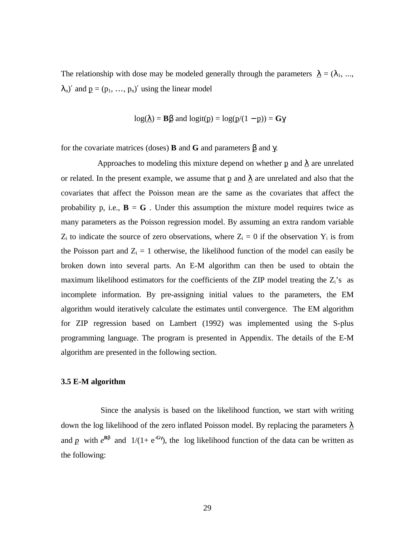The relationship with dose may be modeled generally through the parameters  $\lambda = (\lambda_1, ..., \lambda_n)$  $\lambda_n$ )' and  $p = (p_1, ..., p_n)$ ' using the linear model

$$
log(\lambda) = B\beta
$$
 and  $logit(p) = log(p/(1 - p)) = G\gamma$ 

for the covariate matrices (doses) **B** and **G** and parameters β and γ.

Approaches to modeling this mixture depend on whether p and  $\lambda$  are unrelated or related. In the present example, we assume that p and  $\lambda$  are unrelated and also that the covariates that affect the Poisson mean are the same as the covariates that affect the probability p, i.e.,  $\mathbf{B} = \mathbf{G}$ . Under this assumption the mixture model requires twice as many parameters as the Poisson regression model. By assuming an extra random variable  $Z_i$  to indicate the source of zero observations, where  $Z_i = 0$  if the observation  $Y_i$  is from the Poisson part and  $Z_i = 1$  otherwise, the likelihood function of the model can easily be broken down into several parts. An E-M algorithm can then be used to obtain the maximum likelihood estimators for the coefficients of the ZIP model treating the  $Z_i$ 's as incomplete information. By pre-assigning initial values to the parameters, the EM algorithm would iteratively calculate the estimates until convergence. The EM algorithm for ZIP regression based on Lambert (1992) was implemented using the S-plus programming language. The program is presented in Appendix. The details of the E-M algorithm are presented in the following section.

#### **3.5 E-M algorithm**

Since the analysis is based on the likelihood function, we start with writing down the log likelihood of the zero inflated Poisson model. By replacing the parameters *l* and  $p$  with  $e^{Bb}$  and  $1/(1+e^{-Gg})$ , the log likelihood function of the data can be written as the following: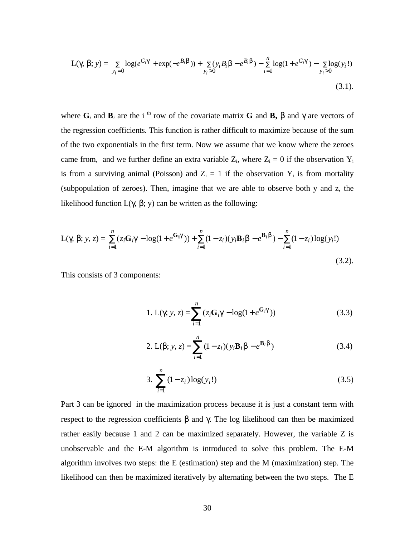$$
L(g, b; y) = \sum_{y_i=0} \log(e^{G_i g} + \exp(-e^{B_i b})) + \sum_{y_i>0} (y_i B_i b - e^{B_i b}) - \sum_{i=1}^n \log(1 + e^{G_i g}) - \sum_{y_i>0} \log(y_i!)
$$
\n(3.1)

where  $\mathbf{G}_i$  and  $\mathbf{B}_i$  are the i<sup>th</sup> row of the covariate matrix **G** and **B**,  $\beta$  and  $\gamma$  are vectors of the regression coefficients. This function is rather difficult to maximize because of the sum of the two exponentials in the first term. Now we assume that we know where the zeroes came from, and we further define an extra variable  $Z_i$ , where  $Z_i = 0$  if the observation  $Y_i$ is from a surviving animal (Poisson) and  $Z_i = 1$  if the observation  $Y_i$  is from mortality (subpopulation of zeroes). Then, imagine that we are able to observe both y and z, the likelihood function L(γ, β; y) can be written as the following:

L(g, b; y, z) = 
$$
\sum_{i=1}^{n} (z_i \mathbf{G}_i g - \log(1 + e^{\mathbf{G}_i g})) + \sum_{i=1}^{n} (1 - z_i)(y_i \mathbf{B}_i b - e^{\mathbf{B}_i b}) - \sum_{i=1}^{n} (1 - z_i) \log(y_i!)
$$
 (3.2).

This consists of 3 components:

1. L(g; y, z) = 
$$
\sum_{i=1}^{n} (z_i \mathbf{G}_i g - \log(1 + e^{\mathbf{G}_i g}))
$$
 (3.3)

2. L(b; y, z) = 
$$
\sum_{i=1}^{n} (1 - z_i)(y_i \mathbf{B}_i b - e^{\mathbf{B}_i b})
$$
 (3.4)

3. 
$$
\sum_{i=1}^{n} (1 - z_i) \log(y_i!) \tag{3.5}
$$

Part 3 can be ignored in the maximization process because it is just a constant term with respect to the regression coefficients  $β$  and  $γ$ . The log likelihood can then be maximized rather easily because 1 and 2 can be maximized separately. However, the variable Z is unobservable and the E-M algorithm is introduced to solve this problem. The E-M algorithm involves two steps: the E (estimation) step and the M (maximization) step. The likelihood can then be maximized iteratively by alternating between the two steps. The E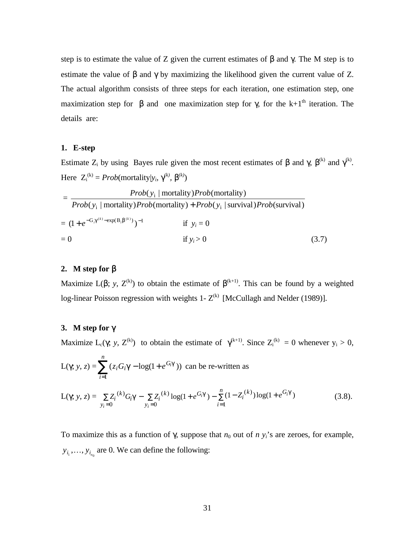step is to estimate the value of Z given the current estimates of  $\beta$  and  $\gamma$ . The M step is to estimate the value of  $\beta$  and  $\gamma$  by maximizing the likelihood given the current value of Z. The actual algorithm consists of three steps for each iteration, one estimation step, one maximization step for  $\beta$  and one maximization step for  $\gamma$ , for the k+1<sup>th</sup> iteration. The details are:

#### **1. E-step**

Estimate Z<sub>i</sub> by using Bayes rule given the most recent estimates of  $\beta$  and  $\gamma$ ,  $\beta^{(k)}$  and  $\gamma^{(k)}$ . Here  $Z_i^{(k)} = Prob(mortality|y_i, g^{(k)}, b^{(k)})$ 

$$
= \frac{Prob(y_i \mid mortality)Prob(mortality)}{Prob(y_i \mid mortality)Prob(mortality) + Prob(y_i \mid survival)Prob(survival)}
$$
  
=  $(1 + e^{-G_i g^{(k)} - exp(B_i b^{(k)})})^{-1}$  if  $y_i = 0$   
= 0 if  $y_i > 0$  (3.7)

#### **2. M step for** β

Maximize L(b; *y*,  $Z^{(k)}$ ) to obtain the estimate of  $\beta^{(k+1)}$ . This can be found by a weighted log-linear Poisson regression with weights 1- $Z^{(k)}$  [McCullagh and Nelder (1989)].

#### **3. M step for** γ

Maximize  $L_c(g; y, Z^{(k)})$  to obtain the estimate of  $g^{(k+1)}$ . Since  $Z_i^{(k)} = 0$  whenever  $y_i > 0$ ,

L(g; y, z) = 
$$
\sum_{i=1}^{n} (z_i G_i g - \log(1 + e^{G_i g}))
$$
 can be re-written as

$$
L(g; y, z) = \sum_{y_i=0} Z_i^{(k)} G_i g - \sum_{y_i=0} Z_i^{(k)} \log(1 + e^{G_i g}) - \sum_{i=1}^n (1 - Z_i^{(k)}) \log(1 + e^{G_i g})
$$
(3.8).

To maximize this as a function of g, suppose that  $n_0$  out of  $n$   $y_i$ 's are zeroes, for example,  $y_{i_1}, \ldots, y_{i_{n_0}}$  are 0. We can define the following: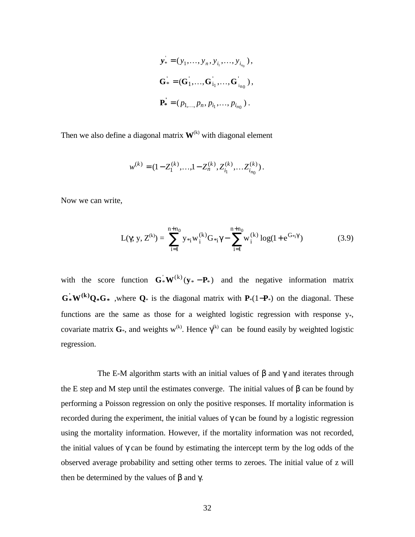$$
\mathbf{y}_{*} = (y_{1},..., y_{n}, y_{i_{1}},..., y_{i_{n_{0}}}),
$$
  
\n
$$
\mathbf{G}_{*} = (\mathbf{G}_{1}^{'},...,\mathbf{G}_{i_{1}}^{'},...,\mathbf{G}_{i_{n_{0}}}^{'}),
$$
  
\n
$$
\mathbf{P}_{*}^{'} = (p_{1,...,}p_{n}, p_{i_{1}},..., p_{i_{n_{0}}}).
$$

Then we also define a diagonal matrix  $W^{(k)}$  with diagonal element

$$
w^{(k)} = (1 - Z_1^{(k)}, \dots, 1 - Z_n^{(k)}, Z_{i_1}^{(k)}, \dots, Z_{i_{n_0}}^{(k)}).
$$

Now we can write,

$$
L(\gamma; y, Z^{(k)}) = \sum_{i=1}^{n+n_0} y_{*i} w_i^{(k)} G_{*i} \gamma - \sum_{i=1}^{n+n_0} w_i^{(k)} \log(1 + e^{G_{*i} \gamma})
$$
(3.9)

with the score function  $G^*W^{(k)}(y^* - P^*)$  and the negative information matrix **\* \* ' (k) G\*W Q G** ,where **Q**\* is the diagonal matrix with **P**\*(1−**P**\*) on the diagonal. These functions are the same as those for a weighted logistic regression with response  $y_*,$ covariate matrix  $G^*$ , and weights w<sup>(k)</sup>. Hence  $\gamma^{(k)}$  can be found easily by weighted logistic regression.

The E-M algorithm starts with an initial values of  $\beta$  and  $\gamma$  and iterates through the E step and M step until the estimates converge. The initial values of  $\beta$  can be found by performing a Poisson regression on only the positive responses. If mortality information is recorded during the experiment, the initial values of  $\gamma$  can be found by a logistic regression using the mortality information. However, if the mortality information was not recorded, the initial values of γ can be found by estimating the intercept term by the log odds of the observed average probability and setting other terms to zeroes. The initial value of z will then be determined by the values of β and γ.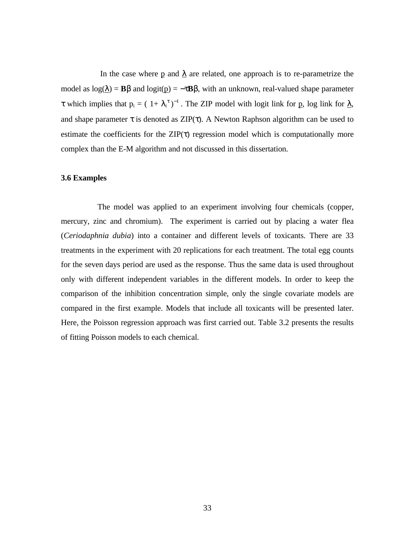In the case where p and  $\lambda$  are related, one approach is to re-parametrize the model as  $log(\lambda) = B\beta$  and  $logit(p) = -\tau B\beta$ , with an unknown, real-valued shape parameter  $\tau$  which implies that  $p_i = (1 + \lambda_i^{\tau})^{-1}$ . The ZIP model with logit link for p, log link for  $\lambda$ , and shape parameter  $\tau$  is denoted as ZIP( $\tau$ ). A Newton Raphson algorithm can be used to estimate the coefficients for the  $\text{ZIP}(\tau)$  regression model which is computationally more complex than the E-M algorithm and not discussed in this dissertation.

#### **3.6 Examples**

The model was applied to an experiment involving four chemicals (copper, mercury, zinc and chromium). The experiment is carried out by placing a water flea (*Ceriodaphnia dubia*) into a container and different levels of toxicants. There are 33 treatments in the experiment with 20 replications for each treatment. The total egg counts for the seven days period are used as the response. Thus the same data is used throughout only with different independent variables in the different models. In order to keep the comparison of the inhibition concentration simple, only the single covariate models are compared in the first example. Models that include all toxicants will be presented later. Here, the Poisson regression approach was first carried out. Table 3.2 presents the results of fitting Poisson models to each chemical.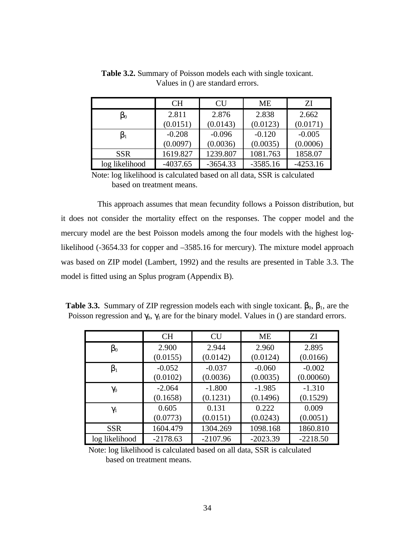|                           | <b>CH</b>  | CU         | МE         | ΖI         |
|---------------------------|------------|------------|------------|------------|
| $\boldsymbol{\beta }_{0}$ | 2.811      | 2.876      | 2.838      | 2.662      |
|                           | (0.0151)   | (0.0143)   | (0.0123)   | (0.0171)   |
|                           | $-0.208$   | $-0.096$   | $-0.120$   | $-0.005$   |
|                           | (0.0097)   | (0.0036)   | (0.0035)   | (0.0006)   |
| <b>SSR</b>                | 1619.827   | 1239.807   | 1081.763   | 1858.07    |
| log likelihood            | $-4037.65$ | $-3654.33$ | $-3585.16$ | $-4253.16$ |

**Table 3.2.** Summary of Poisson models each with single toxicant. Values in () are standard errors.

Note: log likelihood is calculated based on all data, SSR is calculated based on treatment means.

This approach assumes that mean fecundity follows a Poisson distribution, but it does not consider the mortality effect on the responses. The copper model and the mercury model are the best Poisson models among the four models with the highest loglikelihood (-3654.33 for copper and –3585.16 for mercury). The mixture model approach was based on ZIP model (Lambert, 1992) and the results are presented in Table 3.3. The model is fitted using an Splus program (Appendix B).

**Table 3.3.** Summary of ZIP regression models each with single toxicant.  $\beta_0$ ,  $\beta_1$ , are the Poisson regression and  $\gamma_0$ ,  $\gamma_1$  are for the binary model. Values in () are standard errors.

|                | <b>CH</b>  | <b>CU</b>  | <b>ME</b>  | ZI         |
|----------------|------------|------------|------------|------------|
| $\beta_0$      | 2.900      | 2.944      | 2.960      | 2.895      |
|                | (0.0155)   | (0.0142)   | (0.0124)   | (0.0166)   |
| $\beta_1$      | $-0.052$   | $-0.037$   | $-0.060$   | $-0.002$   |
|                | (0.0102)   | (0.0036)   | (0.0035)   | (0.00060)  |
| $\gamma_0$     | $-2.064$   | $-1.800$   | $-1.985$   | $-1.310$   |
|                | (0.1658)   | (0.1231)   | (0.1496)   | (0.1529)   |
| $\gamma_1$     | 0.605      | 0.131      | 0.222      | 0.009      |
|                | (0.0773)   | (0.0151)   | (0.0243)   | (0.0051)   |
| <b>SSR</b>     | 1604.479   | 1304.269   | 1098.168   | 1860.810   |
| log likelihood | $-2178.63$ | $-2107.96$ | $-2023.39$ | $-2218.50$ |

Note: log likelihood is calculated based on all data, SSR is calculated based on treatment means.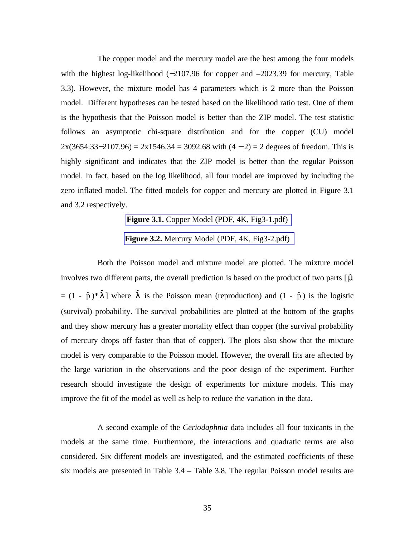The copper model and the mercury model are the best among the four models with the highest log-likelihood (−2107.96 for copper and −2023.39 for mercury, Table 3.3). However, the mixture model has 4 parameters which is 2 more than the Poisson model. Different hypotheses can be tested based on the likelihood ratio test. One of them is the hypothesis that the Poisson model is better than the ZIP model. The test statistic follows an asymptotic chi-square distribution and for the copper (CU) model  $2x(3654.33-2107.96) = 2x1546.34 = 3092.68$  with  $(4 – 2) = 2$  degrees of freedom. This is highly significant and indicates that the ZIP model is better than the regular Poisson model. In fact, based on the log likelihood, all four model are improved by including the zero inflated model. The fitted models for copper and mercury are plotted in Figure 3.1 and 3.2 respectively.

**Figure 3.1.** Copper Model (PDF, 4K, Fig3-1.pdf)

**Figure 3.2.** Mercury Model (PDF, 4K, Fig3-2.pdf)

Both the Poisson model and mixture model are plotted. The mixture model involves two different parts, the overall prediction is based on the product of two parts  $[\hat{\mu}]$  $= (1 - \hat{p})^* \hat{\lambda}$  where  $\hat{\lambda}$  is the Poisson mean (reproduction) and  $(1 - \hat{p})$  is the logistic (survival) probability. The survival probabilities are plotted at the bottom of the graphs and they show mercury has a greater mortality effect than copper (the survival probability of mercury drops off faster than that of copper). The plots also show that the mixture model is very comparable to the Poisson model. However, the overall fits are affected by the large variation in the observations and the poor design of the experiment. Further research should investigate the design of experiments for mixture models. This may improve the fit of the model as well as help to reduce the variation in the data.

A second example of the *Ceriodaphnia* data includes all four toxicants in the models at the same time. Furthermore, the interactions and quadratic terms are also considered. Six different models are investigated, and the estimated coefficients of these six models are presented in Table 3.4 – Table 3.8. The regular Poisson model results are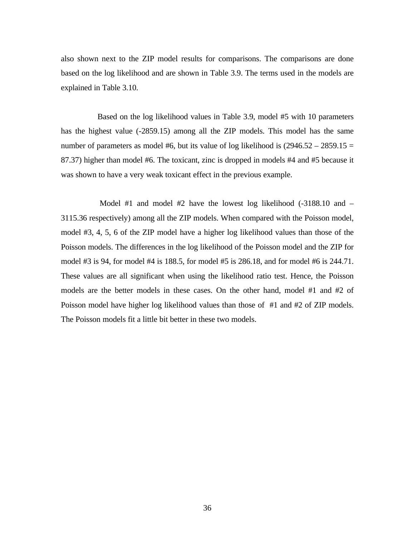also shown next to the ZIP model results for comparisons. The comparisons are done based on the log likelihood and are shown in Table 3.9. The terms used in the models are explained in Table 3.10.

Based on the log likelihood values in Table 3.9, model #5 with 10 parameters has the highest value (-2859.15) among all the ZIP models. This model has the same number of parameters as model #6, but its value of log likelihood is  $(2946.52 - 2859.15 =$ 87.37) higher than model #6. The toxicant, zinc is dropped in models #4 and #5 because it was shown to have a very weak toxicant effect in the previous example.

 Model #1 and model #2 have the lowest log likelihood (-3188.10 and – 3115.36 respectively) among all the ZIP models. When compared with the Poisson model, model #3, 4, 5, 6 of the ZIP model have a higher log likelihood values than those of the Poisson models. The differences in the log likelihood of the Poisson model and the ZIP for model #3 is 94, for model #4 is 188.5, for model #5 is 286.18, and for model #6 is 244.71. These values are all significant when using the likelihood ratio test. Hence, the Poisson models are the better models in these cases. On the other hand, model #1 and #2 of Poisson model have higher log likelihood values than those of #1 and #2 of ZIP models. The Poisson models fit a little bit better in these two models.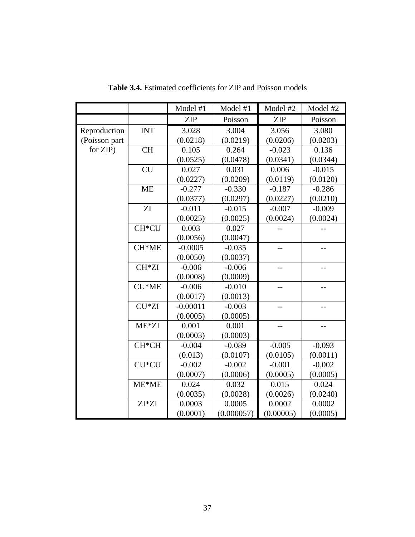|               |                    | Model #1   | Model #1   | Model #2   | Model #2 |
|---------------|--------------------|------------|------------|------------|----------|
|               |                    | <b>ZIP</b> | Poisson    | <b>ZIP</b> | Poisson  |
| Reproduction  | <b>INT</b>         | 3.028      | 3.004      | 3.056      | 3.080    |
| (Poisson part |                    | (0.0218)   | (0.0219)   | (0.0206)   | (0.0203) |
| for ZIP)      | <b>CH</b>          | 0.105      | 0.264      | $-0.023$   | 0.136    |
|               |                    | (0.0525)   | (0.0478)   | (0.0341)   | (0.0344) |
|               | <b>CU</b>          | 0.027      | 0.031      | 0.006      | $-0.015$ |
|               |                    | (0.0227)   | (0.0209)   | (0.0119)   | (0.0120) |
|               | <b>ME</b>          | $-0.277$   | $-0.330$   | $-0.187$   | $-0.286$ |
|               |                    | (0.0377)   | (0.0297)   | (0.0227)   | (0.0210) |
|               | ${\rm ZI}$         | $-0.011$   | $-0.015$   | $-0.007$   | $-0.009$ |
|               |                    | (0.0025)   | (0.0025)   | (0.0024)   | (0.0024) |
|               | CH <sup>*</sup> CU | 0.003      | 0.027      |            |          |
|               |                    | (0.0056)   | (0.0047)   |            |          |
|               | CH*ME              | $-0.0005$  | $-0.035$   | --         | $-1$     |
|               |                    | (0.0050)   | (0.0037)   |            |          |
|               | CH <sup>*</sup> ZI | $-0.006$   | $-0.006$   | --         |          |
|               |                    | (0.0008)   | (0.0009)   |            |          |
|               | CU*ME              | $-0.006$   | $-0.010$   | --         | --       |
|               |                    | (0.0017)   | (0.0013)   |            |          |
|               | CU*ZI              | $-0.00011$ | $-0.003$   | $-$        | $-$      |
|               |                    | (0.0005)   | (0.0005)   |            |          |
|               | $ME*ZI$            | 0.001      | 0.001      |            |          |
|               |                    | (0.0003)   | (0.0003)   |            |          |
|               | CH*CH              | $-0.004$   | $-0.089$   | $-0.005$   | $-0.093$ |
|               |                    | (0.013)    | (0.0107)   | (0.0105)   | (0.0011) |
|               | CU*CU              | $-0.002$   | $-0.002$   | $-0.001$   | $-0.002$ |
|               |                    | (0.0007)   | (0.0006)   | (0.0005)   | (0.0005) |
|               | ME*ME              | 0.024      | 0.032      | 0.015      | 0.024    |
|               |                    | (0.0035)   | (0.0028)   | (0.0026)   | (0.0240) |
|               | ZI*ZI              | 0.0003     | 0.0005     | 0.0002     | 0.0002   |
|               |                    | (0.0001)   | (0.000057) | (0.00005)  | (0.0005) |

**Table 3.4.** Estimated coefficients for ZIP and Poisson models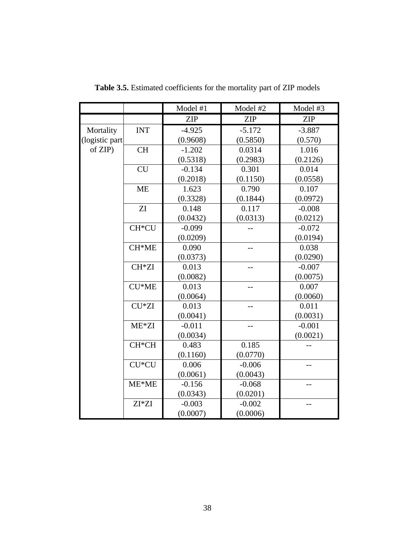|                |            | Model #1   | Model #2   | Model #3   |
|----------------|------------|------------|------------|------------|
|                |            | <b>ZIP</b> | <b>ZIP</b> | <b>ZIP</b> |
| Mortality      | <b>INT</b> | $-4.925$   | $-5.172$   | $-3.887$   |
| (logistic part |            | (0.9608)   | (0.5850)   | (0.570)    |
| of ZIP)        | <b>CH</b>  | $-1.202$   | 0.0314     | 1.016      |
|                |            | (0.5318)   | (0.2983)   | (0.2126)   |
|                | CU         | $-0.134$   | 0.301      | 0.014      |
|                |            | (0.2018)   | (0.1150)   | (0.0558)   |
|                | <b>ME</b>  | 1.623      | 0.790      | 0.107      |
|                |            | (0.3328)   | (0.1844)   | (0.0972)   |
|                | ZI         | 0.148      | 0.117      | $-0.008$   |
|                |            | (0.0432)   | (0.0313)   | (0.0212)   |
|                | CH*CU      | $-0.099$   |            | $-0.072$   |
|                |            | (0.0209)   |            | (0.0194)   |
|                | CH*ME      | 0.090      | $-$        | 0.038      |
|                |            | (0.0373)   |            | (0.0290)   |
|                | CH*ZI      | 0.013      |            | $-0.007$   |
|                |            | (0.0082)   |            | (0.0075)   |
|                | CU*ME      | 0.013      | $-$        | 0.007      |
|                |            | (0.0064)   |            | (0.0060)   |
|                | CU*ZI      | 0.013      |            | 0.011      |
|                |            | (0.0041)   |            | (0.0031)   |
|                | $ME*ZI$    | $-0.011$   |            | $-0.001$   |
|                |            | (0.0034)   |            | (0.0021)   |
|                | CH*CH      | 0.483      | 0.185      |            |
|                |            | (0.1160)   | (0.0770)   |            |
|                | CU*CU      | 0.006      | $-0.006$   |            |
|                |            | (0.0061)   | (0.0043)   |            |
|                | $ME*ME$    | $-0.156$   | $-0.068$   |            |
|                |            | (0.0343)   | (0.0201)   |            |
|                | $ZI^*ZI$   | $-0.003$   | $-0.002$   |            |
|                |            | (0.0007)   | (0.0006)   |            |

**Table 3.5.** Estimated coefficients for the mortality part of ZIP models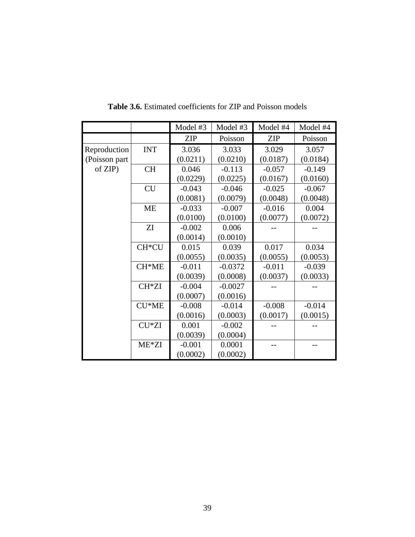|               |            | Model #3   | Model #3  | Model #4   | Model #4 |
|---------------|------------|------------|-----------|------------|----------|
|               |            | <b>ZIP</b> | Poisson   | <b>ZIP</b> | Poisson  |
| Reproduction  | <b>INT</b> | 3.036      | 3.033     | 3.029      | 3.057    |
| (Poisson part |            | (0.0211)   | (0.0210)  | (0.0187)   | (0.0184) |
| of ZIP)       | <b>CH</b>  | 0.046      | $-0.113$  | $-0.057$   | $-0.149$ |
|               |            | (0.0229)   | (0.0225)  | (0.0167)   | (0.0160) |
|               | <b>CU</b>  | $-0.043$   | $-0.046$  | $-0.025$   | $-0.067$ |
|               |            | (0.0081)   | (0.0079)  | (0.0048)   | (0.0048) |
|               | <b>ME</b>  | $-0.033$   | $-0.007$  | $-0.016$   | 0.004    |
|               |            | (0.0100)   | (0.0100)  | (0.0077)   | (0.0072) |
|               | ZI         | $-0.002$   | 0.006     |            |          |
|               |            | (0.0014)   | (0.0010)  |            |          |
|               | CH*CU      | 0.015      | 0.039     | 0.017      | 0.034    |
|               |            | (0.0055)   | (0.0035)  | (0.0055)   | (0.0053) |
|               | CH*ME      | $-0.011$   | $-0.0372$ | $-0.011$   | $-0.039$ |
|               |            | (0.0039)   | (0.0008)  | (0.0037)   | (0.0033) |
|               | CH*ZI      | $-0.004$   | $-0.0027$ |            |          |
|               |            | (0.0007)   | (0.0016)  |            |          |
|               | $CU*ME$    | $-0.008$   | $-0.014$  | $-0.008$   | $-0.014$ |
|               |            | (0.0016)   | (0.0003)  | (0.0017)   | (0.0015) |
|               | CU*ZI      | 0.001      | $-0.002$  |            |          |
|               |            | (0.0039)   | (0.0004)  |            |          |
|               | ME*ZI      | $-0.001$   | 0.0001    |            |          |
|               |            | (0.0002)   | (0.0002)  |            |          |

**Table 3.6.** Estimated coefficients for ZIP and Poisson models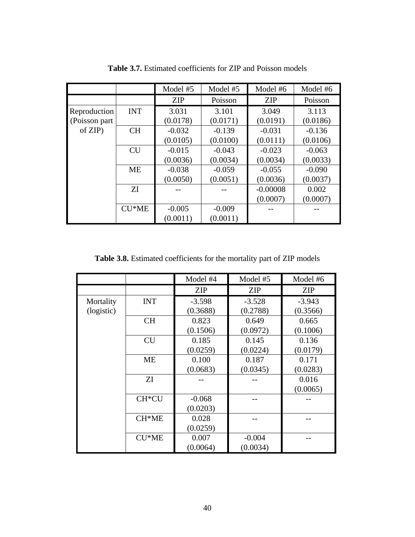|                |            | Model #5   | Model #5 | Model #6   | Model #6 |
|----------------|------------|------------|----------|------------|----------|
|                |            | <b>ZIP</b> | Poisson  | <b>ZIP</b> | Poisson  |
| Reproduction   | <b>INT</b> | 3.031      | 3.101    | 3.049      | 3.113    |
| (Poisson part) |            | (0.0178)   | (0.0171) | (0.0191)   | (0.0186) |
| $of$ ZIP $)$   | <b>CH</b>  | $-0.032$   | $-0.139$ | $-0.031$   | $-0.136$ |
|                |            | (0.0105)   | (0.0100) | (0.0111)   | (0.0106) |
|                | <b>CU</b>  | $-0.015$   | $-0.043$ | $-0.023$   | $-0.063$ |
|                |            | (0.0036)   | (0.0034) | (0.0034)   | (0.0033) |
|                | <b>ME</b>  | $-0.038$   | $-0.059$ | $-0.055$   | $-0.090$ |
|                |            | (0.0050)   | (0.0051) | (0.0036)   | (0.0037) |
|                | <b>ZI</b>  |            |          | $-0.00008$ | 0.002    |
|                |            |            |          | (0.0007)   | (0.0007) |
|                | $CU*ME$    | $-0.005$   | $-0.009$ |            |          |
|                |            | (0.0011)   | (0.0011) |            |          |

**Table 3.7.** Estimated coefficients for ZIP and Poisson models

**Table 3.8.** Estimated coefficients for the mortality part of ZIP models

|            |                    | Model #4   | Model #5   | Model #6   |
|------------|--------------------|------------|------------|------------|
|            |                    | <b>ZIP</b> | <b>ZIP</b> | <b>ZIP</b> |
| Mortality  | <b>INT</b>         | $-3.598$   | $-3.528$   | $-3.943$   |
| (logistic) |                    | (0.3688)   | (0.2788)   | (0.3566)   |
|            | <b>CH</b>          | 0.823      | 0.649      | 0.665      |
|            |                    | (0.1506)   | (0.0972)   | (0.1006)   |
|            | <b>CU</b>          | 0.185      | 0.145      | 0.136      |
|            |                    | (0.0259)   | (0.0224)   | (0.0179)   |
|            | <b>ME</b>          | 0.100      | 0.187      | 0.171      |
|            |                    | (0.0683)   | (0.0345)   | (0.0283)   |
|            | ZI                 |            |            | 0.016      |
|            |                    |            |            | (0.0065)   |
|            | CH <sup>*</sup> CU | $-0.068$   |            |            |
|            |                    | (0.0203)   |            |            |
|            | $CH*ME$            | 0.028      |            |            |
|            |                    | (0.0259)   |            |            |
|            | $CU*ME$            | 0.007      | $-0.004$   |            |
|            |                    | (0.0064)   | (0.0034)   |            |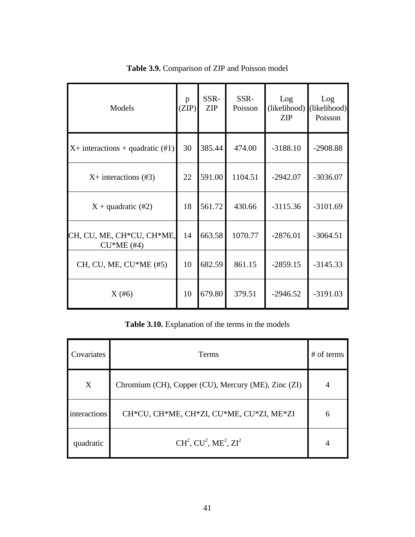| Models                                    | p<br>(ZIP) | SSR-<br><b>ZIP</b> | SSR-<br>Poisson | Log<br>(likelihood)<br><b>ZIP</b> | Log<br>(likelihood)<br>Poisson |
|-------------------------------------------|------------|--------------------|-----------------|-----------------------------------|--------------------------------|
| $X+$ interactions + quadratic (#1)        | 30         | 385.44             | 474.00          | $-3188.10$                        | $-2908.88$                     |
| $X+$ interactions (#3)                    | 22         | 591.00             | 1104.51         | $-2942.07$                        | $-3036.07$                     |
| $X +$ quadratic (#2)                      | 18         | 561.72             | 430.66          | $-3115.36$                        | $-3101.69$                     |
| CH, CU, ME, CH*CU, CH*ME,<br>$CU*ME$ (#4) | 14         | 663.58             | 1070.77         | $-2876.01$                        | $-3064.51$                     |
| CH, CU, ME, CU*ME (#5)                    | 10         | 682.59             | 861.15          | $-2859.15$                        | $-3145.33$                     |
| X(#6)                                     | 10         | 679.80             | 379.51          | $-2946.52$                        | $-3191.03$                     |

**Table 3.9.** Comparison of ZIP and Poisson model

**Table 3.10.** Explanation of the terms in the models

| Covariates   | <b>Terms</b>                                        | $#$ of terms |
|--------------|-----------------------------------------------------|--------------|
| X            | Chromium (CH), Copper (CU), Mercury (ME), Zinc (ZI) | 4            |
| interactions | CH*CU, CH*ME, CH*ZI, CU*ME, CU*ZI, ME*ZI            | 6            |
| quadratic    | $CH2$ , $CU2$ , $ME2$ , $ZI2$                       | 4            |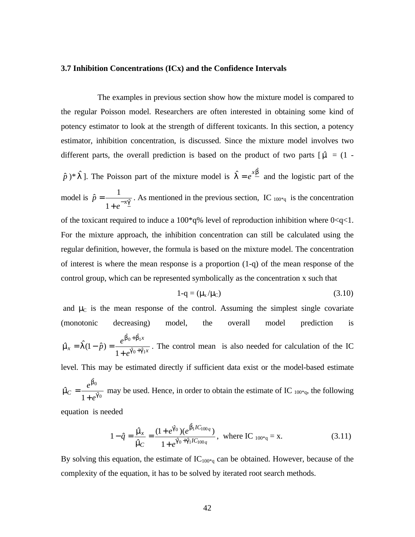#### **3.7 Inhibition Concentrations (ICx) and the Confidence Intervals**

The examples in previous section show how the mixture model is compared to the regular Poisson model. Researchers are often interested in obtaining some kind of potency estimator to look at the strength of different toxicants. In this section, a potency estimator, inhibition concentration, is discussed. Since the mixture model involves two different parts, the overall prediction is based on the product of two parts  $\lceil \hat{m} \rceil = (1 - \frac{1}{2})$  $\hat{p}$ <sup>\*</sup>  $\hat{p}$ <sup>\*</sup>  $\hat{p}$  )<sup>\*</sup>  $\hat{p}$  )<sup>\*</sup>  $\hat{p}$  and the logistic part of the *l* model is  $\hat{p} = \frac{1}{1 + e^{-x} \hat{p}}$  $\hat{p} = \frac{1}{1 + e^{-x}}$  $\hat{p} = \frac{1}{1+e^{-}}$  $=\frac{1}{\sqrt{3}}$ . As mentioned in the previous section, IC  $_{100*q}$  is the concentration of the toxicant required to induce a 100\*q% level of reproduction inhibition where  $0 < q < 1$ . For the mixture approach, the inhibition concentration can still be calculated using the regular definition, however, the formula is based on the mixture model. The concentration of interest is where the mean response is a proportion (1-q) of the mean response of the control group, which can be represented symbolically as the concentration x such that

$$
1-q = (\mu_x/\mu_C) \tag{3.10}
$$

and  $\mu_c$  is the mean response of the control. Assuming the simplest single covariate (monotonic decreasing) model, the overall model prediction is *x x*  $f(x) = 1 (1-p) = \frac{1}{1+e}$  $\hat{p}$ ) =  $\frac{e^{b_0 + b_1 x}}{1 + e^{a_0 + a_1}}$  $0 + p_1$  $\hat{a}_0 + \hat{g}$  $\hat{a}$  +  $\hat{b}$ 1  $\hat{n}_x = \hat{1(1-\hat{p})} = \frac{e^{-\hat{p}(1-\hat{p})}}{1+e^{\hat{q}(0+\hat{q})}}$ *b b*  $\hat{m}_x = \hat{1}(1-\hat{p}) = \frac{e}{1+e^{0.0}+1}$ + +  $= \int (1-\hat{p}) = \frac{e^{i\hat{p}}}{\hat{p} + \hat{p} + \hat{p}}$ . The control mean is also needed for calculation of the IC level. This may be estimated directly if sufficient data exist or the model-based estimate 0 0 ˆ ˆ 1  $\hat{n}_C = \frac{c}{1 + e^{\oint}}$ *b m e e*  $c = \frac{c}{1+1}$  $=\frac{c}{\sqrt{2}}$  may be used. Hence, in order to obtain the estimate of IC  $_{100*q}$ , the following equation is needed

$$
1 - \hat{q} = \frac{\hat{m}_x}{\hat{m}_C} = \frac{(1 + e^{\hat{q}_0})(e^{\hat{b}_1 IC_{100q}})}{1 + e^{\hat{q}_0 + \hat{q}_1 IC_{100q}}}, \text{ where IC }_{100^*q} = x. \tag{3.11}
$$

By solving this equation, the estimate of  $IC_{100*q}$  can be obtained. However, because of the complexity of the equation, it has to be solved by iterated root search methods.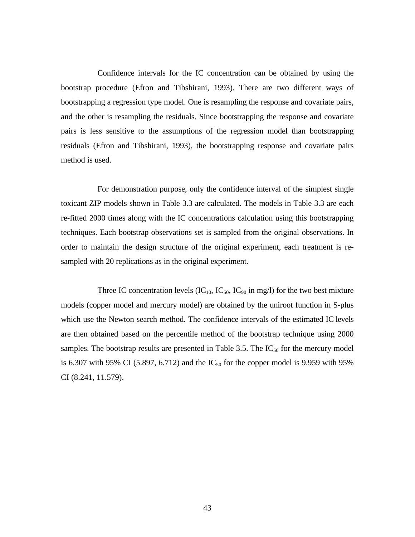Confidence intervals for the IC concentration can be obtained by using the bootstrap procedure (Efron and Tibshirani, 1993). There are two different ways of bootstrapping a regression type model. One is resampling the response and covariate pairs, and the other is resampling the residuals. Since bootstrapping the response and covariate pairs is less sensitive to the assumptions of the regression model than bootstrapping residuals (Efron and Tibshirani, 1993), the bootstrapping response and covariate pairs method is used.

For demonstration purpose, only the confidence interval of the simplest single toxicant ZIP models shown in Table 3.3 are calculated. The models in Table 3.3 are each re-fitted 2000 times along with the IC concentrations calculation using this bootstrapping techniques. Each bootstrap observations set is sampled from the original observations. In order to maintain the design structure of the original experiment, each treatment is resampled with 20 replications as in the original experiment.

Three IC concentration levels  $(IC_{10}, IC_{50}, IC_{90})$  in mg/l) for the two best mixture models (copper model and mercury model) are obtained by the uniroot function in S-plus which use the Newton search method. The confidence intervals of the estimated IC levels are then obtained based on the percentile method of the bootstrap technique using 2000 samples. The bootstrap results are presented in Table 3.5. The  $IC_{50}$  for the mercury model is 6.307 with 95% CI (5.897, 6.712) and the  $IC_{50}$  for the copper model is 9.959 with 95% CI (8.241, 11.579).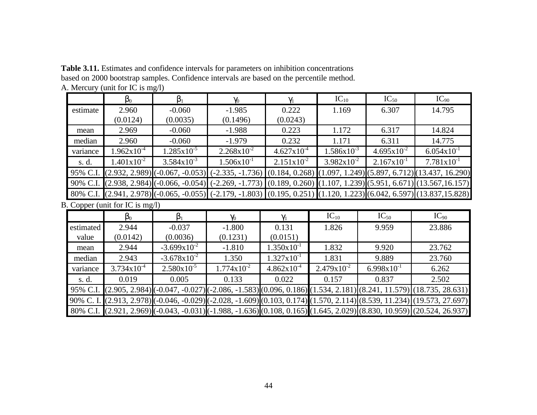**Table 3.11.** Estimates and confidence intervals for parameters on inhibition concentrations based on 2000 bootstrap samples. Confidence intervals are based on the percentile method. A. Mercury (unit for IC is mg/l)

|           | $\beta_0$                       | $\beta_1$                           | $\gamma_0$             | $\gamma_1$             | $IC_{10}$              | $IC_{50}$       | $IC_{90}$                                                                                                                 |
|-----------|---------------------------------|-------------------------------------|------------------------|------------------------|------------------------|-----------------|---------------------------------------------------------------------------------------------------------------------------|
| estimate  | 2.960                           | $-0.060$                            | $-1.985$               | 0.222                  | 1.169                  | 6.307           | 14.795                                                                                                                    |
|           | (0.0124)                        | (0.0035)                            | (0.1496)               | (0.0243)               |                        |                 |                                                                                                                           |
| mean      | 2.969                           | $-0.060$                            | $-1.988$               | 0.223                  | 1.172                  | 6.317           | 14.824                                                                                                                    |
| median    | 2.960                           | $-0.060$                            | $-1.979$               | 0.232                  | 1.171                  | 6.311           | 14.775                                                                                                                    |
| variance  | $1.962 \times 10^{-4}$          | $1.285 \times 10^{-5}$              | $2.268 \times 10^{-2}$ | $4.627 \times 10^{-4}$ | $1.586 \times 10^{-3}$ | $4.695x10^{-2}$ | $6.054 \times 10^{-1}$                                                                                                    |
| s. d.     | $1.401x10^{-2}$                 | $3.584x10^{-3}$                     | $1.506x10^{-1}$        | $2.151x10^{-2}$        | $3.982 \times 10^{-2}$ | $2.167x10^{-1}$ | $7.781 \mathrm{x} 10^{-1}$                                                                                                |
| 95% C.I.  |                                 | $(2.932, 2.989)$ $(-0.067, -0.053)$ | $(-2.335, -1.736)$     | (0.184, 0.268)         |                        |                 | $(1.097, 1.249)$ $(5.897, 6.712)$ $(13.437, 16.290)$                                                                      |
|           |                                 |                                     |                        |                        |                        |                 | 90% C.I. (2.938, 2.984) (-0.066, -0.054) (-2.269, -1.773) (0.189, 0.260) (1.107, 1.239) (5.951, 6.671) (13.567, 16.157)   |
|           |                                 |                                     |                        |                        |                        |                 | 80% C.I. (2.941, 2.978) (-0.065, -0.055) (-2.179, -1.803) (0.195, 0.251) (1.120, 1.223) (6.042, 6.597) (13.837,15.828)    |
|           | B. Copper (unit for IC is mg/l) |                                     |                        |                        |                        |                 |                                                                                                                           |
|           | $\beta_0$                       | $\beta_1$                           | $\gamma_0$             | $\gamma_1$             | $IC_{10}$              | $IC_{50}$       | $IC_{90}$                                                                                                                 |
| estimated | 2.944                           | $-0.037$                            | $-1.800$               | 0.131                  | 1.826                  | 9.959           | 23.886                                                                                                                    |
| value     | (0.0142)                        | (0.0036)                            | (0.1231)               | (0.0151)               |                        |                 |                                                                                                                           |
| mean      | 2.944                           | $-3.699x10^{-2}$                    | $-1.810$               | $1.350 \times 10^{-1}$ | 1.832                  | 9.920           | 23.762                                                                                                                    |
| median    | 2.943                           | $-3.678 \times 10^{-2}$             | 1.350                  | $1.327 \times 10^{-1}$ | 1.831                  | 9.889           | 23.760                                                                                                                    |
| variance  | $3.734 \times 10^{-4}$          | $2.580 \times 10^{-5}$              | $1.774 \times 10^{-2}$ | $4.862 \times 10^{-4}$ | $2.479 \times 10^{-2}$ | $6.998x10^{-1}$ | 6.262                                                                                                                     |
| s. d.     | 0.019                           | 0.005                               | 0.133                  | 0.022                  | 0.157                  | 0.837           | 2.502                                                                                                                     |
|           |                                 |                                     |                        |                        |                        |                 | 95% C.I. (2.905, 2.984) (-0.047, -0.027) (-2.086, -1.583) (0.096, 0.186) (1.534, 2.181) (8.241, 11.579) (18.735, 28.631)  |
|           |                                 |                                     |                        |                        |                        |                 | 90% C. I. (2.913, 2.978) (-0.046, -0.029) (-2.028, -1.609) (0.103, 0.174) (1.570, 2.114) (8.539, 11.234) (19.573, 27.697) |
|           |                                 |                                     |                        |                        |                        |                 | 80% C.I. (2.921, 2.969) (-0.043, -0.031) (-1.988, -1.636) (0.108, 0.165) (1.645, 2.029) (8.830, 10.959) (20.524, 26.937)  |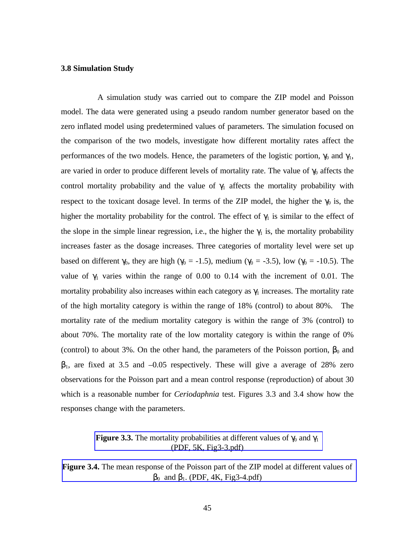#### **3.8 Simulation Study**

A simulation study was carried out to compare the ZIP model and Poisson model. The data were generated using a pseudo random number generator based on the zero inflated model using predetermined values of parameters. The simulation focused on the comparison of the two models, investigate how different mortality rates affect the performances of the two models. Hence, the parameters of the logistic portion,  $\gamma_0$  and  $\gamma_1$ , are varied in order to produce different levels of mortality rate. The value of  $\gamma_0$  affects the control mortality probability and the value of  $\gamma_1$  affects the mortality probability with respect to the toxicant dosage level. In terms of the ZIP model, the higher the  $\gamma_0$  is, the higher the mortality probability for the control. The effect of  $\gamma_1$  is similar to the effect of the slope in the simple linear regression, i.e., the higher the  $\gamma_1$  is, the mortality probability increases faster as the dosage increases. Three categories of mortality level were set up based on different  $\gamma_0$ , they are high ( $\gamma_0$  = -1.5), medium ( $\gamma_0$  = -3.5), low ( $\gamma_0$  = -10.5). The value of  $γ_1$  varies within the range of 0.00 to 0.14 with the increment of 0.01. The mortality probability also increases within each category as  $\gamma_1$  increases. The mortality rate of the high mortality category is within the range of 18% (control) to about 80%. The mortality rate of the medium mortality category is within the range of 3% (control) to about 70%. The mortality rate of the low mortality category is within the range of 0% (control) to about 3%. On the other hand, the parameters of the Poisson portion,  $\beta_0$  and  $\beta_1$ , are fixed at 3.5 and  $-0.05$  respectively. These will give a average of 28% zero observations for the Poisson part and a mean control response (reproduction) of about 30 which is a reasonable number for *Ceriodaphnia* test. Figures 3.3 and 3.4 show how the responses change with the parameters.

#### **Figure 3.3.** The mortality probabilities at different values of  $\gamma_0$  and  $\gamma_1$ (PDF, 5K, Fig3-3.pdf)

**Figure 3.4.** The mean response of the Poisson part of the ZIP model at different values of  $β<sub>0</sub>$  and  $β<sub>1</sub>$ . (PDF, 4K, Fig3-4.pdf)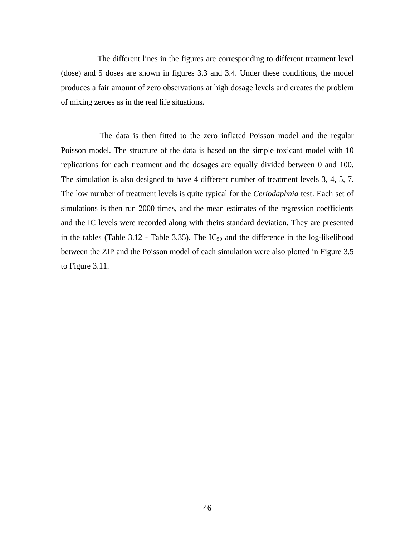The different lines in the figures are corresponding to different treatment level (dose) and 5 doses are shown in figures 3.3 and 3.4. Under these conditions, the model produces a fair amount of zero observations at high dosage levels and creates the problem of mixing zeroes as in the real life situations.

 The data is then fitted to the zero inflated Poisson model and the regular Poisson model. The structure of the data is based on the simple toxicant model with 10 replications for each treatment and the dosages are equally divided between 0 and 100. The simulation is also designed to have 4 different number of treatment levels 3, 4, 5, 7. The low number of treatment levels is quite typical for the *Ceriodaphnia* test. Each set of simulations is then run 2000 times, and the mean estimates of the regression coefficients and the IC levels were recorded along with theirs standard deviation. They are presented in the tables (Table 3.12 - Table 3.35). The  $IC_{50}$  and the difference in the log-likelihood between the ZIP and the Poisson model of each simulation were also plotted in Figure 3.5 to Figure 3.11.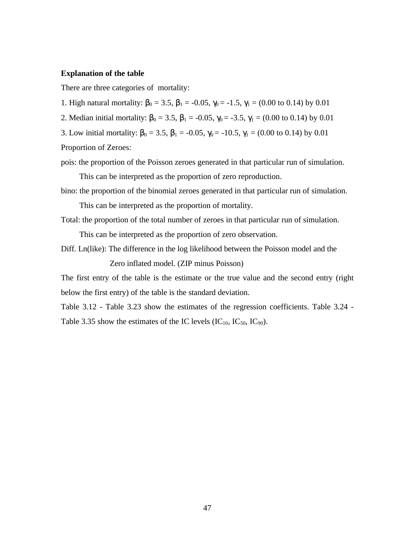#### **Explanation of the table**

There are three categories of mortality:

1. High natural mortality:  $\beta_0 = 3.5$ ,  $\beta_1 = -0.05$ ,  $\gamma_0 = -1.5$ ,  $\gamma_1 = (0.00 \text{ to } 0.14)$  by 0.01

2. Median initial mortality:  $\beta_0 = 3.5$ ,  $\beta_1 = -0.05$ ,  $\gamma_0 = -3.5$ ,  $\gamma_1 = (0.00 \text{ to } 0.14)$  by 0.01

3. Low initial mortality:  $\beta_0 = 3.5$ ,  $\beta_1 = -0.05$ ,  $\gamma_0 = -10.5$ ,  $\gamma_1 = (0.00 \text{ to } 0.14)$  by 0.01

Proportion of Zeroes:

pois: the proportion of the Poisson zeroes generated in that particular run of simulation.

This can be interpreted as the proportion of zero reproduction.

bino: the proportion of the binomial zeroes generated in that particular run of simulation.

This can be interpreted as the proportion of mortality.

Total: the proportion of the total number of zeroes in that particular run of simulation.

This can be interpreted as the proportion of zero observation.

Diff. Ln(like): The difference in the log likelihood between the Poisson model and the

Zero inflated model. (ZIP minus Poisson)

The first entry of the table is the estimate or the true value and the second entry (right below the first entry) of the table is the standard deviation.

Table 3.12 - Table 3.23 show the estimates of the regression coefficients. Table 3.24 - Table 3.35 show the estimates of the IC levels  $(IC_{10}, IC_{50}, IC_{90})$ .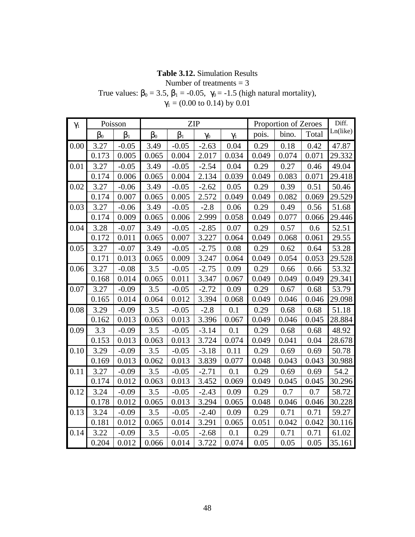### **Table 3.12.** Simulation Results

Number of treatments  $= 3$ 

True values:  $\beta_0 = 3.5$ ,  $\beta_1 = -0.05$ ,  $\gamma_0 = -1.5$  (high natural mortality),

| $\gamma_1$ |           | Poisson   |           |           | <b>ZIP</b> | Proportion of Zeroes |       |       | Diff. |          |
|------------|-----------|-----------|-----------|-----------|------------|----------------------|-------|-------|-------|----------|
|            | $\beta_0$ | $\beta_1$ | $\beta_0$ | $\beta_1$ | $\gamma_0$ | $\gamma_1$           | pois. | bino. | Total | Ln(like) |
| 0.00       | 3.27      | $-0.05$   | 3.49      | $-0.05$   | $-2.63$    | 0.04                 | 0.29  | 0.18  | 0.42  | 47.87    |
|            | 0.173     | 0.005     | 0.065     | 0.004     | 2.017      | 0.034                | 0.049 | 0.074 | 0.071 | 29.332   |
| 0.01       | 3.27      | $-0.05$   | 3.49      | $-0.05$   | $-2.54$    | 0.04                 | 0.29  | 0.27  | 0.46  | 49.04    |
|            | 0.174     | 0.006     | 0.065     | 0.004     | 2.134      | 0.039                | 0.049 | 0.083 | 0.071 | 29.418   |
| 0.02       | 3.27      | $-0.06$   | 3.49      | $-0.05$   | $-2.62$    | 0.05                 | 0.29  | 0.39  | 0.51  | 50.46    |
|            | 0.174     | 0.007     | 0.065     | 0.005     | 2.572      | 0.049                | 0.049 | 0.082 | 0.069 | 29.529   |
| 0.03       | 3.27      | $-0.06$   | 3.49      | $-0.05$   | $-2.8$     | 0.06                 | 0.29  | 0.49  | 0.56  | 51.68    |
|            | 0.174     | 0.009     | 0.065     | 0.006     | 2.999      | 0.058                | 0.049 | 0.077 | 0.066 | 29.446   |
| 0.04       | 3.28      | $-0.07$   | 3.49      | $-0.05$   | $-2.85$    | 0.07                 | 0.29  | 0.57  | 0.6   | 52.51    |
|            | 0.172     | 0.011     | 0.065     | 0.007     | 3.227      | 0.064                | 0.049 | 0.068 | 0.061 | 29.55    |
| 0.05       | 3.27      | $-0.07$   | 3.49      | $-0.05$   | $-2.75$    | 0.08                 | 0.29  | 0.62  | 0.64  | 53.28    |
|            | 0.171     | 0.013     | 0.065     | 0.009     | 3.247      | 0.064                | 0.049 | 0.054 | 0.053 | 29.528   |
| 0.06       | 3.27      | $-0.08$   | 3.5       | $-0.05$   | $-2.75$    | 0.09                 | 0.29  | 0.66  | 0.66  | 53.32    |
|            | 0.168     | 0.014     | 0.065     | 0.011     | 3.347      | 0.067                | 0.049 | 0.049 | 0.049 | 29.341   |
| 0.07       | 3.27      | $-0.09$   | 3.5       | $-0.05$   | $-2.72$    | 0.09                 | 0.29  | 0.67  | 0.68  | 53.79    |
|            | 0.165     | 0.014     | 0.064     | 0.012     | 3.394      | 0.068                | 0.049 | 0.046 | 0.046 | 29.098   |
| 0.08       | 3.29      | $-0.09$   | 3.5       | $-0.05$   | $-2.8$     | 0.1                  | 0.29  | 0.68  | 0.68  | 51.18    |
|            | 0.162     | 0.013     | 0.063     | 0.013     | 3.396      | 0.067                | 0.049 | 0.046 | 0.045 | 28.884   |
| 0.09       | 3.3       | $-0.09$   | 3.5       | $-0.05$   | $-3.14$    | 0.1                  | 0.29  | 0.68  | 0.68  | 48.92    |
|            | 0.153     | 0.013     | 0.063     | 0.013     | 3.724      | 0.074                | 0.049 | 0.041 | 0.04  | 28.678   |
| 0.10       | 3.29      | $-0.09$   | 3.5       | $-0.05$   | $-3.18$    | 0.11                 | 0.29  | 0.69  | 0.69  | 50.78    |
|            | 0.169     | 0.013     | 0.062     | 0.013     | 3.839      | 0.077                | 0.048 | 0.043 | 0.043 | 30.988   |
| 0.11       | 3.27      | $-0.09$   | 3.5       | $-0.05$   | $-2.71$    | 0.1                  | 0.29  | 0.69  | 0.69  | 54.2     |
|            | 0.174     | 0.012     | 0.063     | 0.013     | 3.452      | 0.069                | 0.049 | 0.045 | 0.045 | 30.296   |
| 0.12       | 3.24      | $-0.09$   | 3.5       | $-0.05$   | $-2.43$    | 0.09                 | 0.29  | 0.7   | 0.7   | 58.72    |
|            | 0.178     | 0.012     | 0.065     | 0.013     | 3.294      | 0.065                | 0.048 | 0.046 | 0.046 | 30.228   |
| 0.13       | 3.24      | $-0.09$   | 3.5       | $-0.05$   | $-2.40$    | 0.09                 | 0.29  | 0.71  | 0.71  | 59.27    |
|            | 0.181     | 0.012     | 0.065     | 0.014     | 3.291      | 0.065                | 0.051 | 0.042 | 0.042 | 30.116   |
| 0.14       | 3.22      | $-0.09$   | 3.5       | $-0.05$   | $-2.68$    | 0.1                  | 0.29  | 0.71  | 0.71  | 61.02    |
|            | 0.204     | 0.012     | 0.066     | 0.014     | 3.722      | 0.074                | 0.05  | 0.05  | 0.05  | 35.161   |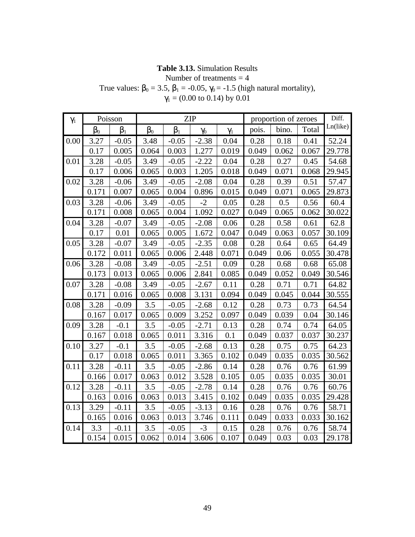### **Table 3.13.** Simulation Results

Number of treatments  $=$  4

True values:  $b_0 = 3.5$ ,  $b_1 = -0.05$ ,  $\gamma_0 = -1.5$  (high natural mortality),

| $\gamma_1$ |       | Poisson        | <b>ZIP</b> |         |            |            |       | proportion of zeroes |       |          |  |
|------------|-------|----------------|------------|---------|------------|------------|-------|----------------------|-------|----------|--|
|            | $b_0$ | $\mathsf{b}_1$ | $b_0$      | $b_1$   | $\gamma_0$ | $\gamma_1$ | pois. | bino.                | Total | Ln(like) |  |
| 0.00       | 3.27  | $-0.05$        | 3.48       | $-0.05$ | $-2.38$    | 0.04       | 0.28  | 0.18                 | 0.41  | 52.24    |  |
|            | 0.17  | 0.005          | 0.064      | 0.003   | 1.277      | 0.019      | 0.049 | 0.062                | 0.067 | 29.778   |  |
| 0.01       | 3.28  | $-0.05$        | 3.49       | $-0.05$ | $-2.22$    | 0.04       | 0.28  | 0.27                 | 0.45  | 54.68    |  |
|            | 0.17  | 0.006          | 0.065      | 0.003   | 1.205      | 0.018      | 0.049 | 0.071                | 0.068 | 29.945   |  |
| 0.02       | 3.28  | $-0.06$        | 3.49       | $-0.05$ | $-2.08$    | 0.04       | 0.28  | 0.39                 | 0.51  | 57.47    |  |
|            | 0.171 | 0.007          | 0.065      | 0.004   | 0.896      | 0.015      | 0.049 | 0.071                | 0.065 | 29.873   |  |
| 0.03       | 3.28  | $-0.06$        | 3.49       | $-0.05$ | $-2$       | 0.05       | 0.28  | 0.5                  | 0.56  | 60.4     |  |
|            | 0.171 | 0.008          | 0.065      | 0.004   | 1.092      | 0.027      | 0.049 | 0.065                | 0.062 | 30.022   |  |
| 0.04       | 3.28  | $-0.07$        | 3.49       | $-0.05$ | $-2.08$    | 0.06       | 0.28  | 0.58                 | 0.61  | 62.8     |  |
|            | 0.17  | 0.01           | 0.065      | 0.005   | 1.672      | 0.047      | 0.049 | 0.063                | 0.057 | 30.109   |  |
| 0.05       | 3.28  | $-0.07$        | 3.49       | $-0.05$ | $-2.35$    | 0.08       | 0.28  | 0.64                 | 0.65  | 64.49    |  |
|            | 0.172 | 0.011          | 0.065      | 0.006   | 2.448      | 0.071      | 0.049 | 0.06                 | 0.055 | 30.478   |  |
| 0.06       | 3.28  | $-0.08$        | 3.49       | $-0.05$ | $-2.51$    | 0.09       | 0.28  | 0.68                 | 0.68  | 65.08    |  |
|            | 0.173 | 0.013          | 0.065      | 0.006   | 2.841      | 0.085      | 0.049 | 0.052                | 0.049 | 30.546   |  |
| 0.07       | 3.28  | $-0.08$        | 3.49       | $-0.05$ | $-2.67$    | 0.11       | 0.28  | 0.71                 | 0.71  | 64.82    |  |
|            | 0.171 | 0.016          | 0.065      | 0.008   | 3.131      | 0.094      | 0.049 | 0.045                | 0.044 | 30.555   |  |
| 0.08       | 3.28  | $-0.09$        | 3.5        | $-0.05$ | $-2.68$    | 0.12       | 0.28  | 0.73                 | 0.73  | 64.54    |  |
|            | 0.167 | 0.017          | 0.065      | 0.009   | 3.252      | 0.097      | 0.049 | 0.039                | 0.04  | 30.146   |  |
| 0.09       | 3.28  | $-0.1$         | 3.5        | $-0.05$ | $-2.71$    | 0.13       | 0.28  | 0.74                 | 0.74  | 64.05    |  |
|            | 0.167 | 0.018          | 0.065      | 0.011   | 3.316      | 0.1        | 0.049 | 0.037                | 0.037 | 30.237   |  |
| 0.10       | 3.27  | $-0.1$         | 3.5        | $-0.05$ | $-2.68$    | 0.13       | 0.28  | 0.75                 | 0.75  | 64.23    |  |
|            | 0.17  | 0.018          | 0.065      | 0.011   | 3.365      | 0.102      | 0.049 | 0.035                | 0.035 | 30.562   |  |
| 0.11       | 3.28  | $-0.11$        | 3.5        | $-0.05$ | $-2.86$    | 0.14       | 0.28  | 0.76                 | 0.76  | 61.99    |  |
|            | 0.166 | 0.017          | 0.063      | 0.012   | 3.528      | 0.105      | 0.05  | 0.035                | 0.035 | 30.01    |  |
| 0.12       | 3.28  | $-0.11$        | 3.5        | $-0.05$ | $-2.78$    | 0.14       | 0.28  | 0.76                 | 0.76  | 60.76    |  |
|            | 0.163 | 0.016          | 0.063      | 0.013   | 3.415      | 0.102      | 0.049 | 0.035                | 0.035 | 29.428   |  |
| 0.13       | 3.29  | $-0.11$        | 3.5        | $-0.05$ | $-3.13$    | 0.16       | 0.28  | 0.76                 | 0.76  | 58.71    |  |
|            | 0.165 | 0.016          | 0.063      | 0.013   | 3.746      | 0.111      | 0.049 | 0.033                | 0.033 | 30.162   |  |
| 0.14       | 3.3   | $-0.11$        | 3.5        | $-0.05$ | $-3$       | 0.15       | 0.28  | 0.76                 | 0.76  | 58.74    |  |
|            | 0.154 | 0.015          | 0.062      | 0.014   | 3.606      | 0.107      | 0.049 | 0.03                 | 0.03  | 29.178   |  |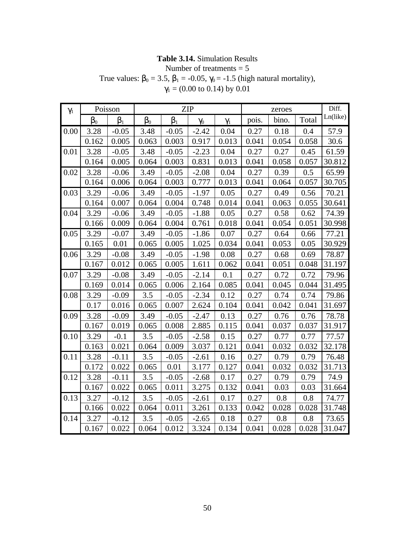#### **Table 3.14.** Simulation Results

Number of treatments = 5

True values:  $b_0 = 3.5$ ,  $b_1 = -0.05$ ,  $\gamma_0 = -1.5$  (high natural mortality),

| $\gamma_1$ | Poisson |                |       |                | <b>ZIP</b> |            |       |       | Diff. |          |
|------------|---------|----------------|-------|----------------|------------|------------|-------|-------|-------|----------|
|            | $b_0$   | b <sub>1</sub> | $b_0$ | b <sub>1</sub> | $\gamma_0$ | $\gamma_1$ | pois. | bino. | Total | Ln(like) |
| 0.00       | 3.28    | $-0.05$        | 3.48  | $-0.05$        | $-2.42$    | 0.04       | 0.27  | 0.18  | 0.4   | 57.9     |
|            | 0.162   | 0.005          | 0.063 | 0.003          | 0.917      | 0.013      | 0.041 | 0.054 | 0.058 | 30.6     |
| 0.01       | 3.28    | $-0.05$        | 3.48  | $-0.05$        | $-2.23$    | 0.04       | 0.27  | 0.27  | 0.45  | 61.59    |
|            | 0.164   | 0.005          | 0.064 | 0.003          | 0.831      | 0.013      | 0.041 | 0.058 | 0.057 | 30.812   |
| 0.02       | 3.28    | $-0.06$        | 3.49  | $-0.05$        | $-2.08$    | 0.04       | 0.27  | 0.39  | 0.5   | 65.99    |
|            | 0.164   | 0.006          | 0.064 | 0.003          | 0.777      | 0.013      | 0.041 | 0.064 | 0.057 | 30.705   |
| 0.03       | 3.29    | $-0.06$        | 3.49  | $-0.05$        | $-1.97$    | 0.05       | 0.27  | 0.49  | 0.56  | 70.21    |
|            | 0.164   | 0.007          | 0.064 | 0.004          | 0.748      | 0.014      | 0.041 | 0.063 | 0.055 | 30.641   |
| 0.04       | 3.29    | $-0.06$        | 3.49  | $-0.05$        | $-1.88$    | 0.05       | 0.27  | 0.58  | 0.62  | 74.39    |
|            | 0.166   | 0.009          | 0.064 | 0.004          | 0.761      | 0.018      | 0.041 | 0.054 | 0.051 | 30.998   |
| 0.05       | 3.29    | $-0.07$        | 3.49  | $-0.05$        | $-1.86$    | 0.07       | 0.27  | 0.64  | 0.66  | 77.21    |
|            | 0.165   | 0.01           | 0.065 | 0.005          | 1.025      | 0.034      | 0.041 | 0.053 | 0.05  | 30.929   |
| 0.06       | 3.29    | $-0.08$        | 3.49  | $-0.05$        | $-1.98$    | 0.08       | 0.27  | 0.68  | 0.69  | 78.87    |
|            | 0.167   | 0.012          | 0.065 | 0.005          | 1.611      | 0.062      | 0.041 | 0.051 | 0.048 | 31.197   |
| 0.07       | 3.29    | $-0.08$        | 3.49  | $-0.05$        | $-2.14$    | 0.1        | 0.27  | 0.72  | 0.72  | 79.96    |
|            | 0.169   | 0.014          | 0.065 | 0.006          | 2.164      | 0.085      | 0.041 | 0.045 | 0.044 | 31.495   |
| 0.08       | 3.29    | $-0.09$        | 3.5   | $-0.05$        | $-2.34$    | 0.12       | 0.27  | 0.74  | 0.74  | 79.86    |
|            | 0.17    | 0.016          | 0.065 | 0.007          | 2.624      | 0.104      | 0.041 | 0.042 | 0.041 | 31.697   |
| 0.09       | 3.28    | $-0.09$        | 3.49  | $-0.05$        | $-2.47$    | 0.13       | 0.27  | 0.76  | 0.76  | 78.78    |
|            | 0.167   | 0.019          | 0.065 | 0.008          | 2.885      | 0.115      | 0.041 | 0.037 | 0.037 | 31.917   |
| 0.10       | 3.29    | $-0.1$         | 3.5   | $-0.05$        | $-2.58$    | 0.15       | 0.27  | 0.77  | 0.77  | 77.57    |
|            | 0.163   | 0.021          | 0.064 | 0.009          | 3.037      | 0.121      | 0.041 | 0.032 | 0.032 | 32.178   |
| 0.11       | 3.28    | $-0.11$        | 3.5   | $-0.05$        | $-2.61$    | 0.16       | 0.27  | 0.79  | 0.79  | 76.48    |
|            | 0.172   | 0.022          | 0.065 | 0.01           | 3.177      | 0.127      | 0.041 | 0.032 | 0.032 | 31.713   |
| 0.12       | 3.28    | $-0.11$        | 3.5   | $-0.05$        | $-2.68$    | 0.17       | 0.27  | 0.79  | 0.79  | 74.9     |
|            | 0.167   | 0.022          | 0.065 | 0.011          | 3.275      | 0.132      | 0.041 | 0.03  | 0.03  | 31.664   |
| 0.13       | 3.27    | $-0.12$        | 3.5   | $-0.05$        | $-2.61$    | 0.17       | 0.27  | 0.8   | 0.8   | 74.77    |
|            | 0.166   | 0.022          | 0.064 | 0.011          | 3.261      | 0.133      | 0.042 | 0.028 | 0.028 | 31.748   |
| 0.14       | 3.27    | $-0.12$        | 3.5   | $-0.05$        | $-2.65$    | 0.18       | 0.27  | 0.8   | 0.8   | 73.65    |
|            | 0.167   | 0.022          | 0.064 | 0.012          | 3.324      | 0.134      | 0.041 | 0.028 | 0.028 | 31.047   |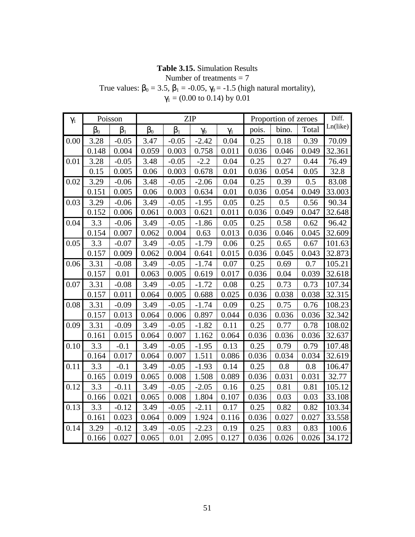### **Table 3.15.** Simulation Results

Number of treatments  $= 7$ 

True values:  $b_0 = 3.5$ ,  $b_1 = -0.05$ ,  $\gamma_0 = -1.5$  (high natural mortality),

| $\gamma_1$ |       | Poisson        |       |         | <b>ZIP</b> |            |       | Proportion of zeroes |         | Diff.    |
|------------|-------|----------------|-------|---------|------------|------------|-------|----------------------|---------|----------|
|            | $b_0$ | b <sub>1</sub> | $b_0$ | $b_1$   | $\gamma_0$ | $\gamma_1$ | pois. | bino.                | Total   | Ln(like) |
| 0.00       | 3.28  | $-0.05$        | 3.47  | $-0.05$ | $-2.42$    | 0.04       | 0.25  | 0.18                 | 0.39    | 70.09    |
|            | 0.148 | 0.004          | 0.059 | 0.003   | 0.758      | 0.011      | 0.036 | 0.046                | 0.049   | 32.361   |
| 0.01       | 3.28  | $-0.05$        | 3.48  | $-0.05$ | $-2.2$     | 0.04       | 0.25  | 0.27                 | 0.44    | 76.49    |
|            | 0.15  | 0.005          | 0.06  | 0.003   | 0.678      | 0.01       | 0.036 | 0.054                | 0.05    | 32.8     |
| 0.02       | 3.29  | $-0.06$        | 3.48  | $-0.05$ | $-2.06$    | 0.04       | 0.25  | 0.39                 | 0.5     | 83.08    |
|            | 0.151 | 0.005          | 0.06  | 0.003   | 0.634      | 0.01       | 0.036 | 0.054                | 0.049   | 33.003   |
| 0.03       | 3.29  | $-0.06$        | 3.49  | $-0.05$ | $-1.95$    | 0.05       | 0.25  | 0.5                  | 0.56    | 90.34    |
|            | 0.152 | 0.006          | 0.061 | 0.003   | 0.621      | 0.011      | 0.036 | 0.049                | 0.047   | 32.648   |
| 0.04       | 3.3   | $-0.06$        | 3.49  | $-0.05$ | $-1.86$    | 0.05       | 0.25  | 0.58                 | 0.62    | 96.42    |
|            | 0.154 | 0.007          | 0.062 | 0.004   | 0.63       | 0.013      | 0.036 | 0.046                | 0.045   | 32.609   |
| 0.05       | 3.3   | $-0.07$        | 3.49  | $-0.05$ | $-1.79$    | 0.06       | 0.25  | 0.65                 | 0.67    | 101.63   |
|            | 0.157 | 0.009          | 0.062 | 0.004   | 0.641      | 0.015      | 0.036 | 0.045                | 0.043   | 32.873   |
| 0.06       | 3.31  | $-0.08$        | 3.49  | $-0.05$ | $-1.74$    | 0.07       | 0.25  | 0.69                 | 0.7     | 105.21   |
|            | 0.157 | 0.01           | 0.063 | 0.005   | 0.619      | 0.017      | 0.036 | 0.04                 | 0.039   | 32.618   |
| 0.07       | 3.31  | $-0.08$        | 3.49  | $-0.05$ | $-1.72$    | 0.08       | 0.25  | 0.73                 | 0.73    | 107.34   |
|            | 0.157 | 0.011          | 0.064 | 0.005   | 0.688      | 0.025      | 0.036 | 0.038                | 0.038   | 32.315   |
| 0.08       | 3.31  | $-0.09$        | 3.49  | $-0.05$ | $-1.74$    | 0.09       | 0.25  | 0.75                 | 0.76    | 108.23   |
|            | 0.157 | 0.013          | 0.064 | 0.006   | 0.897      | 0.044      | 0.036 | 0.036                | 0.036   | 32.342   |
| 0.09       | 3.31  | $-0.09$        | 3.49  | $-0.05$ | $-1.82$    | 0.11       | 0.25  | 0.77                 | 0.78    | 108.02   |
|            | 0.161 | 0.015          | 0.064 | 0.007   | 1.162      | 0.064      | 0.036 | 0.036                | 0.036   | 32.637   |
| 0.10       | 3.3   | $-0.1$         | 3.49  | $-0.05$ | $-1.95$    | 0.13       | 0.25  | 0.79                 | 0.79    | 107.48   |
|            | 0.164 | 0.017          | 0.064 | 0.007   | 1.511      | 0.086      | 0.036 | 0.034                | 0.034   | 32.619   |
| 0.11       | 3.3   | $-0.1$         | 3.49  | $-0.05$ | $-1.93$    | 0.14       | 0.25  | 0.8                  | $0.8\,$ | 106.47   |
|            | 0.165 | 0.019          | 0.065 | 0.008   | 1.508      | 0.089      | 0.036 | 0.031                | 0.031   | 32.77    |
| 0.12       | 3.3   | $-0.11$        | 3.49  | $-0.05$ | $-2.05$    | 0.16       | 0.25  | 0.81                 | 0.81    | 105.12   |
|            | 0.166 | 0.021          | 0.065 | 0.008   | 1.804      | 0.107      | 0.036 | 0.03                 | 0.03    | 33.108   |
| 0.13       | 3.3   | $-0.12$        | 3.49  | $-0.05$ | $-2.11$    | 0.17       | 0.25  | 0.82                 | 0.82    | 103.34   |
|            | 0.161 | 0.023          | 0.064 | 0.009   | 1.924      | 0.116      | 0.036 | 0.027                | 0.027   | 33.558   |
| 0.14       | 3.29  | $-0.12$        | 3.49  | $-0.05$ | $-2.23$    | 0.19       | 0.25  | 0.83                 | 0.83    | 100.6    |
|            | 0.166 | 0.027          | 0.065 | 0.01    | 2.095      | 0.127      | 0.036 | 0.026                | 0.026   | 34.172   |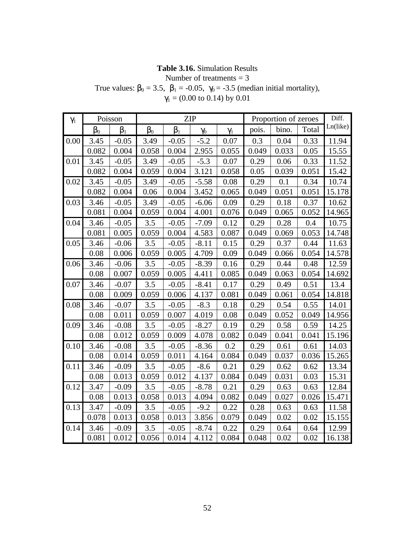# **Table 3.16.** Simulation Results

Number of treatments  $= 3$ 

True values:  $b_0 = 3.5$ ,  $b_1 = -0.05$ ,  $\gamma_0 = -3.5$  (median initial mortality),  $\gamma_1$  = (0.00 to 0.14) by 0.01

| $\gamma_1$ |       | Poisson        |       |                | <b>ZIP</b> |            |       | Proportion of zeroes |       | Diff.    |
|------------|-------|----------------|-------|----------------|------------|------------|-------|----------------------|-------|----------|
|            | $b_0$ | $\mathsf{b}_1$ | $b_0$ | b <sub>1</sub> | $\gamma_0$ | $\gamma_1$ | pois. | bino.                | Total | Ln(like) |
| 0.00       | 3.45  | $-0.05$        | 3.49  | $-0.05$        | $-5.2$     | 0.07       | 0.3   | 0.04                 | 0.33  | 11.94    |
|            | 0.082 | 0.004          | 0.058 | 0.004          | 2.955      | 0.055      | 0.049 | 0.033                | 0.05  | 15.55    |
| 0.01       | 3.45  | $-0.05$        | 3.49  | $-0.05$        | $-5.3$     | 0.07       | 0.29  | 0.06                 | 0.33  | 11.52    |
|            | 0.082 | 0.004          | 0.059 | 0.004          | 3.121      | 0.058      | 0.05  | 0.039                | 0.051 | 15.42    |
| 0.02       | 3.45  | $-0.05$        | 3.49  | $-0.05$        | $-5.58$    | 0.08       | 0.29  | 0.1                  | 0.34  | 10.74    |
|            | 0.082 | 0.004          | 0.06  | 0.004          | 3.452      | 0.065      | 0.049 | 0.051                | 0.051 | 15.178   |
| 0.03       | 3.46  | $-0.05$        | 3.49  | $-0.05$        | $-6.06$    | 0.09       | 0.29  | 0.18                 | 0.37  | 10.62    |
|            | 0.081 | 0.004          | 0.059 | 0.004          | 4.001      | 0.076      | 0.049 | 0.065                | 0.052 | 14.965   |
| 0.04       | 3.46  | $-0.05$        | 3.5   | $-0.05$        | $-7.09$    | 0.12       | 0.29  | 0.28                 | 0.4   | 10.75    |
|            | 0.081 | 0.005          | 0.059 | 0.004          | 4.583      | 0.087      | 0.049 | 0.069                | 0.053 | 14.748   |
| 0.05       | 3.46  | $-0.06$        | 3.5   | $-0.05$        | $-8.11$    | 0.15       | 0.29  | 0.37                 | 0.44  | 11.63    |
|            | 0.08  | 0.006          | 0.059 | 0.005          | 4.709      | 0.09       | 0.049 | 0.066                | 0.054 | 14.578   |
| 0.06       | 3.46  | $-0.06$        | 3.5   | $-0.05$        | $-8.39$    | 0.16       | 0.29  | 0.44                 | 0.48  | 12.59    |
|            | 0.08  | 0.007          | 0.059 | 0.005          | 4.411      | 0.085      | 0.049 | 0.063                | 0.054 | 14.692   |
| 0.07       | 3.46  | $-0.07$        | 3.5   | $-0.05$        | $-8.41$    | 0.17       | 0.29  | 0.49                 | 0.51  | 13.4     |
|            | 0.08  | 0.009          | 0.059 | 0.006          | 4.137      | 0.081      | 0.049 | 0.061                | 0.054 | 14.818   |
| 0.08       | 3.46  | $-0.07$        | 3.5   | $-0.05$        | $-8.3$     | 0.18       | 0.29  | 0.54                 | 0.55  | 14.01    |
|            | 0.08  | 0.011          | 0.059 | 0.007          | 4.019      | 0.08       | 0.049 | 0.052                | 0.049 | 14.956   |
| 0.09       | 3.46  | $-0.08$        | 3.5   | $-0.05$        | $-8.27$    | 0.19       | 0.29  | 0.58                 | 0.59  | 14.25    |
|            | 0.08  | 0.012          | 0.059 | 0.009          | 4.078      | 0.082      | 0.049 | 0.041                | 0.041 | 15.196   |
| 0.10       | 3.46  | $-0.08$        | 3.5   | $-0.05$        | $-8.36$    | 0.2        | 0.29  | 0.61                 | 0.61  | 14.03    |
|            | 0.08  | 0.014          | 0.059 | 0.011          | 4.164      | 0.084      | 0.049 | 0.037                | 0.036 | 15.265   |
| 0.11       | 3.46  | $-0.09$        | 3.5   | $-0.05$        | $-8.6$     | 0.21       | 0.29  | 0.62                 | 0.62  | 13.34    |
|            | 0.08  | 0.013          | 0.059 | 0.012          | 4.137      | 0.084      | 0.049 | 0.031                | 0.03  | 15.31    |
| 0.12       | 3.47  | $-0.09$        | 3.5   | $-0.05$        | $-8.78$    | 0.21       | 0.29  | 0.63                 | 0.63  | 12.84    |
|            | 0.08  | 0.013          | 0.058 | 0.013          | 4.094      | 0.082      | 0.049 | 0.027                | 0.026 | 15.471   |
| 0.13       | 3.47  | $-0.09$        | 3.5   | $-0.05$        | $-9.2$     | 0.22       | 0.28  | 0.63                 | 0.63  | 11.58    |
|            | 0.078 | 0.013          | 0.058 | 0.013          | 3.856      | 0.079      | 0.049 | 0.02                 | 0.02  | 15.155   |
| 0.14       | 3.46  | $-0.09$        | 3.5   | $-0.05$        | $-8.74$    | 0.22       | 0.29  | 0.64                 | 0.64  | 12.99    |
|            | 0.081 | 0.012          | 0.056 | 0.014          | 4.112      | 0.084      | 0.048 | 0.02                 | 0.02  | 16.138   |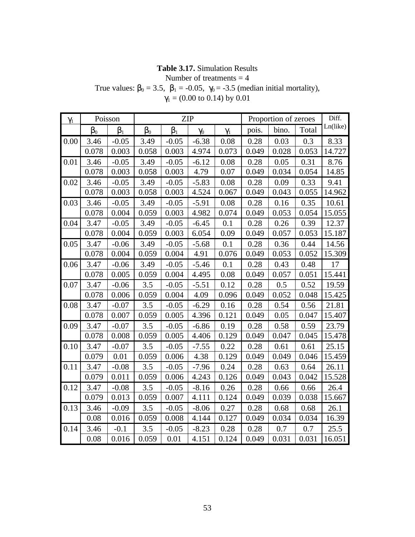# **Table 3.17.** Simulation Results

Number of treatments  $=$  4

True values:  $\beta_0 = 3.5$ ,  $\beta_1 = -0.05$ ,  $\gamma_0 = -3.5$  (median initial mortality),  $\gamma_1$  = (0.00 to 0.14) by 0.01

| $\gamma_1$ |           | Poisson   |           |           | <b>ZIP</b> |            | Proportion of zeroes |       | Diff. |          |
|------------|-----------|-----------|-----------|-----------|------------|------------|----------------------|-------|-------|----------|
|            | $\beta_0$ | $\beta_1$ | $\beta_0$ | $\beta_1$ | $\gamma_0$ | $\gamma_1$ | pois.                | bino. | Total | Ln(like) |
| 0.00       | 3.46      | $-0.05$   | 3.49      | $-0.05$   | $-6.38$    | 0.08       | 0.28                 | 0.03  | 0.3   | 8.33     |
|            | 0.078     | 0.003     | 0.058     | 0.003     | 4.974      | 0.073      | 0.049                | 0.028 | 0.053 | 14.727   |
| 0.01       | 3.46      | $-0.05$   | 3.49      | $-0.05$   | $-6.12$    | 0.08       | 0.28                 | 0.05  | 0.31  | 8.76     |
|            | 0.078     | 0.003     | 0.058     | 0.003     | 4.79       | 0.07       | 0.049                | 0.034 | 0.054 | 14.85    |
| 0.02       | 3.46      | $-0.05$   | 3.49      | $-0.05$   | $-5.83$    | 0.08       | 0.28                 | 0.09  | 0.33  | 9.41     |
|            | 0.078     | 0.003     | 0.058     | 0.003     | 4.524      | 0.067      | 0.049                | 0.043 | 0.055 | 14.962   |
| 0.03       | 3.46      | $-0.05$   | 3.49      | $-0.05$   | $-5.91$    | 0.08       | 0.28                 | 0.16  | 0.35  | 10.61    |
|            | 0.078     | 0.004     | 0.059     | 0.003     | 4.982      | 0.074      | 0.049                | 0.053 | 0.054 | 15.055   |
| 0.04       | 3.47      | $-0.05$   | 3.49      | $-0.05$   | $-6.45$    | 0.1        | 0.28                 | 0.26  | 0.39  | 12.37    |
|            | 0.078     | 0.004     | 0.059     | 0.003     | 6.054      | 0.09       | 0.049                | 0.057 | 0.053 | 15.187   |
| 0.05       | 3.47      | $-0.06$   | 3.49      | $-0.05$   | $-5.68$    | 0.1        | 0.28                 | 0.36  | 0.44  | 14.56    |
|            | 0.078     | 0.004     | 0.059     | 0.004     | 4.91       | 0.076      | 0.049                | 0.053 | 0.052 | 15.309   |
| 0.06       | 3.47      | $-0.06$   | 3.49      | $-0.05$   | $-5.46$    | 0.1        | 0.28                 | 0.43  | 0.48  | 17       |
|            | 0.078     | 0.005     | 0.059     | 0.004     | 4.495      | 0.08       | 0.049                | 0.057 | 0.051 | 15.441   |
| 0.07       | 3.47      | $-0.06$   | 3.5       | $-0.05$   | $-5.51$    | 0.12       | 0.28                 | 0.5   | 0.52  | 19.59    |
|            | 0.078     | 0.006     | 0.059     | 0.004     | 4.09       | 0.096      | 0.049                | 0.052 | 0.048 | 15.425   |
| 0.08       | 3.47      | $-0.07$   | 3.5       | $-0.05$   | $-6.29$    | 0.16       | 0.28                 | 0.54  | 0.56  | 21.81    |
|            | 0.078     | 0.007     | 0.059     | 0.005     | 4.396      | 0.121      | 0.049                | 0.05  | 0.047 | 15.407   |
| 0.09       | 3.47      | $-0.07$   | 3.5       | $-0.05$   | $-6.86$    | 0.19       | 0.28                 | 0.58  | 0.59  | 23.79    |
|            | 0.078     | 0.008     | 0.059     | 0.005     | 4.406      | 0.129      | 0.049                | 0.047 | 0.045 | 15.478   |
| 0.10       | 3.47      | $-0.07$   | 3.5       | $-0.05$   | $-7.55$    | 0.22       | 0.28                 | 0.61  | 0.61  | 25.15    |
|            | 0.079     | 0.01      | 0.059     | 0.006     | 4.38       | 0.129      | 0.049                | 0.049 | 0.046 | 15.459   |
| 0.11       | 3.47      | $-0.08$   | 3.5       | $-0.05$   | $-7.96$    | 0.24       | 0.28                 | 0.63  | 0.64  | 26.11    |
|            | 0.079     | 0.011     | 0.059     | 0.006     | 4.243      | 0.126      | 0.049                | 0.043 | 0.042 | 15.528   |
| 0.12       | 3.47      | $-0.08$   | 3.5       | $-0.05$   | $-8.16$    | 0.26       | 0.28                 | 0.66  | 0.66  | 26.4     |
|            | 0.079     | 0.013     | 0.059     | 0.007     | 4.111      | 0.124      | 0.049                | 0.039 | 0.038 | 15.667   |
| 0.13       | 3.46      | $-0.09$   | 3.5       | $-0.05$   | $-8.06$    | 0.27       | 0.28                 | 0.68  | 0.68  | 26.1     |
|            | 0.08      | 0.016     | 0.059     | 0.008     | 4.144      | 0.127      | 0.049                | 0.034 | 0.034 | 16.39    |
| 0.14       | 3.46      | $-0.1$    | 3.5       | $-0.05$   | $-8.23$    | 0.28       | 0.28                 | 0.7   | 0.7   | 25.5     |
|            | 0.08      | 0.016     | 0.059     | 0.01      | 4.151      | 0.124      | 0.049                | 0.031 | 0.031 | 16.051   |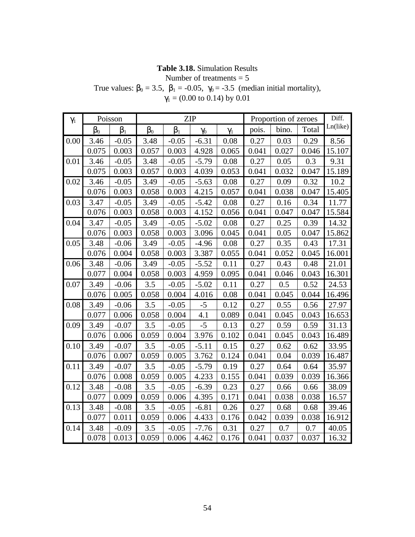# **Table 3.18.** Simulation Results

Number of treatments  $= 5$ 

True values:  $b_0 = 3.5$ ,  $b_1 = -0.05$ ,  $\gamma_0 = -3.5$  (median initial mortality),  $\gamma_1$  = (0.00 to 0.14) by 0.01

| $\gamma_1$ |       | Poisson        |       |                | <b>ZIP</b> |            |       | Proportion of zeroes |       | Diff.    |
|------------|-------|----------------|-------|----------------|------------|------------|-------|----------------------|-------|----------|
|            | $b_0$ | b <sub>1</sub> | $b_0$ | b <sub>1</sub> | $\gamma_0$ | $\gamma_1$ | pois. | bino.                | Total | Ln(like) |
| 0.00       | 3.46  | $-0.05$        | 3.48  | $-0.05$        | $-6.31$    | 0.08       | 0.27  | 0.03                 | 0.29  | 8.56     |
|            | 0.075 | 0.003          | 0.057 | 0.003          | 4.928      | 0.065      | 0.041 | 0.027                | 0.046 | 15.107   |
| 0.01       | 3.46  | $-0.05$        | 3.48  | $-0.05$        | $-5.79$    | 0.08       | 0.27  | 0.05                 | 0.3   | 9.31     |
|            | 0.075 | 0.003          | 0.057 | 0.003          | 4.039      | 0.053      | 0.041 | 0.032                | 0.047 | 15.189   |
| 0.02       | 3.46  | $-0.05$        | 3.49  | $-0.05$        | $-5.63$    | 0.08       | 0.27  | 0.09                 | 0.32  | 10.2     |
|            | 0.076 | 0.003          | 0.058 | 0.003          | 4.215      | 0.057      | 0.041 | 0.038                | 0.047 | 15.405   |
| 0.03       | 3.47  | $-0.05$        | 3.49  | $-0.05$        | $-5.42$    | 0.08       | 0.27  | 0.16                 | 0.34  | 11.77    |
|            | 0.076 | 0.003          | 0.058 | 0.003          | 4.152      | 0.056      | 0.041 | 0.047                | 0.047 | 15.584   |
| 0.04       | 3.47  | $-0.05$        | 3.49  | $-0.05$        | $-5.02$    | 0.08       | 0.27  | 0.25                 | 0.39  | 14.32    |
|            | 0.076 | 0.003          | 0.058 | 0.003          | 3.096      | 0.045      | 0.041 | 0.05                 | 0.047 | 15.862   |
| 0.05       | 3.48  | $-0.06$        | 3.49  | $-0.05$        | $-4.96$    | 0.08       | 0.27  | 0.35                 | 0.43  | 17.31    |
|            | 0.076 | 0.004          | 0.058 | 0.003          | 3.387      | 0.055      | 0.041 | 0.052                | 0.045 | 16.001   |
| 0.06       | 3.48  | $-0.06$        | 3.49  | $-0.05$        | $-5.52$    | 0.11       | 0.27  | 0.43                 | 0.48  | 21.01    |
|            | 0.077 | 0.004          | 0.058 | 0.003          | 4.959      | 0.095      | 0.041 | 0.046                | 0.043 | 16.301   |
| 0.07       | 3.49  | $-0.06$        | 3.5   | $-0.05$        | $-5.02$    | 0.11       | 0.27  | 0.5                  | 0.52  | 24.53    |
|            | 0.076 | 0.005          | 0.058 | 0.004          | 4.016      | 0.08       | 0.041 | 0.045                | 0.044 | 16.496   |
| 0.08       | 3.49  | $-0.06$        | 3.5   | $-0.05$        | $-5$       | 0.12       | 0.27  | 0.55                 | 0.56  | 27.97    |
|            | 0.077 | 0.006          | 0.058 | 0.004          | 4.1        | 0.089      | 0.041 | 0.045                | 0.043 | 16.653   |
| 0.09       | 3.49  | $-0.07$        | 3.5   | $-0.05$        | $-5$       | 0.13       | 0.27  | 0.59                 | 0.59  | 31.13    |
|            | 0.076 | 0.006          | 0.059 | 0.004          | 3.976      | 0.102      | 0.041 | 0.045                | 0.043 | 16.489   |
| 0.10       | 3.49  | $-0.07$        | 3.5   | $-0.05$        | $-5.11$    | 0.15       | 0.27  | 0.62                 | 0.62  | 33.95    |
|            | 0.076 | 0.007          | 0.059 | 0.005          | 3.762      | 0.124      | 0.041 | 0.04                 | 0.039 | 16.487   |
| 0.11       | 3.49  | $-0.07$        | 3.5   | $-0.05$        | $-5.79$    | 0.19       | 0.27  | 0.64                 | 0.64  | 35.97    |
|            | 0.076 | 0.008          | 0.059 | 0.005          | 4.233      | 0.155      | 0.041 | 0.039                | 0.039 | 16.366   |
| 0.12       | 3.48  | $-0.08$        | 3.5   | $-0.05$        | $-6.39$    | 0.23       | 0.27  | 0.66                 | 0.66  | 38.09    |
|            | 0.077 | 0.009          | 0.059 | 0.006          | 4.395      | 0.171      | 0.041 | 0.038                | 0.038 | 16.57    |
| 0.13       | 3.48  | $-0.08$        | 3.5   | $-0.05$        | $-6.81$    | 0.26       | 0.27  | 0.68                 | 0.68  | 39.46    |
|            | 0.077 | 0.011          | 0.059 | 0.006          | 4.433      | 0.176      | 0.042 | 0.039                | 0.038 | 16.912   |
| 0.14       | 3.48  | $-0.09$        | 3.5   | $-0.05$        | $-7.76$    | 0.31       | 0.27  | 0.7                  | 0.7   | 40.05    |
|            | 0.078 | 0.013          | 0.059 | 0.006          | 4.462      | 0.176      | 0.041 | 0.037                | 0.037 | 16.32    |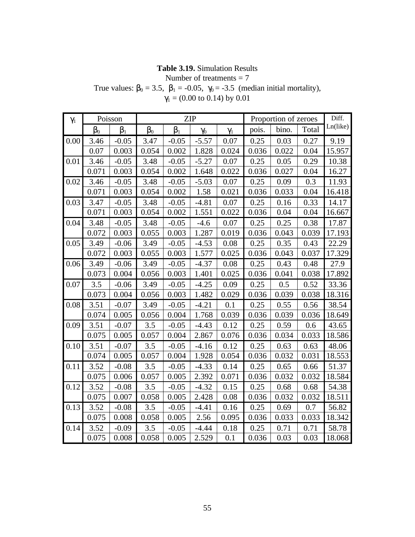# **Table 3.19.** Simulation Results

Number of treatments = 7

True values:  $b_0 = 3.5$ ,  $b_1 = -0.05$ ,  $\gamma_0 = -3.5$  (median initial mortality),  $\gamma_1$  = (0.00 to 0.14) by 0.01

| $\gamma_1$ |       | Poisson        |       |         | <b>ZIP</b> |            |       | Proportion of zeroes |       | Diff.    |
|------------|-------|----------------|-------|---------|------------|------------|-------|----------------------|-------|----------|
|            | $b_0$ | b <sub>1</sub> | $b_0$ | $b_1$   | $\gamma_0$ | $\gamma_1$ | pois. | bino.                | Total | Ln(like) |
| 0.00       | 3.46  | $-0.05$        | 3.47  | $-0.05$ | $-5.57$    | 0.07       | 0.25  | 0.03                 | 0.27  | 9.19     |
|            | 0.07  | 0.003          | 0.054 | 0.002   | 1.828      | 0.024      | 0.036 | 0.022                | 0.04  | 15.957   |
| 0.01       | 3.46  | $-0.05$        | 3.48  | $-0.05$ | $-5.27$    | 0.07       | 0.25  | 0.05                 | 0.29  | 10.38    |
|            | 0.071 | 0.003          | 0.054 | 0.002   | 1.648      | 0.022      | 0.036 | 0.027                | 0.04  | 16.27    |
| 0.02       | 3.46  | $-0.05$        | 3.48  | $-0.05$ | $-5.03$    | 0.07       | 0.25  | 0.09                 | 0.3   | 11.93    |
|            | 0.071 | 0.003          | 0.054 | 0.002   | 1.58       | 0.021      | 0.036 | 0.033                | 0.04  | 16.418   |
| 0.03       | 3.47  | $-0.05$        | 3.48  | $-0.05$ | $-4.81$    | 0.07       | 0.25  | 0.16                 | 0.33  | 14.17    |
|            | 0.071 | 0.003          | 0.054 | 0.002   | 1.551      | 0.022      | 0.036 | 0.04                 | 0.04  | 16.667   |
| 0.04       | 3.48  | $-0.05$        | 3.48  | $-0.05$ | $-4.6$     | 0.07       | 0.25  | 0.25                 | 0.38  | 17.87    |
|            | 0.072 | 0.003          | 0.055 | 0.003   | 1.287      | 0.019      | 0.036 | 0.043                | 0.039 | 17.193   |
| 0.05       | 3.49  | $-0.06$        | 3.49  | $-0.05$ | $-4.53$    | 0.08       | 0.25  | 0.35                 | 0.43  | 22.29    |
|            | 0.072 | 0.003          | 0.055 | 0.003   | 1.577      | 0.025      | 0.036 | 0.043                | 0.037 | 17.329   |
| 0.06       | 3.49  | $-0.06$        | 3.49  | $-0.05$ | $-4.37$    | 0.08       | 0.25  | 0.43                 | 0.48  | 27.9     |
|            | 0.073 | 0.004          | 0.056 | 0.003   | 1.401      | 0.025      | 0.036 | 0.041                | 0.038 | 17.892   |
| 0.07       | 3.5   | $-0.06$        | 3.49  | $-0.05$ | $-4.25$    | 0.09       | 0.25  | 0.5                  | 0.52  | 33.36    |
|            | 0.073 | 0.004          | 0.056 | 0.003   | 1.482      | 0.029      | 0.036 | 0.039                | 0.038 | 18.316   |
| 0.08       | 3.51  | $-0.07$        | 3.49  | $-0.05$ | $-4.21$    | 0.1        | 0.25  | 0.55                 | 0.56  | 38.54    |
|            | 0.074 | 0.005          | 0.056 | 0.004   | 1.768      | 0.039      | 0.036 | 0.039                | 0.036 | 18.649   |
| 0.09       | 3.51  | $-0.07$        | 3.5   | $-0.05$ | $-4.43$    | 0.12       | 0.25  | 0.59                 | 0.6   | 43.65    |
|            | 0.075 | 0.005          | 0.057 | 0.004   | 2.867      | 0.076      | 0.036 | 0.034                | 0.033 | 18.586   |
| 0.10       | 3.51  | $-0.07$        | 3.5   | $-0.05$ | $-4.16$    | 0.12       | 0.25  | 0.63                 | 0.63  | 48.06    |
|            | 0.074 | 0.005          | 0.057 | 0.004   | 1.928      | 0.054      | 0.036 | 0.032                | 0.031 | 18.553   |
| 0.11       | 3.52  | $-0.08$        | 3.5   | $-0.05$ | $-4.33$    | 0.14       | 0.25  | 0.65                 | 0.66  | 51.37    |
|            | 0.075 | 0.006          | 0.057 | 0.005   | 2.392      | 0.071      | 0.036 | 0.032                | 0.032 | 18.584   |
| 0.12       | 3.52  | $-0.08$        | 3.5   | $-0.05$ | $-4.32$    | 0.15       | 0.25  | 0.68                 | 0.68  | 54.38    |
|            | 0.075 | 0.007          | 0.058 | 0.005   | 2.428      | 0.08       | 0.036 | 0.032                | 0.032 | 18.511   |
| 0.13       | 3.52  | $-0.08$        | 3.5   | $-0.05$ | $-4.41$    | 0.16       | 0.25  | 0.69                 | 0.7   | 56.82    |
|            | 0.075 | 0.008          | 0.058 | 0.005   | 2.56       | 0.095      | 0.036 | 0.033                | 0.033 | 18.342   |
| 0.14       | 3.52  | $-0.09$        | 3.5   | $-0.05$ | $-4.44$    | 0.18       | 0.25  | 0.71                 | 0.71  | 58.78    |
|            | 0.075 | 0.008          | 0.058 | 0.005   | 2.529      | 0.1        | 0.036 | 0.03                 | 0.03  | 18.068   |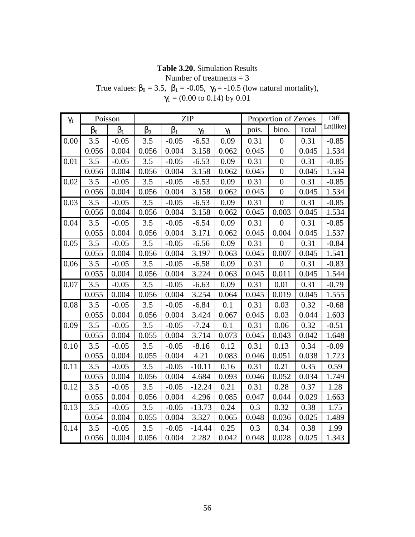### **Table 3.20.** Simulation Results

Number of treatments  $= 3$ 

True values:  $\beta_0 = 3.5$ ,  $\beta_1 = -0.05$ ,  $\gamma_0 = -10.5$  (low natural mortality),

| $\gamma_1$ |       | Poisson        |       |                | ZIP        |            |       | Proportion of Zeroes | Diff. |          |
|------------|-------|----------------|-------|----------------|------------|------------|-------|----------------------|-------|----------|
|            | $b_0$ | b <sub>1</sub> | $b_0$ | $\mathsf{b}_1$ | $\gamma_0$ | $\gamma_1$ | pois. | bino.                | Total | Ln(like) |
| 0.00       | 3.5   | $-0.05$        | 3.5   | $-0.05$        | $-6.53$    | 0.09       | 0.31  | $\boldsymbol{0}$     | 0.31  | $-0.85$  |
|            | 0.056 | 0.004          | 0.056 | 0.004          | 3.158      | 0.062      | 0.045 | $\overline{0}$       | 0.045 | 1.534    |
| 0.01       | 3.5   | $-0.05$        | 3.5   | $-0.05$        | $-6.53$    | 0.09       | 0.31  | $\overline{0}$       | 0.31  | $-0.85$  |
|            | 0.056 | 0.004          | 0.056 | 0.004          | 3.158      | 0.062      | 0.045 | $\overline{0}$       | 0.045 | 1.534    |
| 0.02       | 3.5   | $-0.05$        | 3.5   | $-0.05$        | $-6.53$    | 0.09       | 0.31  | $\overline{0}$       | 0.31  | $-0.85$  |
|            | 0.056 | 0.004          | 0.056 | 0.004          | 3.158      | 0.062      | 0.045 | $\overline{0}$       | 0.045 | 1.534    |
| 0.03       | 3.5   | $-0.05$        | 3.5   | $-0.05$        | $-6.53$    | 0.09       | 0.31  | $\boldsymbol{0}$     | 0.31  | $-0.85$  |
|            | 0.056 | 0.004          | 0.056 | 0.004          | 3.158      | 0.062      | 0.045 | 0.003                | 0.045 | 1.534    |
| 0.04       | 3.5   | $-0.05$        | 3.5   | $-0.05$        | $-6.54$    | 0.09       | 0.31  | $\overline{0}$       | 0.31  | $-0.85$  |
|            | 0.055 | 0.004          | 0.056 | 0.004          | 3.171      | 0.062      | 0.045 | 0.004                | 0.045 | 1.537    |
| 0.05       | 3.5   | $-0.05$        | 3.5   | $-0.05$        | $-6.56$    | 0.09       | 0.31  | $\overline{0}$       | 0.31  | $-0.84$  |
|            | 0.055 | 0.004          | 0.056 | 0.004          | 3.197      | 0.063      | 0.045 | 0.007                | 0.045 | 1.541    |
| 0.06       | 3.5   | $-0.05$        | 3.5   | $-0.05$        | $-6.58$    | 0.09       | 0.31  | $\boldsymbol{0}$     | 0.31  | $-0.83$  |
|            | 0.055 | 0.004          | 0.056 | 0.004          | 3.224      | 0.063      | 0.045 | 0.011                | 0.045 | 1.544    |
| 0.07       | 3.5   | $-0.05$        | 3.5   | $-0.05$        | $-6.63$    | 0.09       | 0.31  | 0.01                 | 0.31  | $-0.79$  |
|            | 0.055 | 0.004          | 0.056 | 0.004          | 3.254      | 0.064      | 0.045 | 0.019                | 0.045 | 1.555    |
| 0.08       | 3.5   | $-0.05$        | 3.5   | $-0.05$        | $-6.84$    | 0.1        | 0.31  | 0.03                 | 0.32  | $-0.68$  |
|            | 0.055 | 0.004          | 0.056 | 0.004          | 3.424      | 0.067      | 0.045 | 0.03                 | 0.044 | 1.603    |
| 0.09       | 3.5   | $-0.05$        | 3.5   | $-0.05$        | $-7.24$    | 0.1        | 0.31  | 0.06                 | 0.32  | $-0.51$  |
|            | 0.055 | 0.004          | 0.055 | 0.004          | 3.714      | 0.073      | 0.045 | 0.043                | 0.042 | 1.648    |
| 0.10       | 3.5   | $-0.05$        | 3.5   | $-0.05$        | $-8.16$    | 0.12       | 0.31  | 0.13                 | 0.34  | $-0.09$  |
|            | 0.055 | 0.004          | 0.055 | 0.004          | 4.21       | 0.083      | 0.046 | 0.051                | 0.038 | 1.723    |
| 0.11       | 3.5   | $-0.05$        | 3.5   | $-0.05$        | $-10.11$   | 0.16       | 0.31  | 0.21                 | 0.35  | 0.59     |
|            | 0.055 | 0.004          | 0.056 | 0.004          | 4.684      | 0.093      | 0.046 | 0.052                | 0.034 | 1.749    |
| 0.12       | 3.5   | $-0.05$        | 3.5   | $-0.05$        | $-12.24$   | 0.21       | 0.31  | 0.28                 | 0.37  | 1.28     |
|            | 0.055 | 0.004          | 0.056 | 0.004          | 4.296      | 0.085      | 0.047 | 0.044                | 0.029 | 1.663    |
| 0.13       | 3.5   | $-0.05$        | 3.5   | $-0.05$        | $-13.73$   | 0.24       | 0.3   | 0.32                 | 0.38  | 1.75     |
|            | 0.054 | 0.004          | 0.055 | 0.004          | 3.327      | 0.065      | 0.048 | 0.036                | 0.025 | 1.489    |
| 0.14       | 3.5   | $-0.05$        | 3.5   | $-0.05$        | $-14.44$   | 0.25       | 0.3   | 0.34                 | 0.38  | 1.99     |
|            | 0.056 | 0.004          | 0.056 | 0.004          | 2.282      | 0.042      | 0.048 | 0.028                | 0.025 | 1.343    |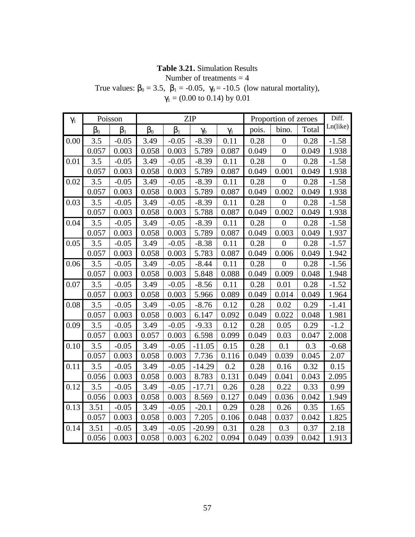# **Table 3.21.** Simulation Results

Number of treatments  $=$  4

True values:  $b_0 = 3.5$ ,  $b_1 = -0.05$ ,  $\gamma_0 = -10.5$  (low natural mortality),  $\gamma_1$  = (0.00 to 0.14) by 0.01

| $\gamma_1$ |       | Poisson        |       |         | <b>ZIP</b> |            |       | Proportion of zeroes |       | Diff.    |
|------------|-------|----------------|-------|---------|------------|------------|-------|----------------------|-------|----------|
|            | $b_0$ | b <sub>1</sub> | $b_0$ | $b_1$   | $\gamma_0$ | $\gamma_1$ | pois. | bino.                | Total | Ln(like) |
| 0.00       | 3.5   | $-0.05$        | 3.49  | $-0.05$ | $-8.39$    | 0.11       | 0.28  | $\overline{0}$       | 0.28  | $-1.58$  |
|            | 0.057 | 0.003          | 0.058 | 0.003   | 5.789      | 0.087      | 0.049 | $\overline{0}$       | 0.049 | 1.938    |
| 0.01       | 3.5   | $-0.05$        | 3.49  | $-0.05$ | $-8.39$    | 0.11       | 0.28  | $\overline{0}$       | 0.28  | $-1.58$  |
|            | 0.057 | 0.003          | 0.058 | 0.003   | 5.789      | 0.087      | 0.049 | 0.001                | 0.049 | 1.938    |
| 0.02       | 3.5   | $-0.05$        | 3.49  | $-0.05$ | $-8.39$    | 0.11       | 0.28  | $\overline{0}$       | 0.28  | $-1.58$  |
|            | 0.057 | 0.003          | 0.058 | 0.003   | 5.789      | 0.087      | 0.049 | 0.002                | 0.049 | 1.938    |
| 0.03       | 3.5   | $-0.05$        | 3.49  | $-0.05$ | $-8.39$    | 0.11       | 0.28  | $\overline{0}$       | 0.28  | $-1.58$  |
|            | 0.057 | 0.003          | 0.058 | 0.003   | 5.788      | 0.087      | 0.049 | 0.002                | 0.049 | 1.938    |
| 0.04       | 3.5   | $-0.05$        | 3.49  | $-0.05$ | $-8.39$    | 0.11       | 0.28  | $\overline{0}$       | 0.28  | $-1.58$  |
|            | 0.057 | 0.003          | 0.058 | 0.003   | 5.789      | 0.087      | 0.049 | 0.003                | 0.049 | 1.937    |
| 0.05       | 3.5   | $-0.05$        | 3.49  | $-0.05$ | $-8.38$    | 0.11       | 0.28  | $\overline{0}$       | 0.28  | $-1.57$  |
|            | 0.057 | 0.003          | 0.058 | 0.003   | 5.783      | 0.087      | 0.049 | 0.006                | 0.049 | 1.942    |
| 0.06       | 3.5   | $-0.05$        | 3.49  | $-0.05$ | $-8.44$    | 0.11       | 0.28  | $\overline{0}$       | 0.28  | $-1.56$  |
|            | 0.057 | 0.003          | 0.058 | 0.003   | 5.848      | 0.088      | 0.049 | 0.009                | 0.048 | 1.948    |
| 0.07       | 3.5   | $-0.05$        | 3.49  | $-0.05$ | $-8.56$    | 0.11       | 0.28  | 0.01                 | 0.28  | $-1.52$  |
|            | 0.057 | 0.003          | 0.058 | 0.003   | 5.966      | 0.089      | 0.049 | 0.014                | 0.049 | 1.964    |
| 0.08       | 3.5   | $-0.05$        | 3.49  | $-0.05$ | $-8.76$    | 0.12       | 0.28  | 0.02                 | 0.29  | $-1.41$  |
|            | 0.057 | 0.003          | 0.058 | 0.003   | 6.147      | 0.092      | 0.049 | 0.022                | 0.048 | 1.981    |
| 0.09       | 3.5   | $-0.05$        | 3.49  | $-0.05$ | $-9.33$    | 0.12       | 0.28  | 0.05                 | 0.29  | $-1.2$   |
|            | 0.057 | 0.003          | 0.057 | 0.003   | 6.598      | 0.099      | 0.049 | 0.03                 | 0.047 | 2.008    |
| 0.10       | 3.5   | $-0.05$        | 3.49  | $-0.05$ | $-11.05$   | 0.15       | 0.28  | 0.1                  | 0.3   | $-0.68$  |
|            | 0.057 | 0.003          | 0.058 | 0.003   | 7.736      | 0.116      | 0.049 | 0.039                | 0.045 | 2.07     |
| 0.11       | 3.5   | $-0.05$        | 3.49  | $-0.05$ | $-14.29$   | 0.2        | 0.28  | 0.16                 | 0.32  | 0.15     |
|            | 0.056 | 0.003          | 0.058 | 0.003   | 8.783      | 0.131      | 0.049 | 0.041                | 0.043 | 2.095    |
| 0.12       | 3.5   | $-0.05$        | 3.49  | $-0.05$ | $-17.71$   | 0.26       | 0.28  | 0.22                 | 0.33  | 0.99     |
|            | 0.056 | 0.003          | 0.058 | 0.003   | 8.569      | 0.127      | 0.049 | 0.036                | 0.042 | 1.949    |
| 0.13       | 3.51  | $-0.05$        | 3.49  | $-0.05$ | $-20.1$    | 0.29       | 0.28  | 0.26                 | 0.35  | 1.65     |
|            | 0.057 | 0.003          | 0.058 | 0.003   | 7.205      | 0.106      | 0.048 | 0.037                | 0.042 | 1.825    |
| 0.14       | 3.51  | $-0.05$        | 3.49  | $-0.05$ | $-20.99$   | 0.31       | 0.28  | 0.3                  | 0.37  | 2.18     |
|            | 0.056 | 0.003          | 0.058 | 0.003   | 6.202      | 0.094      | 0.049 | 0.039                | 0.042 | 1.913    |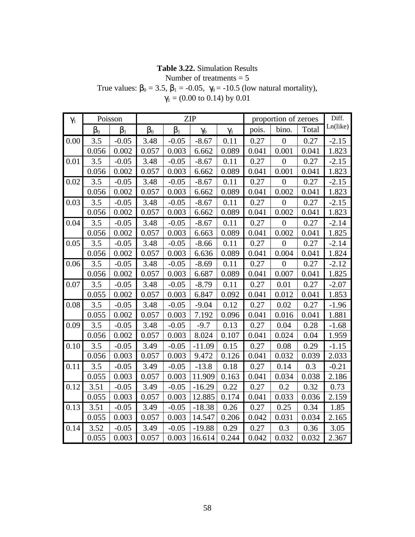# **Table 3.22.** Simulation Results

Number of treatments  $= 5$ 

True values:  $\beta_0 = 3.5$ ,  $\beta_1 = -0.05$ ,  $\gamma_0 = -10.5$  (low natural mortality),

| $\gamma_1$ |           | <b>ZIP</b><br>Poisson |           |           |            |            |       | proportion of zeroes |       |          |  |
|------------|-----------|-----------------------|-----------|-----------|------------|------------|-------|----------------------|-------|----------|--|
|            | $\beta_0$ | $\beta_1$             | $\beta_0$ | $\beta_1$ | $\gamma_0$ | $\gamma_1$ | pois. | bino.                | Total | Ln(like) |  |
| 0.00       | 3.5       | $-0.05$               | 3.48      | $-0.05$   | $-8.67$    | 0.11       | 0.27  | $\overline{0}$       | 0.27  | $-2.15$  |  |
|            | 0.056     | 0.002                 | 0.057     | 0.003     | 6.662      | 0.089      | 0.041 | 0.001                | 0.041 | 1.823    |  |
| 0.01       | 3.5       | $-0.05$               | 3.48      | $-0.05$   | $-8.67$    | 0.11       | 0.27  | $\overline{0}$       | 0.27  | $-2.15$  |  |
|            | 0.056     | 0.002                 | 0.057     | 0.003     | 6.662      | 0.089      | 0.041 | 0.001                | 0.041 | 1.823    |  |
| 0.02       | 3.5       | $-0.05$               | 3.48      | $-0.05$   | $-8.67$    | 0.11       | 0.27  | $\overline{0}$       | 0.27  | $-2.15$  |  |
|            | 0.056     | 0.002                 | 0.057     | 0.003     | 6.662      | 0.089      | 0.041 | 0.002                | 0.041 | 1.823    |  |
| 0.03       | 3.5       | $-0.05$               | 3.48      | $-0.05$   | $-8.67$    | 0.11       | 0.27  | $\overline{0}$       | 0.27  | $-2.15$  |  |
|            | 0.056     | 0.002                 | 0.057     | 0.003     | 6.662      | 0.089      | 0.041 | 0.002                | 0.041 | 1.823    |  |
| 0.04       | 3.5       | $-0.05$               | 3.48      | $-0.05$   | $-8.67$    | 0.11       | 0.27  | $\overline{0}$       | 0.27  | $-2.14$  |  |
|            | 0.056     | 0.002                 | 0.057     | 0.003     | 6.663      | 0.089      | 0.041 | 0.002                | 0.041 | 1.825    |  |
| 0.05       | 3.5       | $-0.05$               | 3.48      | $-0.05$   | $-8.66$    | 0.11       | 0.27  | $\overline{0}$       | 0.27  | $-2.14$  |  |
|            | 0.056     | 0.002                 | 0.057     | 0.003     | 6.636      | 0.089      | 0.041 | 0.004                | 0.041 | 1.824    |  |
| 0.06       | 3.5       | $-0.05$               | 3.48      | $-0.05$   | $-8.69$    | 0.11       | 0.27  | $\boldsymbol{0}$     | 0.27  | $-2.12$  |  |
|            | 0.056     | 0.002                 | 0.057     | 0.003     | 6.687      | 0.089      | 0.041 | 0.007                | 0.041 | 1.825    |  |
| 0.07       | 3.5       | $-0.05$               | 3.48      | $-0.05$   | $-8.79$    | 0.11       | 0.27  | 0.01                 | 0.27  | $-2.07$  |  |
|            | 0.055     | 0.002                 | 0.057     | 0.003     | 6.847      | 0.092      | 0.041 | 0.012                | 0.041 | 1.853    |  |
| 0.08       | 3.5       | $-0.05$               | 3.48      | $-0.05$   | $-9.04$    | 0.12       | 0.27  | 0.02                 | 0.27  | $-1.96$  |  |
|            | 0.055     | 0.002                 | 0.057     | 0.003     | 7.192      | 0.096      | 0.041 | 0.016                | 0.041 | 1.881    |  |
| 0.09       | 3.5       | $-0.05$               | 3.48      | $-0.05$   | $-9.7$     | 0.13       | 0.27  | 0.04                 | 0.28  | $-1.68$  |  |
|            | 0.056     | 0.002                 | 0.057     | 0.003     | 8.024      | 0.107      | 0.041 | 0.024                | 0.04  | 1.959    |  |
| 0.10       | 3.5       | $-0.05$               | 3.49      | $-0.05$   | $-11.09$   | 0.15       | 0.27  | 0.08                 | 0.29  | $-1.15$  |  |
|            | 0.056     | 0.003                 | 0.057     | 0.003     | 9.472      | 0.126      | 0.041 | 0.032                | 0.039 | 2.033    |  |
| 0.11       | 3.5       | $-0.05$               | 3.49      | $-0.05$   | $-13.8$    | 0.18       | 0.27  | 0.14                 | 0.3   | $-0.21$  |  |
|            | 0.055     | 0.003                 | 0.057     | 0.003     | 11.909     | 0.163      | 0.041 | 0.034                | 0.038 | 2.186    |  |
| 0.12       | 3.51      | $-0.05$               | 3.49      | $-0.05$   | $-16.29$   | 0.22       | 0.27  | 0.2                  | 0.32  | 0.73     |  |
|            | 0.055     | 0.003                 | 0.057     | 0.003     | 12.885     | 0.174      | 0.041 | 0.033                | 0.036 | 2.159    |  |
| 0.13       | 3.51      | $-0.05$               | 3.49      | $-0.05$   | $-18.38$   | 0.26       | 0.27  | 0.25                 | 0.34  | 1.85     |  |
|            | 0.055     | 0.003                 | 0.057     | 0.003     | 14.547     | 0.206      | 0.042 | 0.031                | 0.034 | 2.165    |  |
| 0.14       | 3.52      | $-0.05$               | 3.49      | $-0.05$   | $-19.88$   | 0.29       | 0.27  | 0.3                  | 0.36  | 3.05     |  |
|            | 0.055     | 0.003                 | 0.057     | 0.003     | 16.614     | 0.244      | 0.042 | 0.032                | 0.032 | 2.367    |  |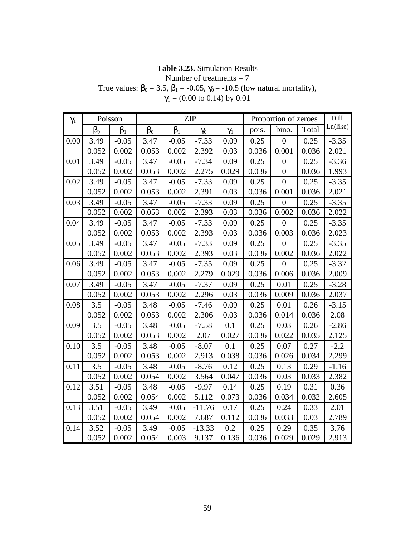# **Table 3.23.** Simulation Results

Number of treatments = 7

True values:  $\beta_0 = 3.5$ ,  $\beta_1 = -0.05$ ,  $\gamma_0 = -10.5$  (low natural mortality),

| $\gamma_1$ |           | Poisson   |           |           | <b>ZIP</b> |            |       | Proportion of zeroes | Diff. |          |
|------------|-----------|-----------|-----------|-----------|------------|------------|-------|----------------------|-------|----------|
|            | $\beta_0$ | $\beta_1$ | $\beta_0$ | $\beta_1$ | $\gamma_0$ | $\gamma_1$ | pois. | bino.                | Total | Ln(like) |
| 0.00       | 3.49      | $-0.05$   | 3.47      | $-0.05$   | $-7.33$    | 0.09       | 0.25  | $\overline{0}$       | 0.25  | $-3.35$  |
|            | 0.052     | 0.002     | 0.053     | 0.002     | 2.392      | 0.03       | 0.036 | 0.001                | 0.036 | 2.021    |
| 0.01       | 3.49      | $-0.05$   | 3.47      | $-0.05$   | $-7.34$    | 0.09       | 0.25  | $\overline{0}$       | 0.25  | $-3.36$  |
|            | 0.052     | 0.002     | 0.053     | 0.002     | 2.275      | 0.029      | 0.036 | $\overline{0}$       | 0.036 | 1.993    |
| 0.02       | 3.49      | $-0.05$   | 3.47      | $-0.05$   | $-7.33$    | 0.09       | 0.25  | $\boldsymbol{0}$     | 0.25  | $-3.35$  |
|            | 0.052     | 0.002     | 0.053     | 0.002     | 2.391      | 0.03       | 0.036 | 0.001                | 0.036 | 2.021    |
| 0.03       | 3.49      | $-0.05$   | 3.47      | $-0.05$   | $-7.33$    | 0.09       | 0.25  | $\overline{0}$       | 0.25  | $-3.35$  |
|            | 0.052     | 0.002     | 0.053     | 0.002     | 2.393      | 0.03       | 0.036 | 0.002                | 0.036 | 2.022    |
| 0.04       | 3.49      | $-0.05$   | 3.47      | $-0.05$   | $-7.33$    | 0.09       | 0.25  | $\overline{0}$       | 0.25  | $-3.35$  |
|            | 0.052     | 0.002     | 0.053     | 0.002     | 2.393      | 0.03       | 0.036 | 0.003                | 0.036 | 2.023    |
| 0.05       | 3.49      | $-0.05$   | 3.47      | $-0.05$   | $-7.33$    | 0.09       | 0.25  | $\overline{0}$       | 0.25  | $-3.35$  |
|            | 0.052     | 0.002     | 0.053     | 0.002     | 2.393      | 0.03       | 0.036 | 0.002                | 0.036 | 2.022    |
| 0.06       | 3.49      | $-0.05$   | 3.47      | $-0.05$   | $-7.35$    | 0.09       | 0.25  | $\boldsymbol{0}$     | 0.25  | $-3.32$  |
|            | 0.052     | 0.002     | 0.053     | 0.002     | 2.279      | 0.029      | 0.036 | 0.006                | 0.036 | 2.009    |
| 0.07       | 3.49      | $-0.05$   | 3.47      | $-0.05$   | $-7.37$    | 0.09       | 0.25  | 0.01                 | 0.25  | $-3.28$  |
|            | 0.052     | 0.002     | 0.053     | 0.002     | 2.296      | 0.03       | 0.036 | 0.009                | 0.036 | 2.037    |
| 0.08       | 3.5       | $-0.05$   | 3.48      | $-0.05$   | $-7.46$    | 0.09       | 0.25  | 0.01                 | 0.26  | $-3.15$  |
|            | 0.052     | 0.002     | 0.053     | 0.002     | 2.306      | 0.03       | 0.036 | 0.014                | 0.036 | 2.08     |
| 0.09       | 3.5       | $-0.05$   | 3.48      | $-0.05$   | $-7.58$    | 0.1        | 0.25  | 0.03                 | 0.26  | $-2.86$  |
|            | 0.052     | 0.002     | 0.053     | 0.002     | 2.07       | 0.027      | 0.036 | 0.022                | 0.035 | 2.125    |
| 0.10       | 3.5       | $-0.05$   | 3.48      | $-0.05$   | $-8.07$    | 0.1        | 0.25  | 0.07                 | 0.27  | $-2.2$   |
|            | 0.052     | 0.002     | 0.053     | 0.002     | 2.913      | 0.038      | 0.036 | 0.026                | 0.034 | 2.299    |
| 0.11       | 3.5       | $-0.05$   | 3.48      | $-0.05$   | $-8.76$    | 0.12       | 0.25  | 0.13                 | 0.29  | $-1.16$  |
|            | 0.052     | 0.002     | 0.054     | 0.002     | 3.564      | 0.047      | 0.036 | 0.03                 | 0.033 | 2.382    |
| 0.12       | 3.51      | $-0.05$   | 3.48      | $-0.05$   | $-9.97$    | 0.14       | 0.25  | 0.19                 | 0.31  | 0.36     |
|            | 0.052     | 0.002     | 0.054     | 0.002     | 5.112      | 0.073      | 0.036 | 0.034                | 0.032 | 2.605    |
| 0.13       | 3.51      | $-0.05$   | 3.49      | $-0.05$   | $-11.76$   | 0.17       | 0.25  | 0.24                 | 0.33  | 2.01     |
|            | 0.052     | 0.002     | 0.054     | 0.002     | 7.687      | 0.112      | 0.036 | 0.033                | 0.03  | 2.789    |
| 0.14       | 3.52      | $-0.05$   | 3.49      | $-0.05$   | $-13.33$   | 0.2        | 0.25  | 0.29                 | 0.35  | 3.76     |
|            | 0.052     | 0.002     | 0.054     | 0.003     | 9.137      | 0.136      | 0.036 | 0.029                | 0.029 | 2.913    |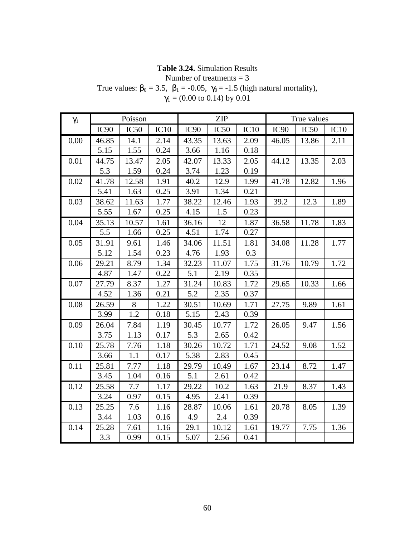# **Table 3.24.** Simulation Results

Number of treatments = 3

True values:  $\beta_0 = 3.5$ ,  $\beta_1 = -0.05$ ,  $\gamma_0 = -1.5$  (high natural mortality),  $\gamma_1$  = (0.00 to 0.14) by 0.01

| $\gamma_1$ |                  | Poisson |      |                  | <b>ZIP</b> |      |                  | True values |      |
|------------|------------------|---------|------|------------------|------------|------|------------------|-------------|------|
|            | IC <sub>90</sub> | IC50    | IC10 | IC <sub>90</sub> | IC50       | IC10 | IC <sub>90</sub> | IC50        | IC10 |
| 0.00       | 46.85            | 14.1    | 2.14 | 43.35            | 13.63      | 2.09 | 46.05            | 13.86       | 2.11 |
|            | 5.15             | 1.55    | 0.24 | 3.66             | 1.16       | 0.18 |                  |             |      |
| 0.01       | 44.75            | 13.47   | 2.05 | 42.07            | 13.33      | 2.05 | 44.12            | 13.35       | 2.03 |
|            | 5.3              | 1.59    | 0.24 | 3.74             | 1.23       | 0.19 |                  |             |      |
| 0.02       | 41.78            | 12.58   | 1.91 | 40.2             | 12.9       | 1.99 | 41.78            | 12.82       | 1.96 |
|            | 5.41             | 1.63    | 0.25 | 3.91             | 1.34       | 0.21 |                  |             |      |
| 0.03       | 38.62            | 11.63   | 1.77 | 38.22            | 12.46      | 1.93 | 39.2             | 12.3        | 1.89 |
|            | 5.55             | 1.67    | 0.25 | 4.15             | 1.5        | 0.23 |                  |             |      |
| 0.04       | 35.13            | 10.57   | 1.61 | 36.16            | 12         | 1.87 | 36.58            | 11.78       | 1.83 |
|            | 5.5              | 1.66    | 0.25 | 4.51             | 1.74       | 0.27 |                  |             |      |
| 0.05       | 31.91            | 9.61    | 1.46 | 34.06            | 11.51      | 1.81 | 34.08            | 11.28       | 1.77 |
|            | 5.12             | 1.54    | 0.23 | 4.76             | 1.93       | 0.3  |                  |             |      |
| 0.06       | 29.21            | 8.79    | 1.34 | 32.23            | 11.07      | 1.75 | 31.76            | 10.79       | 1.72 |
|            | 4.87             | 1.47    | 0.22 | 5.1              | 2.19       | 0.35 |                  |             |      |
| 0.07       | 27.79            | 8.37    | 1.27 | 31.24            | 10.83      | 1.72 | 29.65            | 10.33       | 1.66 |
|            | 4.52             | 1.36    | 0.21 | 5.2              | 2.35       | 0.37 |                  |             |      |
| 0.08       | 26.59            | 8       | 1.22 | 30.51            | 10.69      | 1.71 | 27.75            | 9.89        | 1.61 |
|            | 3.99             | 1.2     | 0.18 | 5.15             | 2.43       | 0.39 |                  |             |      |
| 0.09       | 26.04            | 7.84    | 1.19 | 30.45            | 10.77      | 1.72 | 26.05            | 9.47        | 1.56 |
|            | 3.75             | 1.13    | 0.17 | 5.3              | 2.65       | 0.42 |                  |             |      |
| 0.10       | 25.78            | 7.76    | 1.18 | 30.26            | 10.72      | 1.71 | 24.52            | 9.08        | 1.52 |
|            | 3.66             | 1.1     | 0.17 | 5.38             | 2.83       | 0.45 |                  |             |      |
| 0.11       | 25.81            | 7.77    | 1.18 | 29.79            | 10.49      | 1.67 | 23.14            | 8.72        | 1.47 |
|            | 3.45             | 1.04    | 0.16 | 5.1              | 2.61       | 0.42 |                  |             |      |
| 0.12       | 25.58            | 7.7     | 1.17 | 29.22            | 10.2       | 1.63 | 21.9             | 8.37        | 1.43 |
|            | 3.24             | 0.97    | 0.15 | 4.95             | 2.41       | 0.39 |                  |             |      |
| 0.13       | 25.25            | 7.6     | 1.16 | 28.87            | 10.06      | 1.61 | 20.78            | 8.05        | 1.39 |
|            | 3.44             | 1.03    | 0.16 | 4.9              | 2.4        | 0.39 |                  |             |      |
| 0.14       | 25.28            | 7.61    | 1.16 | 29.1             | 10.12      | 1.61 | 19.77            | 7.75        | 1.36 |
|            | 3.3              | 0.99    | 0.15 | 5.07             | 2.56       | 0.41 |                  |             |      |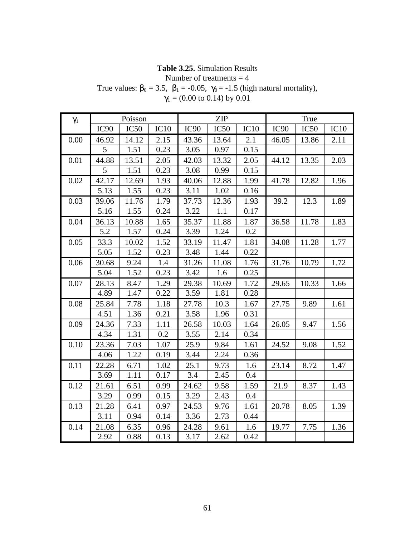# **Table 3.25.** Simulation Results

Number of treatments  $=$  4

True values:  $b_0 = 3.5$ ,  $b_1 = -0.05$ ,  $\gamma_0 = -1.5$  (high natural mortality),

| $\gamma_1$ |                  | Poisson |      |                  | <b>ZIP</b>       |      |                  | True             |      |
|------------|------------------|---------|------|------------------|------------------|------|------------------|------------------|------|
|            | IC <sub>90</sub> | IC50    | IC10 | IC <sub>90</sub> | IC <sub>50</sub> | IC10 | IC <sub>90</sub> | IC <sub>50</sub> | IC10 |
| 0.00       | 46.92            | 14.12   | 2.15 | 43.36            | 13.64            | 2.1  | 46.05            | 13.86            | 2.11 |
|            | 5                | 1.51    | 0.23 | 3.05             | 0.97             | 0.15 |                  |                  |      |
| 0.01       | 44.88            | 13.51   | 2.05 | 42.03            | 13.32            | 2.05 | 44.12            | 13.35            | 2.03 |
|            | 5                | 1.51    | 0.23 | 3.08             | 0.99             | 0.15 |                  |                  |      |
| 0.02       | 42.17            | 12.69   | 1.93 | 40.06            | 12.88            | 1.99 | 41.78            | 12.82            | 1.96 |
|            | 5.13             | 1.55    | 0.23 | 3.11             | 1.02             | 0.16 |                  |                  |      |
| 0.03       | 39.06            | 11.76   | 1.79 | 37.73            | 12.36            | 1.93 | 39.2             | 12.3             | 1.89 |
|            | 5.16             | 1.55    | 0.24 | 3.22             | 1.1              | 0.17 |                  |                  |      |
| 0.04       | 36.13            | 10.88   | 1.65 | 35.37            | 11.88            | 1.87 | 36.58            | 11.78            | 1.83 |
|            | 5.2              | 1.57    | 0.24 | 3.39             | 1.24             | 0.2  |                  |                  |      |
| 0.05       | 33.3             | 10.02   | 1.52 | 33.19            | 11.47            | 1.81 | 34.08            | 11.28            | 1.77 |
|            | 5.05             | 1.52    | 0.23 | 3.48             | 1.44             | 0.22 |                  |                  |      |
| 0.06       | 30.68            | 9.24    | 1.4  | 31.26            | 11.08            | 1.76 | 31.76            | 10.79            | 1.72 |
|            | 5.04             | 1.52    | 0.23 | 3.42             | 1.6              | 0.25 |                  |                  |      |
| 0.07       | 28.13            | 8.47    | 1.29 | 29.38            | 10.69            | 1.72 | 29.65            | 10.33            | 1.66 |
|            | 4.89             | 1.47    | 0.22 | 3.59             | 1.81             | 0.28 |                  |                  |      |
| 0.08       | 25.84            | 7.78    | 1.18 | 27.78            | 10.3             | 1.67 | 27.75            | 9.89             | 1.61 |
|            | 4.51             | 1.36    | 0.21 | 3.58             | 1.96             | 0.31 |                  |                  |      |
| 0.09       | 24.36            | 7.33    | 1.11 | 26.58            | 10.03            | 1.64 | 26.05            | 9.47             | 1.56 |
|            | 4.34             | 1.31    | 0.2  | 3.55             | 2.14             | 0.34 |                  |                  |      |
| 0.10       | 23.36            | 7.03    | 1.07 | 25.9             | 9.84             | 1.61 | 24.52            | 9.08             | 1.52 |
|            | 4.06             | 1.22    | 0.19 | 3.44             | 2.24             | 0.36 |                  |                  |      |
| 0.11       | 22.28            | 6.71    | 1.02 | 25.1             | 9.73             | 1.6  | 23.14            | 8.72             | 1.47 |
|            | 3.69             | 1.11    | 0.17 | 3.4              | 2.45             | 0.4  |                  |                  |      |
| 0.12       | 21.61            | 6.51    | 0.99 | 24.62            | 9.58             | 1.59 | 21.9             | 8.37             | 1.43 |
|            | 3.29             | 0.99    | 0.15 | 3.29             | 2.43             | 0.4  |                  |                  |      |
| 0.13       | 21.28            | 6.41    | 0.97 | 24.53            | 9.76             | 1.61 | 20.78            | 8.05             | 1.39 |
|            | 3.11             | 0.94    | 0.14 | 3.36             | 2.73             | 0.44 |                  |                  |      |
| 0.14       | 21.08            | 6.35    | 0.96 | 24.28            | 9.61             | 1.6  | 19.77            | 7.75             | 1.36 |
|            | 2.92             | 0.88    | 0.13 | 3.17             | 2.62             | 0.42 |                  |                  |      |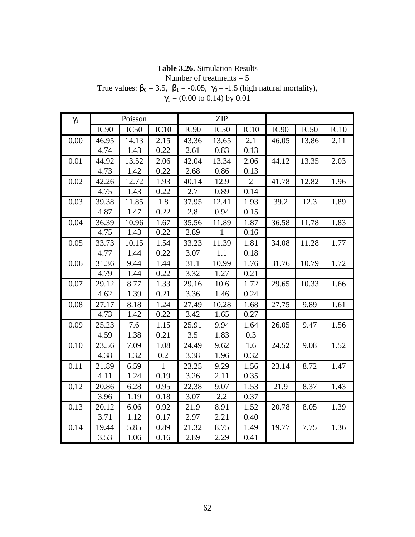# **Table 3.26.** Simulation Results

Number of treatments = 5

True values:  $\beta_0 = 3.5$ ,  $\beta_1 = -0.05$ ,  $\gamma_0 = -1.5$  (high natural mortality),  $\gamma_1$  = (0.00 to 0.14) by 0.01

| $\gamma_1$ |                  | Poisson |              |                  | <b>ZIP</b>   |              |                  |       |      |
|------------|------------------|---------|--------------|------------------|--------------|--------------|------------------|-------|------|
|            | IC <sub>90</sub> | IC50    | IC10         | IC <sub>90</sub> | IC50         | IC10         | IC <sub>90</sub> | IC50  | IC10 |
| 0.00       | 46.95            | 14.13   | 2.15         | 43.36            | 13.65        | 2.1          | 46.05            | 13.86 | 2.11 |
|            | 4.74             | 1.43    | 0.22         | 2.61             | 0.83         | 0.13         |                  |       |      |
| 0.01       | 44.92            | 13.52   | 2.06         | 42.04            | 13.34        | 2.06         | 44.12            | 13.35 | 2.03 |
|            | 4.73             | 1.42    | 0.22         | 2.68             | 0.86         | 0.13         |                  |       |      |
| 0.02       | 42.26            | 12.72   | 1.93         | 40.14            | 12.9         | $\mathbf{2}$ | 41.78            | 12.82 | 1.96 |
|            | 4.75             | 1.43    | 0.22         | 2.7              | 0.89         | 0.14         |                  |       |      |
| 0.03       | 39.38            | 11.85   | 1.8          | 37.95            | 12.41        | 1.93         | 39.2             | 12.3  | 1.89 |
|            | 4.87             | 1.47    | 0.22         | 2.8              | 0.94         | 0.15         |                  |       |      |
| 0.04       | 36.39            | 10.96   | 1.67         | 35.56            | 11.89        | 1.87         | 36.58            | 11.78 | 1.83 |
|            | 4.75             | 1.43    | 0.22         | 2.89             | $\mathbf{1}$ | 0.16         |                  |       |      |
| 0.05       | 33.73            | 10.15   | 1.54         | 33.23            | 11.39        | 1.81         | 34.08            | 11.28 | 1.77 |
|            | 4.77             | 1.44    | 0.22         | 3.07             | 1.1          | 0.18         |                  |       |      |
| 0.06       | 31.36            | 9.44    | 1.44         | 31.1             | 10.99        | 1.76         | 31.76            | 10.79 | 1.72 |
|            | 4.79             | 1.44    | 0.22         | 3.32             | 1.27         | 0.21         |                  |       |      |
| 0.07       | 29.12            | 8.77    | 1.33         | 29.16            | 10.6         | 1.72         | 29.65            | 10.33 | 1.66 |
|            | 4.62             | 1.39    | 0.21         | 3.36             | 1.46         | 0.24         |                  |       |      |
| 0.08       | 27.17            | 8.18    | 1.24         | 27.49            | 10.28        | 1.68         | 27.75            | 9.89  | 1.61 |
|            | 4.73             | 1.42    | 0.22         | 3.42             | 1.65         | 0.27         |                  |       |      |
| 0.09       | 25.23            | 7.6     | 1.15         | 25.91            | 9.94         | 1.64         | 26.05            | 9.47  | 1.56 |
|            | 4.59             | 1.38    | 0.21         | 3.5              | 1.83         | 0.3          |                  |       |      |
| 0.10       | 23.56            | 7.09    | 1.08         | 24.49            | 9.62         | 1.6          | 24.52            | 9.08  | 1.52 |
|            | 4.38             | 1.32    | 0.2          | 3.38             | 1.96         | 0.32         |                  |       |      |
| 0.11       | 21.89            | 6.59    | $\mathbf{1}$ | 23.25            | 9.29         | 1.56         | 23.14            | 8.72  | 1.47 |
|            | 4.11             | 1.24    | 0.19         | 3.26             | 2.11         | 0.35         |                  |       |      |
| 0.12       | 20.86            | 6.28    | 0.95         | 22.38            | 9.07         | 1.53         | 21.9             | 8.37  | 1.43 |
|            | 3.96             | 1.19    | 0.18         | 3.07             | 2.2          | 0.37         |                  |       |      |
| 0.13       | 20.12            | 6.06    | 0.92         | 21.9             | 8.91         | 1.52         | 20.78            | 8.05  | 1.39 |
|            | 3.71             | 1.12    | 0.17         | 2.97             | 2.21         | 0.40         |                  |       |      |
| 0.14       | 19.44            | 5.85    | 0.89         | 21.32            | 8.75         | 1.49         | 19.77            | 7.75  | 1.36 |
|            | 3.53             | 1.06    | 0.16         | 2.89             | 2.29         | 0.41         |                  |       |      |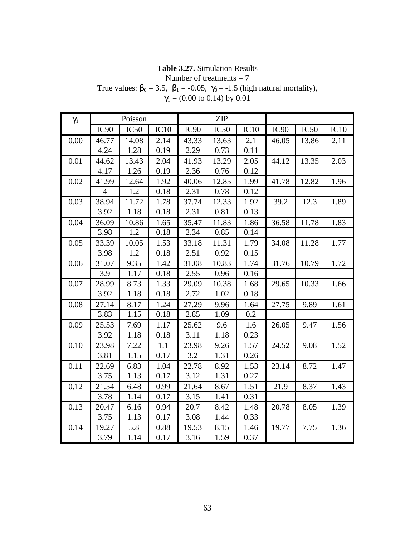# **Table 3.27.** Simulation Results

Number of treatments = 7

True values:  $\beta_0 = 3.5$ ,  $\beta_1 = -0.05$ ,  $\gamma_0 = -1.5$  (high natural mortality),  $\gamma_1$  = (0.00 to 0.14) by 0.01

| $\gamma_1$ |                  | Poisson |      |                  | <b>ZIP</b> |      |                  |                  |      |
|------------|------------------|---------|------|------------------|------------|------|------------------|------------------|------|
|            | IC <sub>90</sub> | IC50    | IC10 | IC <sub>90</sub> | IC50       | IC10 | IC <sub>90</sub> | IC <sub>50</sub> | IC10 |
| 0.00       | 46.77            | 14.08   | 2.14 | 43.33            | 13.63      | 2.1  | 46.05            | 13.86            | 2.11 |
|            | 4.24             | 1.28    | 0.19 | 2.29             | 0.73       | 0.11 |                  |                  |      |
| 0.01       | 44.62            | 13.43   | 2.04 | 41.93            | 13.29      | 2.05 | 44.12            | 13.35            | 2.03 |
|            | 4.17             | 1.26    | 0.19 | 2.36             | 0.76       | 0.12 |                  |                  |      |
| 0.02       | 41.99            | 12.64   | 1.92 | 40.06            | 12.85      | 1.99 | 41.78            | 12.82            | 1.96 |
|            | $\overline{4}$   | 1.2     | 0.18 | 2.31             | 0.78       | 0.12 |                  |                  |      |
| 0.03       | 38.94            | 11.72   | 1.78 | 37.74            | 12.33      | 1.92 | 39.2             | 12.3             | 1.89 |
|            | 3.92             | 1.18    | 0.18 | 2.31             | 0.81       | 0.13 |                  |                  |      |
| 0.04       | 36.09            | 10.86   | 1.65 | 35.47            | 11.83      | 1.86 | 36.58            | 11.78            | 1.83 |
|            | 3.98             | 1.2     | 0.18 | 2.34             | 0.85       | 0.14 |                  |                  |      |
| 0.05       | 33.39            | 10.05   | 1.53 | 33.18            | 11.31      | 1.79 | 34.08            | 11.28            | 1.77 |
|            | 3.98             | 1.2     | 0.18 | 2.51             | 0.92       | 0.15 |                  |                  |      |
| 0.06       | 31.07            | 9.35    | 1.42 | 31.08            | 10.83      | 1.74 | 31.76            | 10.79            | 1.72 |
|            | 3.9              | 1.17    | 0.18 | 2.55             | 0.96       | 0.16 |                  |                  |      |
| 0.07       | 28.99            | 8.73    | 1.33 | 29.09            | 10.38      | 1.68 | 29.65            | 10.33            | 1.66 |
|            | 3.92             | 1.18    | 0.18 | 2.72             | 1.02       | 0.18 |                  |                  |      |
| 0.08       | 27.14            | 8.17    | 1.24 | 27.29            | 9.96       | 1.64 | 27.75            | 9.89             | 1.61 |
|            | 3.83             | 1.15    | 0.18 | 2.85             | 1.09       | 0.2  |                  |                  |      |
| 0.09       | 25.53            | 7.69    | 1.17 | 25.62            | 9.6        | 1.6  | 26.05            | 9.47             | 1.56 |
|            | 3.92             | 1.18    | 0.18 | 3.11             | 1.18       | 0.23 |                  |                  |      |
| 0.10       | 23.98            | 7.22    | 1.1  | 23.98            | 9.26       | 1.57 | 24.52            | 9.08             | 1.52 |
|            | 3.81             | 1.15    | 0.17 | 3.2              | 1.31       | 0.26 |                  |                  |      |
| 0.11       | 22.69            | 6.83    | 1.04 | 22.78            | 8.92       | 1.53 | 23.14            | 8.72             | 1.47 |
|            | 3.75             | 1.13    | 0.17 | 3.12             | 1.31       | 0.27 |                  |                  |      |
| 0.12       | 21.54            | 6.48    | 0.99 | 21.64            | 8.67       | 1.51 | 21.9             | 8.37             | 1.43 |
|            | 3.78             | 1.14    | 0.17 | 3.15             | 1.41       | 0.31 |                  |                  |      |
| 0.13       | 20.47            | 6.16    | 0.94 | 20.7             | 8.42       | 1.48 | 20.78            | 8.05             | 1.39 |
|            | 3.75             | 1.13    | 0.17 | 3.08             | 1.44       | 0.33 |                  |                  |      |
| 0.14       | 19.27            | 5.8     | 0.88 | 19.53            | 8.15       | 1.46 | 19.77            | 7.75             | 1.36 |
|            | 3.79             | 1.14    | 0.17 | 3.16             | 1.59       | 0.37 |                  |                  |      |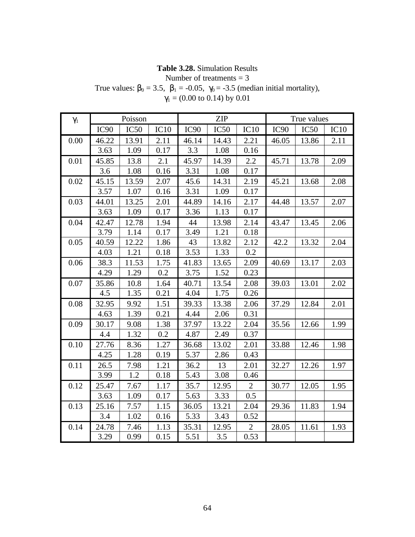# **Table 3.28.** Simulation Results

Number of treatments  $= 3$ 

True values:  $\beta_0 = 3.5$ ,  $\beta_1 = -0.05$ ,  $\gamma_0 = -3.5$  (median initial mortality),  $\gamma_1$  = (0.00 to 0.14) by 0.01

| $\gamma_1$ |                  | Poisson |      |                  | <b>ZIP</b>       |                |                  | True values      |      |
|------------|------------------|---------|------|------------------|------------------|----------------|------------------|------------------|------|
|            | IC <sub>90</sub> | IC50    | IC10 | IC <sub>90</sub> | IC <sub>50</sub> | IC10           | IC <sub>90</sub> | IC <sub>50</sub> | IC10 |
| 0.00       | 46.22            | 13.91   | 2.11 | 46.14            | 14.43            | 2.21           | 46.05            | 13.86            | 2.11 |
|            | 3.63             | 1.09    | 0.17 | 3.3              | 1.08             | 0.16           |                  |                  |      |
| 0.01       | 45.85            | 13.8    | 2.1  | 45.97            | 14.39            | 2.2            | 45.71            | 13.78            | 2.09 |
|            | 3.6              | 1.08    | 0.16 | 3.31             | 1.08             | 0.17           |                  |                  |      |
| 0.02       | 45.15            | 13.59   | 2.07 | 45.6             | 14.31            | 2.19           | 45.21            | 13.68            | 2.08 |
|            | 3.57             | 1.07    | 0.16 | 3.31             | 1.09             | 0.17           |                  |                  |      |
| 0.03       | 44.01            | 13.25   | 2.01 | 44.89            | 14.16            | 2.17           | 44.48            | 13.57            | 2.07 |
|            | 3.63             | 1.09    | 0.17 | 3.36             | 1.13             | 0.17           |                  |                  |      |
| 0.04       | 42.47            | 12.78   | 1.94 | 44               | 13.98            | 2.14           | 43.47            | 13.45            | 2.06 |
|            | 3.79             | 1.14    | 0.17 | 3.49             | 1.21             | 0.18           |                  |                  |      |
| 0.05       | 40.59            | 12.22   | 1.86 | 43               | 13.82            | 2.12           | 42.2             | 13.32            | 2.04 |
|            | 4.03             | 1.21    | 0.18 | 3.53             | 1.33             | 0.2            |                  |                  |      |
| 0.06       | 38.3             | 11.53   | 1.75 | 41.83            | 13.65            | 2.09           | 40.69            | 13.17            | 2.03 |
|            | 4.29             | 1.29    | 0.2  | 3.75             | 1.52             | 0.23           |                  |                  |      |
| 0.07       | 35.86            | 10.8    | 1.64 | 40.71            | 13.54            | 2.08           | 39.03            | 13.01            | 2.02 |
|            | 4.5              | 1.35    | 0.21 | 4.04             | 1.75             | 0.26           |                  |                  |      |
| 0.08       | 32.95            | 9.92    | 1.51 | 39.33            | 13.38            | 2.06           | 37.29            | 12.84            | 2.01 |
|            | 4.63             | 1.39    | 0.21 | 4.44             | 2.06             | 0.31           |                  |                  |      |
| 0.09       | 30.17            | 9.08    | 1.38 | 37.97            | 13.22            | 2.04           | 35.56            | 12.66            | 1.99 |
|            | 4.4              | 1.32    | 0.2  | 4.87             | 2.49             | 0.37           |                  |                  |      |
| 0.10       | 27.76            | 8.36    | 1.27 | 36.68            | 13.02            | 2.01           | 33.88            | 12.46            | 1.98 |
|            | 4.25             | 1.28    | 0.19 | 5.37             | 2.86             | 0.43           |                  |                  |      |
| 0.11       | 26.5             | 7.98    | 1.21 | 36.2             | 13               | 2.01           | 32.27            | 12.26            | 1.97 |
|            | 3.99             | 1.2     | 0.18 | 5.43             | 3.08             | 0.46           |                  |                  |      |
| 0.12       | 25.47            | 7.67    | 1.17 | 35.7             | 12.95            | $\overline{2}$ | 30.77            | 12.05            | 1.95 |
|            | 3.63             | 1.09    | 0.17 | 5.63             | 3.33             | 0.5            |                  |                  |      |
| 0.13       | 25.16            | 7.57    | 1.15 | 36.05            | 13.21            | 2.04           | 29.36            | 11.83            | 1.94 |
|            | 3.4              | 1.02    | 0.16 | 5.33             | 3.43             | 0.52           |                  |                  |      |
| 0.14       | 24.78            | 7.46    | 1.13 | 35.31            | 12.95            | 2              | 28.05            | 11.61            | 1.93 |
|            | 3.29             | 0.99    | 0.15 | 5.51             | 3.5              | 0.53           |                  |                  |      |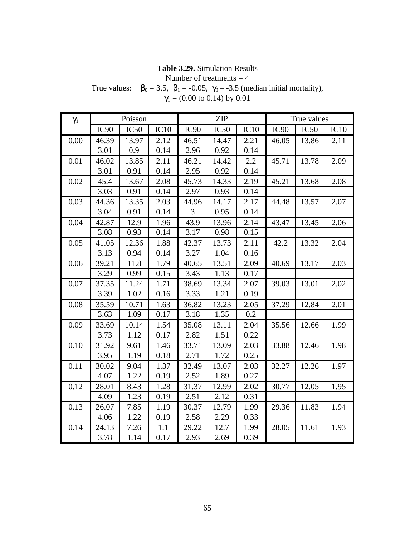# **Table 3.29.** Simulation Results

Number of treatments  $=$  4

True values:  $\beta_0 = 3.5$ ,  $\beta_1 = -0.05$ ,  $\gamma_0 = -3.5$  (median initial mortality),  $\gamma_1$  = (0.00 to 0.14) by 0.01

| $\gamma_1$ |                  | Poisson |      |                  | <b>ZIP</b>       |      |                  | True values      |      |
|------------|------------------|---------|------|------------------|------------------|------|------------------|------------------|------|
|            | IC <sub>90</sub> | IC50    | IC10 | IC <sub>90</sub> | IC <sub>50</sub> | IC10 | IC <sub>90</sub> | IC <sub>50</sub> | IC10 |
| 0.00       | 46.39            | 13.97   | 2.12 | 46.51            | 14.47            | 2.21 | 46.05            | 13.86            | 2.11 |
|            | 3.01             | 0.9     | 0.14 | 2.96             | 0.92             | 0.14 |                  |                  |      |
| 0.01       | 46.02            | 13.85   | 2.11 | 46.21            | 14.42            | 2.2  | 45.71            | 13.78            | 2.09 |
|            | 3.01             | 0.91    | 0.14 | 2.95             | 0.92             | 0.14 |                  |                  |      |
| 0.02       | 45.4             | 13.67   | 2.08 | 45.73            | 14.33            | 2.19 | 45.21            | 13.68            | 2.08 |
|            | 3.03             | 0.91    | 0.14 | 2.97             | 0.93             | 0.14 |                  |                  |      |
| 0.03       | 44.36            | 13.35   | 2.03 | 44.96            | 14.17            | 2.17 | 44.48            | 13.57            | 2.07 |
|            | 3.04             | 0.91    | 0.14 | $\overline{3}$   | 0.95             | 0.14 |                  |                  |      |
| 0.04       | 42.87            | 12.9    | 1.96 | 43.9             | 13.96            | 2.14 | 43.47            | 13.45            | 2.06 |
|            | 3.08             | 0.93    | 0.14 | 3.17             | 0.98             | 0.15 |                  |                  |      |
| 0.05       | 41.05            | 12.36   | 1.88 | 42.37            | 13.73            | 2.11 | 42.2             | 13.32            | 2.04 |
|            | 3.13             | 0.94    | 0.14 | 3.27             | 1.04             | 0.16 |                  |                  |      |
| 0.06       | 39.21            | 11.8    | 1.79 | 40.65            | 13.51            | 2.09 | 40.69            | 13.17            | 2.03 |
|            | 3.29             | 0.99    | 0.15 | 3.43             | 1.13             | 0.17 |                  |                  |      |
| 0.07       | 37.35            | 11.24   | 1.71 | 38.69            | 13.34            | 2.07 | 39.03            | 13.01            | 2.02 |
|            | 3.39             | 1.02    | 0.16 | 3.33             | 1.21             | 0.19 |                  |                  |      |
| 0.08       | 35.59            | 10.71   | 1.63 | 36.82            | 13.23            | 2.05 | 37.29            | 12.84            | 2.01 |
|            | 3.63             | 1.09    | 0.17 | 3.18             | 1.35             | 0.2  |                  |                  |      |
| 0.09       | 33.69            | 10.14   | 1.54 | 35.08            | 13.11            | 2.04 | 35.56            | 12.66            | 1.99 |
|            | 3.73             | 1.12    | 0.17 | 2.82             | 1.51             | 0.22 |                  |                  |      |
| 0.10       | 31.92            | 9.61    | 1.46 | 33.71            | 13.09            | 2.03 | 33.88            | 12.46            | 1.98 |
|            | 3.95             | 1.19    | 0.18 | 2.71             | 1.72             | 0.25 |                  |                  |      |
| 0.11       | 30.02            | 9.04    | 1.37 | 32.49            | 13.07            | 2.03 | 32.27            | 12.26            | 1.97 |
|            | 4.07             | 1.22    | 0.19 | 2.52             | 1.89             | 0.27 |                  |                  |      |
| 0.12       | 28.01            | 8.43    | 1.28 | 31.37            | 12.99            | 2.02 | 30.77            | 12.05            | 1.95 |
|            | 4.09             | 1.23    | 0.19 | 2.51             | 2.12             | 0.31 |                  |                  |      |
| 0.13       | 26.07            | 7.85    | 1.19 | 30.37            | 12.79            | 1.99 | 29.36            | 11.83            | 1.94 |
|            | 4.06             | 1.22    | 0.19 | 2.58             | 2.29             | 0.33 |                  |                  |      |
| 0.14       | 24.13            | 7.26    | 1.1  | 29.22            | 12.7             | 1.99 | 28.05            | 11.61            | 1.93 |
|            | 3.78             | 1.14    | 0.17 | 2.93             | 2.69             | 0.39 |                  |                  |      |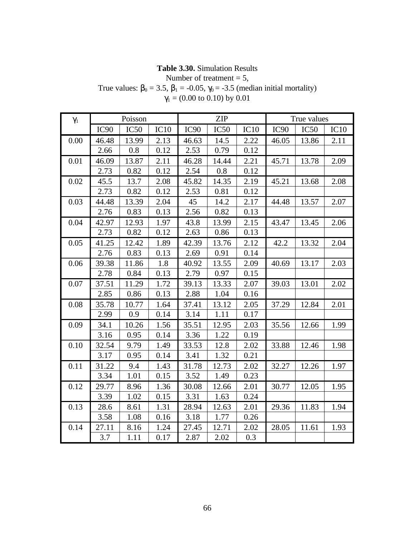# **Table 3.30.** Simulation Results

Number of treatment  $= 5$ ,

True values:  $\beta_0 = 3.5$ ,  $\beta_1 = -0.05$ ,  $\gamma_0 = -3.5$  (median initial mortality)  $\gamma_1$  = (0.00 to 0.10) by 0.01

| $\gamma_1$ |                  | Poisson |      |                  | <b>ZIP</b> |      |                  | True values |      |
|------------|------------------|---------|------|------------------|------------|------|------------------|-------------|------|
|            | IC <sub>90</sub> | IC50    | IC10 | IC <sub>90</sub> | IC50       | IC10 | IC <sub>90</sub> | IC50        | IC10 |
| 0.00       | 46.48            | 13.99   | 2.13 | 46.63            | 14.5       | 2.22 | 46.05            | 13.86       | 2.11 |
|            | 2.66             | 0.8     | 0.12 | 2.53             | 0.79       | 0.12 |                  |             |      |
| 0.01       | 46.09            | 13.87   | 2.11 | 46.28            | 14.44      | 2.21 | 45.71            | 13.78       | 2.09 |
|            | 2.73             | 0.82    | 0.12 | 2.54             | 0.8        | 0.12 |                  |             |      |
| 0.02       | 45.5             | 13.7    | 2.08 | 45.82            | 14.35      | 2.19 | 45.21            | 13.68       | 2.08 |
|            | 2.73             | 0.82    | 0.12 | 2.53             | 0.81       | 0.12 |                  |             |      |
| 0.03       | 44.48            | 13.39   | 2.04 | 45               | 14.2       | 2.17 | 44.48            | 13.57       | 2.07 |
|            | 2.76             | 0.83    | 0.13 | 2.56             | 0.82       | 0.13 |                  |             |      |
| 0.04       | 42.97            | 12.93   | 1.97 | 43.8             | 13.99      | 2.15 | 43.47            | 13.45       | 2.06 |
|            | 2.73             | 0.82    | 0.12 | 2.63             | 0.86       | 0.13 |                  |             |      |
| 0.05       | 41.25            | 12.42   | 1.89 | 42.39            | 13.76      | 2.12 | 42.2             | 13.32       | 2.04 |
|            | 2.76             | 0.83    | 0.13 | 2.69             | 0.91       | 0.14 |                  |             |      |
| 0.06       | 39.38            | 11.86   | 1.8  | 40.92            | 13.55      | 2.09 | 40.69            | 13.17       | 2.03 |
|            | 2.78             | 0.84    | 0.13 | 2.79             | 0.97       | 0.15 |                  |             |      |
| 0.07       | 37.51            | 11.29   | 1.72 | 39.13            | 13.33      | 2.07 | 39.03            | 13.01       | 2.02 |
|            | 2.85             | 0.86    | 0.13 | 2.88             | 1.04       | 0.16 |                  |             |      |
| 0.08       | 35.78            | 10.77   | 1.64 | 37.41            | 13.12      | 2.05 | 37.29            | 12.84       | 2.01 |
|            | 2.99             | 0.9     | 0.14 | 3.14             | 1.11       | 0.17 |                  |             |      |
| 0.09       | 34.1             | 10.26   | 1.56 | 35.51            | 12.95      | 2.03 | 35.56            | 12.66       | 1.99 |
|            | 3.16             | 0.95    | 0.14 | 3.36             | 1.22       | 0.19 |                  |             |      |
| 0.10       | 32.54            | 9.79    | 1.49 | 33.53            | 12.8       | 2.02 | 33.88            | 12.46       | 1.98 |
|            | 3.17             | 0.95    | 0.14 | 3.41             | 1.32       | 0.21 |                  |             |      |
| 0.11       | 31.22            | 9.4     | 1.43 | 31.78            | 12.73      | 2.02 | 32.27            | 12.26       | 1.97 |
|            | 3.34             | 1.01    | 0.15 | 3.52             | 1.49       | 0.23 |                  |             |      |
| 0.12       | 29.77            | 8.96    | 1.36 | 30.08            | 12.66      | 2.01 | 30.77            | 12.05       | 1.95 |
|            | 3.39             | 1.02    | 0.15 | 3.31             | 1.63       | 0.24 |                  |             |      |
| 0.13       | 28.6             | 8.61    | 1.31 | 28.94            | 12.63      | 2.01 | 29.36            | 11.83       | 1.94 |
|            | 3.58             | 1.08    | 0.16 | 3.18             | 1.77       | 0.26 |                  |             |      |
| 0.14       | 27.11            | 8.16    | 1.24 | 27.45            | 12.71      | 2.02 | 28.05            | 11.61       | 1.93 |
|            | 3.7              | 1.11    | 0.17 | 2.87             | 2.02       | 0.3  |                  |             |      |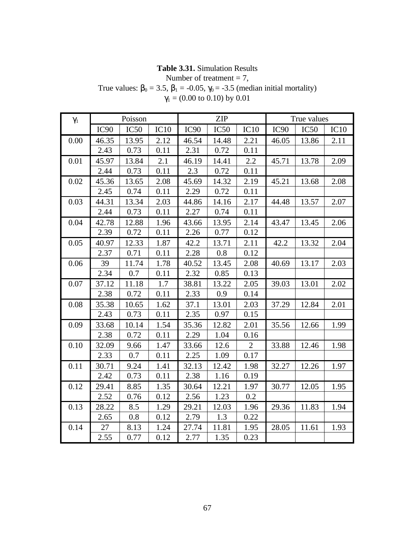# **Table 3.31.** Simulation Results

Number of treatment  $= 7$ ,

True values:  $\beta_0 = 3.5$ ,  $\beta_1 = -0.05$ ,  $\gamma_0 = -3.5$  (median initial mortality)  $\gamma_1$  = (0.00 to 0.10) by 0.01

| $\gamma_1$ |                  | Poisson |      |                  | <b>ZIP</b> |              |                  | True values |      |
|------------|------------------|---------|------|------------------|------------|--------------|------------------|-------------|------|
|            | IC <sub>90</sub> | IC50    | IC10 | IC <sub>90</sub> | IC50       | IC10         | IC <sub>90</sub> | IC50        | IC10 |
| 0.00       | 46.35            | 13.95   | 2.12 | 46.54            | 14.48      | 2.21         | 46.05            | 13.86       | 2.11 |
|            | 2.43             | 0.73    | 0.11 | 2.31             | 0.72       | 0.11         |                  |             |      |
| 0.01       | 45.97            | 13.84   | 2.1  | 46.19            | 14.41      | 2.2          | 45.71            | 13.78       | 2.09 |
|            | 2.44             | 0.73    | 0.11 | 2.3              | 0.72       | 0.11         |                  |             |      |
| 0.02       | 45.36            | 13.65   | 2.08 | 45.69            | 14.32      | 2.19         | 45.21            | 13.68       | 2.08 |
|            | 2.45             | 0.74    | 0.11 | 2.29             | 0.72       | 0.11         |                  |             |      |
| 0.03       | 44.31            | 13.34   | 2.03 | 44.86            | 14.16      | 2.17         | 44.48            | 13.57       | 2.07 |
|            | 2.44             | 0.73    | 0.11 | 2.27             | 0.74       | 0.11         |                  |             |      |
| 0.04       | 42.78            | 12.88   | 1.96 | 43.66            | 13.95      | 2.14         | 43.47            | 13.45       | 2.06 |
|            | 2.39             | 0.72    | 0.11 | 2.26             | 0.77       | 0.12         |                  |             |      |
| 0.05       | 40.97            | 12.33   | 1.87 | 42.2             | 13.71      | 2.11         | 42.2             | 13.32       | 2.04 |
|            | 2.37             | 0.71    | 0.11 | 2.28             | 0.8        | 0.12         |                  |             |      |
| 0.06       | 39               | 11.74   | 1.78 | 40.52            | 13.45      | 2.08         | 40.69            | 13.17       | 2.03 |
|            | 2.34             | 0.7     | 0.11 | 2.32             | 0.85       | 0.13         |                  |             |      |
| 0.07       | 37.12            | 11.18   | 1.7  | 38.81            | 13.22      | 2.05         | 39.03            | 13.01       | 2.02 |
|            | 2.38             | 0.72    | 0.11 | 2.33             | 0.9        | 0.14         |                  |             |      |
| 0.08       | 35.38            | 10.65   | 1.62 | 37.1             | 13.01      | 2.03         | 37.29            | 12.84       | 2.01 |
|            | 2.43             | 0.73    | 0.11 | 2.35             | 0.97       | 0.15         |                  |             |      |
| 0.09       | 33.68            | 10.14   | 1.54 | 35.36            | 12.82      | 2.01         | 35.56            | 12.66       | 1.99 |
|            | 2.38             | 0.72    | 0.11 | 2.29             | 1.04       | 0.16         |                  |             |      |
| 0.10       | 32.09            | 9.66    | 1.47 | 33.66            | 12.6       | $\mathbf{2}$ | 33.88            | 12.46       | 1.98 |
|            | 2.33             | 0.7     | 0.11 | 2.25             | 1.09       | 0.17         |                  |             |      |
| 0.11       | 30.71            | 9.24    | 1.41 | 32.13            | 12.42      | 1.98         | 32.27            | 12.26       | 1.97 |
|            | 2.42             | 0.73    | 0.11 | 2.38             | 1.16       | 0.19         |                  |             |      |
| 0.12       | 29.41            | 8.85    | 1.35 | 30.64            | 12.21      | 1.97         | 30.77            | 12.05       | 1.95 |
|            | 2.52             | 0.76    | 0.12 | 2.56             | 1.23       | 0.2          |                  |             |      |
| 0.13       | 28.22            | 8.5     | 1.29 | 29.21            | 12.03      | 1.96         | 29.36            | 11.83       | 1.94 |
|            | 2.65             | 0.8     | 0.12 | 2.79             | 1.3        | 0.22         |                  |             |      |
| 0.14       | 27               | 8.13    | 1.24 | 27.74            | 11.81      | 1.95         | 28.05            | 11.61       | 1.93 |
|            | 2.55             | 0.77    | 0.12 | 2.77             | 1.35       | 0.23         |                  |             |      |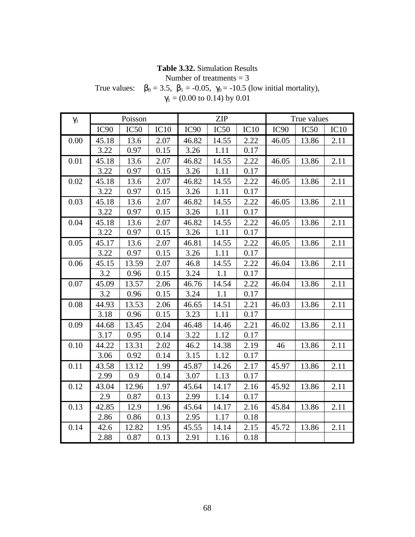### **Table 3.32.** Simulation Results

Number of treatments  $= 3$ 

True values:  $\beta_0 = 3.5$ ,  $\beta_1 = -0.05$ ,  $\gamma_0 = -10.5$  (low initial mortality),  $\gamma_1$  = (0.00 to 0.14) by 0.01

| $\gamma_1$ |                  | Poisson |      |                  | <b>ZIP</b>       |      |                  | True values      |      |
|------------|------------------|---------|------|------------------|------------------|------|------------------|------------------|------|
|            | IC <sub>90</sub> | IC50    | IC10 | IC <sub>90</sub> | IC <sub>50</sub> | IC10 | IC <sub>90</sub> | IC <sub>50</sub> | IC10 |
| 0.00       | 45.18            | 13.6    | 2.07 | 46.82            | 14.55            | 2.22 | 46.05            | 13.86            | 2.11 |
|            | 3.22             | 0.97    | 0.15 | 3.26             | 1.11             | 0.17 |                  |                  |      |
| 0.01       | 45.18            | 13.6    | 2.07 | 46.82            | 14.55            | 2.22 | 46.05            | 13.86            | 2.11 |
|            | 3.22             | 0.97    | 0.15 | 3.26             | 1.11             | 0.17 |                  |                  |      |
| 0.02       | 45.18            | 13.6    | 2.07 | 46.82            | 14.55            | 2.22 | 46.05            | 13.86            | 2.11 |
|            | 3.22             | 0.97    | 0.15 | 3.26             | 1.11             | 0.17 |                  |                  |      |
| 0.03       | 45.18            | 13.6    | 2.07 | 46.82            | 14.55            | 2.22 | 46.05            | 13.86            | 2.11 |
|            | 3.22             | 0.97    | 0.15 | 3.26             | 1.11             | 0.17 |                  |                  |      |
| 0.04       | 45.18            | 13.6    | 2.07 | 46.82            | 14.55            | 2.22 | 46.05            | 13.86            | 2.11 |
|            | 3.22             | 0.97    | 0.15 | 3.26             | 1.11             | 0.17 |                  |                  |      |
| 0.05       | 45.17            | 13.6    | 2.07 | 46.81            | 14.55            | 2.22 | 46.05            | 13.86            | 2.11 |
|            | 3.22             | 0.97    | 0.15 | 3.26             | 1.11             | 0.17 |                  |                  |      |
| 0.06       | 45.15            | 13.59   | 2.07 | 46.8             | 14.55            | 2.22 | 46.04            | 13.86            | 2.11 |
|            | 3.2              | 0.96    | 0.15 | 3.24             | 1.1              | 0.17 |                  |                  |      |
| 0.07       | 45.09            | 13.57   | 2.06 | 46.76            | 14.54            | 2.22 | 46.04            | 13.86            | 2.11 |
|            | 3.2              | 0.96    | 0.15 | 3.24             | 1.1              | 0.17 |                  |                  |      |
| 0.08       | 44.93            | 13.53   | 2.06 | 46.65            | 14.51            | 2.21 | 46.03            | 13.86            | 2.11 |
|            | 3.18             | 0.96    | 0.15 | 3.23             | 1.11             | 0.17 |                  |                  |      |
| 0.09       | 44.68            | 13.45   | 2.04 | 46.48            | 14.46            | 2.21 | 46.02            | 13.86            | 2.11 |
|            | 3.17             | 0.95    | 0.14 | 3.22             | 1.12             | 0.17 |                  |                  |      |
| 0.10       | 44.22            | 13.31   | 2.02 | 46.2             | 14.38            | 2.19 | 46               | 13.86            | 2.11 |
|            | 3.06             | 0.92    | 0.14 | 3.15             | 1.12             | 0.17 |                  |                  |      |
| 0.11       | 43.58            | 13.12   | 1.99 | 45.87            | 14.26            | 2.17 | 45.97            | 13.86            | 2.11 |
|            | 2.99             | 0.9     | 0.14 | 3.07             | 1.13             | 0.17 |                  |                  |      |
| 0.12       | 43.04            | 12.96   | 1.97 | 45.64            | 14.17            | 2.16 | 45.92            | 13.86            | 2.11 |
|            | 2.9              | 0.87    | 0.13 | 2.99             | 1.14             | 0.17 |                  |                  |      |
| 0.13       | 42.85            | 12.9    | 1.96 | 45.64            | 14.17            | 2.16 | 45.84            | 13.86            | 2.11 |
|            | 2.86             | 0.86    | 0.13 | 2.95             | 1.17             | 0.18 |                  |                  |      |
| 0.14       | 42.6             | 12.82   | 1.95 | 45.55            | 14.14            | 2.15 | 45.72            | 13.86            | 2.11 |
|            | 2.88             | 0.87    | 0.13 | 2.91             | 1.16             | 0.18 |                  |                  |      |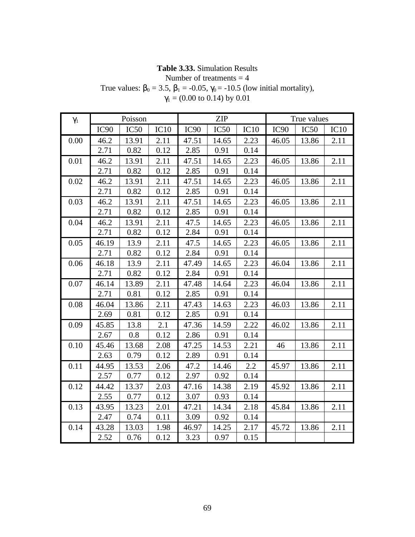# **Table 3.33.** Simulation Results

Number of treatments  $=$  4

True values:  $\beta_0 = 3.5$ ,  $\beta_1 = -0.05$ ,  $\gamma_0 = -10.5$  (low initial mortality),

| $\gamma_1$ = (0.00 to 0.14) by 0.01 |  |  |
|-------------------------------------|--|--|
|-------------------------------------|--|--|

| $\gamma_1$ |                  | Poisson |      |                  | <b>ZIP</b> |      |                  | True values |      |
|------------|------------------|---------|------|------------------|------------|------|------------------|-------------|------|
|            | IC <sub>90</sub> | IC50    | IC10 | IC <sub>90</sub> | IC50       | IC10 | IC <sub>90</sub> | IC50        | IC10 |
| 0.00       | 46.2             | 13.91   | 2.11 | 47.51            | 14.65      | 2.23 | 46.05            | 13.86       | 2.11 |
|            | 2.71             | 0.82    | 0.12 | 2.85             | 0.91       | 0.14 |                  |             |      |
| 0.01       | 46.2             | 13.91   | 2.11 | 47.51            | 14.65      | 2.23 | 46.05            | 13.86       | 2.11 |
|            | 2.71             | 0.82    | 0.12 | 2.85             | 0.91       | 0.14 |                  |             |      |
| 0.02       | 46.2             | 13.91   | 2.11 | 47.51            | 14.65      | 2.23 | 46.05            | 13.86       | 2.11 |
|            | 2.71             | 0.82    | 0.12 | 2.85             | 0.91       | 0.14 |                  |             |      |
| 0.03       | 46.2             | 13.91   | 2.11 | 47.51            | 14.65      | 2.23 | 46.05            | 13.86       | 2.11 |
|            | 2.71             | 0.82    | 0.12 | 2.85             | 0.91       | 0.14 |                  |             |      |
| 0.04       | 46.2             | 13.91   | 2.11 | 47.5             | 14.65      | 2.23 | 46.05            | 13.86       | 2.11 |
|            | 2.71             | 0.82    | 0.12 | 2.84             | 0.91       | 0.14 |                  |             |      |
| 0.05       | 46.19            | 13.9    | 2.11 | 47.5             | 14.65      | 2.23 | 46.05            | 13.86       | 2.11 |
|            | 2.71             | 0.82    | 0.12 | 2.84             | 0.91       | 0.14 |                  |             |      |
| 0.06       | 46.18            | 13.9    | 2.11 | 47.49            | 14.65      | 2.23 | 46.04            | 13.86       | 2.11 |
|            | 2.71             | 0.82    | 0.12 | 2.84             | 0.91       | 0.14 |                  |             |      |
| 0.07       | 46.14            | 13.89   | 2.11 | 47.48            | 14.64      | 2.23 | 46.04            | 13.86       | 2.11 |
|            | 2.71             | 0.81    | 0.12 | 2.85             | 0.91       | 0.14 |                  |             |      |
| 0.08       | 46.04            | 13.86   | 2.11 | 47.43            | 14.63      | 2.23 | 46.03            | 13.86       | 2.11 |
|            | 2.69             | 0.81    | 0.12 | 2.85             | 0.91       | 0.14 |                  |             |      |
| 0.09       | 45.85            | 13.8    | 2.1  | 47.36            | 14.59      | 2.22 | 46.02            | 13.86       | 2.11 |
|            | 2.67             | 0.8     | 0.12 | 2.86             | 0.91       | 0.14 |                  |             |      |
| 0.10       | 45.46            | 13.68   | 2.08 | 47.25            | 14.53      | 2.21 | 46               | 13.86       | 2.11 |
|            | 2.63             | 0.79    | 0.12 | 2.89             | 0.91       | 0.14 |                  |             |      |
| 0.11       | 44.95            | 13.53   | 2.06 | 47.2             | 14.46      | 2.2  | 45.97            | 13.86       | 2.11 |
|            | 2.57             | 0.77    | 0.12 | 2.97             | 0.92       | 0.14 |                  |             |      |
| 0.12       | 44.42            | 13.37   | 2.03 | 47.16            | 14.38      | 2.19 | 45.92            | 13.86       | 2.11 |
|            | 2.55             | 0.77    | 0.12 | 3.07             | 0.93       | 0.14 |                  |             |      |
| 0.13       | 43.95            | 13.23   | 2.01 | 47.21            | 14.34      | 2.18 | 45.84            | 13.86       | 2.11 |
|            | 2.47             | 0.74    | 0.11 | 3.09             | 0.92       | 0.14 |                  |             |      |
| 0.14       | 43.28            | 13.03   | 1.98 | 46.97            | 14.25      | 2.17 | 45.72            | 13.86       | 2.11 |
|            | 2.52             | 0.76    | 0.12 | 3.23             | 0.97       | 0.15 |                  |             |      |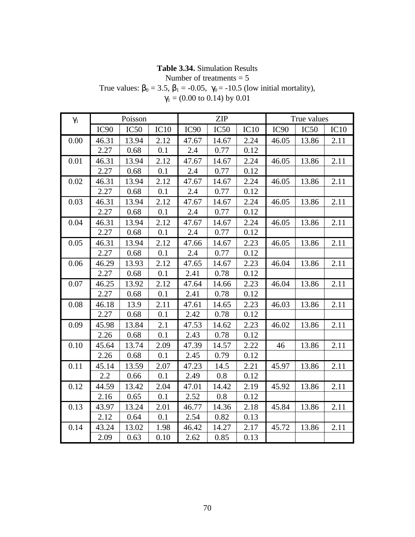### **Table 3.34.** Simulation Results

Number of treatments = 5

True values:  $\beta_0 = 3.5$ ,  $\beta_1 = -0.05$ ,  $\gamma_0 = -10.5$  (low initial mortality),

| $\gamma_1$ = (0.00 to 0.14) by 0.01 |  |  |
|-------------------------------------|--|--|
|-------------------------------------|--|--|

| $\gamma_1$ |                  | Poisson |      |                  | <b>ZIP</b> |      |                  | True values |      |
|------------|------------------|---------|------|------------------|------------|------|------------------|-------------|------|
|            | IC <sub>90</sub> | IC50    | IC10 | IC <sub>90</sub> | IC50       | IC10 | IC <sub>90</sub> | IC50        | IC10 |
| 0.00       | 46.31            | 13.94   | 2.12 | 47.67            | 14.67      | 2.24 | 46.05            | 13.86       | 2.11 |
|            | 2.27             | 0.68    | 0.1  | 2.4              | 0.77       | 0.12 |                  |             |      |
| 0.01       | 46.31            | 13.94   | 2.12 | 47.67            | 14.67      | 2.24 | 46.05            | 13.86       | 2.11 |
|            | 2.27             | 0.68    | 0.1  | 2.4              | 0.77       | 0.12 |                  |             |      |
| 0.02       | 46.31            | 13.94   | 2.12 | 47.67            | 14.67      | 2.24 | 46.05            | 13.86       | 2.11 |
|            | 2.27             | 0.68    | 0.1  | 2.4              | 0.77       | 0.12 |                  |             |      |
| 0.03       | 46.31            | 13.94   | 2.12 | 47.67            | 14.67      | 2.24 | 46.05            | 13.86       | 2.11 |
|            | 2.27             | 0.68    | 0.1  | 2.4              | 0.77       | 0.12 |                  |             |      |
| 0.04       | 46.31            | 13.94   | 2.12 | 47.67            | 14.67      | 2.24 | 46.05            | 13.86       | 2.11 |
|            | 2.27             | 0.68    | 0.1  | 2.4              | 0.77       | 0.12 |                  |             |      |
| 0.05       | 46.31            | 13.94   | 2.12 | 47.66            | 14.67      | 2.23 | 46.05            | 13.86       | 2.11 |
|            | 2.27             | 0.68    | 0.1  | 2.4              | 0.77       | 0.12 |                  |             |      |
| 0.06       | 46.29            | 13.93   | 2.12 | 47.65            | 14.67      | 2.23 | 46.04            | 13.86       | 2.11 |
|            | 2.27             | 0.68    | 0.1  | 2.41             | 0.78       | 0.12 |                  |             |      |
| 0.07       | 46.25            | 13.92   | 2.12 | 47.64            | 14.66      | 2.23 | 46.04            | 13.86       | 2.11 |
|            | 2.27             | 0.68    | 0.1  | 2.41             | 0.78       | 0.12 |                  |             |      |
| 0.08       | 46.18            | 13.9    | 2.11 | 47.61            | 14.65      | 2.23 | 46.03            | 13.86       | 2.11 |
|            | 2.27             | 0.68    | 0.1  | 2.42             | 0.78       | 0.12 |                  |             |      |
| 0.09       | 45.98            | 13.84   | 2.1  | 47.53            | 14.62      | 2.23 | 46.02            | 13.86       | 2.11 |
|            | 2.26             | 0.68    | 0.1  | 2.43             | 0.78       | 0.12 |                  |             |      |
| 0.10       | 45.64            | 13.74   | 2.09 | 47.39            | 14.57      | 2.22 | 46               | 13.86       | 2.11 |
|            | 2.26             | 0.68    | 0.1  | 2.45             | 0.79       | 0.12 |                  |             |      |
| 0.11       | 45.14            | 13.59   | 2.07 | 47.23            | 14.5       | 2.21 | 45.97            | 13.86       | 2.11 |
|            | 2.2              | 0.66    | 0.1  | 2.49             | 0.8        | 0.12 |                  |             |      |
| 0.12       | 44.59            | 13.42   | 2.04 | 47.01            | 14.42      | 2.19 | 45.92            | 13.86       | 2.11 |
|            | 2.16             | 0.65    | 0.1  | 2.52             | 0.8        | 0.12 |                  |             |      |
| 0.13       | 43.97            | 13.24   | 2.01 | 46.77            | 14.36      | 2.18 | 45.84            | 13.86       | 2.11 |
|            | 2.12             | 0.64    | 0.1  | 2.54             | 0.82       | 0.13 |                  |             |      |
| 0.14       | 43.24            | 13.02   | 1.98 | 46.42            | 14.27      | 2.17 | 45.72            | 13.86       | 2.11 |
|            | 2.09             | 0.63    | 0.10 | 2.62             | 0.85       | 0.13 |                  |             |      |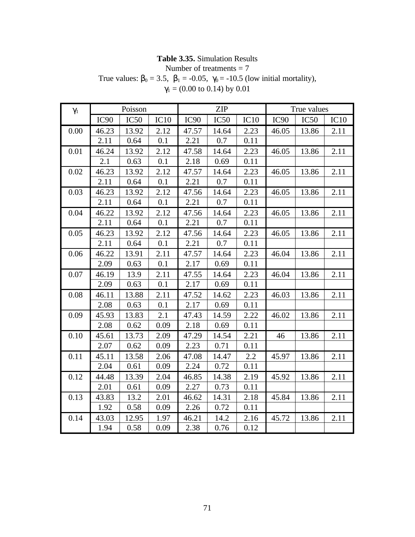#### **Table 3.35.** Simulation Results

Number of treatments = 7

True values:  $\beta_0 = 3.5$ ,  $\beta_1 = -0.05$ ,  $\gamma_0 = -10.5$  (low initial mortality),

| $\gamma_1$ | Poisson          |       |      | <b>ZIP</b>       |       |      | True values      |                  |      |
|------------|------------------|-------|------|------------------|-------|------|------------------|------------------|------|
|            | IC <sub>90</sub> | IC50  | IC10 | IC <sub>90</sub> | IC50  | IC10 | IC <sub>90</sub> | IC <sub>50</sub> | IC10 |
| 0.00       | 46.23            | 13.92 | 2.12 | 47.57            | 14.64 | 2.23 | 46.05            | 13.86            | 2.11 |
|            | 2.11             | 0.64  | 0.1  | 2.21             | 0.7   | 0.11 |                  |                  |      |
| 0.01       | 46.24            | 13.92 | 2.12 | 47.58            | 14.64 | 2.23 | 46.05            | 13.86            | 2.11 |
|            | 2.1              | 0.63  | 0.1  | 2.18             | 0.69  | 0.11 |                  |                  |      |
| 0.02       | 46.23            | 13.92 | 2.12 | 47.57            | 14.64 | 2.23 | 46.05            | 13.86            | 2.11 |
|            | 2.11             | 0.64  | 0.1  | 2.21             | 0.7   | 0.11 |                  |                  |      |
| 0.03       | 46.23            | 13.92 | 2.12 | 47.56            | 14.64 | 2.23 | 46.05            | 13.86            | 2.11 |
|            | 2.11             | 0.64  | 0.1  | 2.21             | 0.7   | 0.11 |                  |                  |      |
| 0.04       | 46.22            | 13.92 | 2.12 | 47.56            | 14.64 | 2.23 | 46.05            | 13.86            | 2.11 |
|            | 2.11             | 0.64  | 0.1  | 2.21             | 0.7   | 0.11 |                  |                  |      |
| 0.05       | 46.23            | 13.92 | 2.12 | 47.56            | 14.64 | 2.23 | 46.05            | 13.86            | 2.11 |
|            | 2.11             | 0.64  | 0.1  | 2.21             | 0.7   | 0.11 |                  |                  |      |
| 0.06       | 46.22            | 13.91 | 2.11 | 47.57            | 14.64 | 2.23 | 46.04            | 13.86            | 2.11 |
|            | 2.09             | 0.63  | 0.1  | 2.17             | 0.69  | 0.11 |                  |                  |      |
| 0.07       | 46.19            | 13.9  | 2.11 | 47.55            | 14.64 | 2.23 | 46.04            | 13.86            | 2.11 |
|            | 2.09             | 0.63  | 0.1  | 2.17             | 0.69  | 0.11 |                  |                  |      |
| 0.08       | 46.11            | 13.88 | 2.11 | 47.52            | 14.62 | 2.23 | 46.03            | 13.86            | 2.11 |
|            | 2.08             | 0.63  | 0.1  | 2.17             | 0.69  | 0.11 |                  |                  |      |
| 0.09       | 45.93            | 13.83 | 2.1  | 47.43            | 14.59 | 2.22 | 46.02            | 13.86            | 2.11 |
|            | 2.08             | 0.62  | 0.09 | 2.18             | 0.69  | 0.11 |                  |                  |      |
| 0.10       | 45.61            | 13.73 | 2.09 | 47.29            | 14.54 | 2.21 | 46               | 13.86            | 2.11 |
|            | 2.07             | 0.62  | 0.09 | 2.23             | 0.71  | 0.11 |                  |                  |      |
| 0.11       | 45.11            | 13.58 | 2.06 | 47.08            | 14.47 | 2.2  | 45.97            | 13.86            | 2.11 |
|            | 2.04             | 0.61  | 0.09 | 2.24             | 0.72  | 0.11 |                  |                  |      |
| 0.12       | 44.48            | 13.39 | 2.04 | 46.85            | 14.38 | 2.19 | 45.92            | 13.86            | 2.11 |
|            | 2.01             | 0.61  | 0.09 | 2.27             | 0.73  | 0.11 |                  |                  |      |
| 0.13       | 43.83            | 13.2  | 2.01 | 46.62            | 14.31 | 2.18 | 45.84            | 13.86            | 2.11 |
|            | 1.92             | 0.58  | 0.09 | 2.26             | 0.72  | 0.11 |                  |                  |      |
| 0.14       | 43.03            | 12.95 | 1.97 | 46.21            | 14.2  | 2.16 | 45.72            | 13.86            | 2.11 |
|            | 1.94             | 0.58  | 0.09 | 2.38             | 0.76  | 0.12 |                  |                  |      |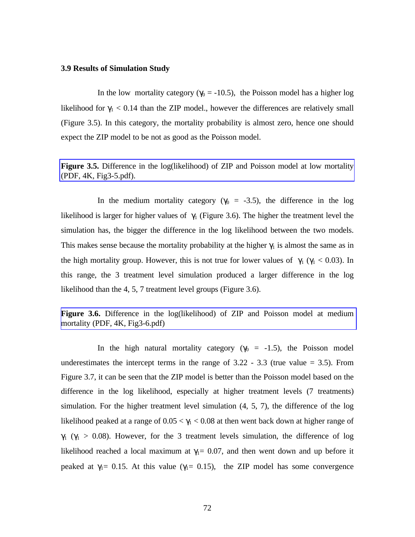#### **3.9 Results of Simulation Study**

In the low mortality category ( $\gamma_0 = -10.5$ ), the Poisson model has a higher log likelihood for  $\gamma_1 < 0.14$  than the ZIP model., however the differences are relatively small (Figure 3.5). In this category, the mortality probability is almost zero, hence one should expect the ZIP model to be not as good as the Poisson model.

**Figure 3.5.** Difference in the log(likelihood) of ZIP and Poisson model at low mortality (PDF, 4K, Fig3-5.pdf).

In the medium mortality category ( $\gamma_0$  = -3.5), the difference in the log likelihood is larger for higher values of  $\gamma_1$  (Figure 3.6). The higher the treatment level the simulation has, the bigger the difference in the log likelihood between the two models. This makes sense because the mortality probability at the higher  $\gamma_1$  is almost the same as in the high mortality group. However, this is not true for lower values of  $\gamma_1$  ( $\gamma_1$  < 0.03). In this range, the 3 treatment level simulation produced a larger difference in the log likelihood than the 4, 5, 7 treatment level groups (Figure 3.6).

**Figure 3.6.** Difference in the log(likelihood) of ZIP and Poisson model at medium mortality (PDF, 4K, Fig3-6.pdf)

In the high natural mortality category ( $\gamma_0$  = -1.5), the Poisson model underestimates the intercept terms in the range of  $3.22 - 3.3$  (true value = 3.5). From Figure 3.7, it can be seen that the ZIP model is better than the Poisson model based on the difference in the log likelihood, especially at higher treatment levels (7 treatments) simulation. For the higher treatment level simulation (4, 5, 7), the difference of the log likelihood peaked at a range of  $0.05 < \gamma_1 < 0.08$  at then went back down at higher range of  $\gamma_1$  ( $\gamma_1 > 0.08$ ). However, for the 3 treatment levels simulation, the difference of log likelihood reached a local maximum at  $\gamma_1 = 0.07$ , and then went down and up before it peaked at  $\gamma_1 = 0.15$ . At this value ( $\gamma_1 = 0.15$ ), the ZIP model has some convergence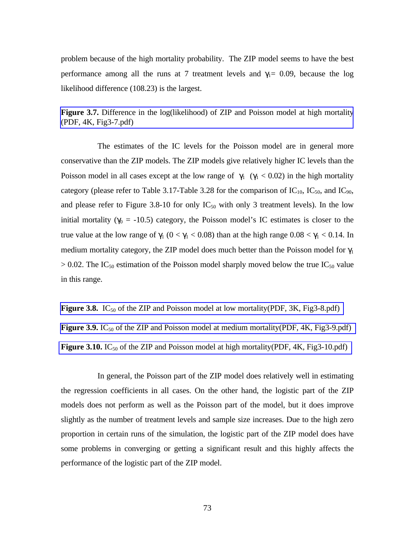problem because of the high mortality probability. The ZIP model seems to have the best performance among all the runs at 7 treatment levels and  $\gamma_1 = 0.09$ , because the log likelihood difference (108.23) is the largest.

**Figure 3.7.** Difference in the log(likelihood) of ZIP and Poisson model at high mortality (PDF, 4K, Fig3-7.pdf)

The estimates of the IC levels for the Poisson model are in general more conservative than the ZIP models. The ZIP models give relatively higher IC levels than the Poisson model in all cases except at the low range of  $\gamma_1$  ( $\gamma_1$  < 0.02) in the high mortality category (please refer to Table 3.17-Table 3.28 for the comparison of  $IC_{10}$ ,  $IC_{50}$ , and  $IC_{90}$ , and please refer to Figure 3.8-10 for only  $IC_{50}$  with only 3 treatment levels). In the low initial mortality ( $\gamma_0$  = -10.5) category, the Poisson model's IC estimates is closer to the true value at the low range of  $\gamma_1$  (0 <  $\gamma_1$  < 0.08) than at the high range 0.08 <  $\gamma_1$  < 0.14. In medium mortality category, the ZIP model does much better than the Poisson model for  $\gamma_1$  $> 0.02$ . The IC<sub>50</sub> estimation of the Poisson model sharply moved below the true IC<sub>50</sub> value in this range.

**Figure 3.8.** IC<sub>50</sub> of the ZIP and Poisson model at low mortality(PDF, 3K, Fig3-8.pdf) **Figure 3.9.** IC<sub>50</sub> of the ZIP and Poisson model at medium mortality(PDF, 4K, Fig3-9.pdf) **Figure 3.10.** IC<sub>50</sub> of the ZIP and Poisson model at high mortality(PDF, 4K, Fig3-10.pdf)

In general, the Poisson part of the ZIP model does relatively well in estimating the regression coefficients in all cases. On the other hand, the logistic part of the ZIP models does not perform as well as the Poisson part of the model, but it does improve slightly as the number of treatment levels and sample size increases. Due to the high zero proportion in certain runs of the simulation, the logistic part of the ZIP model does have some problems in converging or getting a significant result and this highly affects the performance of the logistic part of the ZIP model.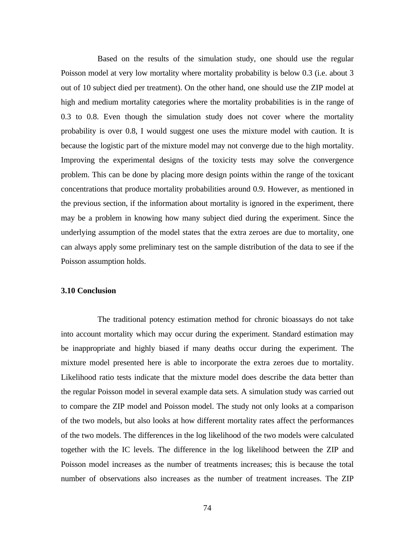Based on the results of the simulation study, one should use the regular Poisson model at very low mortality where mortality probability is below 0.3 (i.e. about 3 out of 10 subject died per treatment). On the other hand, one should use the ZIP model at high and medium mortality categories where the mortality probabilities is in the range of 0.3 to 0.8. Even though the simulation study does not cover where the mortality probability is over 0.8, I would suggest one uses the mixture model with caution. It is because the logistic part of the mixture model may not converge due to the high mortality. Improving the experimental designs of the toxicity tests may solve the convergence problem. This can be done by placing more design points within the range of the toxicant concentrations that produce mortality probabilities around 0.9. However, as mentioned in the previous section, if the information about mortality is ignored in the experiment, there may be a problem in knowing how many subject died during the experiment. Since the underlying assumption of the model states that the extra zeroes are due to mortality, one can always apply some preliminary test on the sample distribution of the data to see if the Poisson assumption holds.

#### **3.10 Conclusion**

The traditional potency estimation method for chronic bioassays do not take into account mortality which may occur during the experiment. Standard estimation may be inappropriate and highly biased if many deaths occur during the experiment. The mixture model presented here is able to incorporate the extra zeroes due to mortality. Likelihood ratio tests indicate that the mixture model does describe the data better than the regular Poisson model in several example data sets. A simulation study was carried out to compare the ZIP model and Poisson model. The study not only looks at a comparison of the two models, but also looks at how different mortality rates affect the performances of the two models. The differences in the log likelihood of the two models were calculated together with the IC levels. The difference in the log likelihood between the ZIP and Poisson model increases as the number of treatments increases; this is because the total number of observations also increases as the number of treatment increases. The ZIP